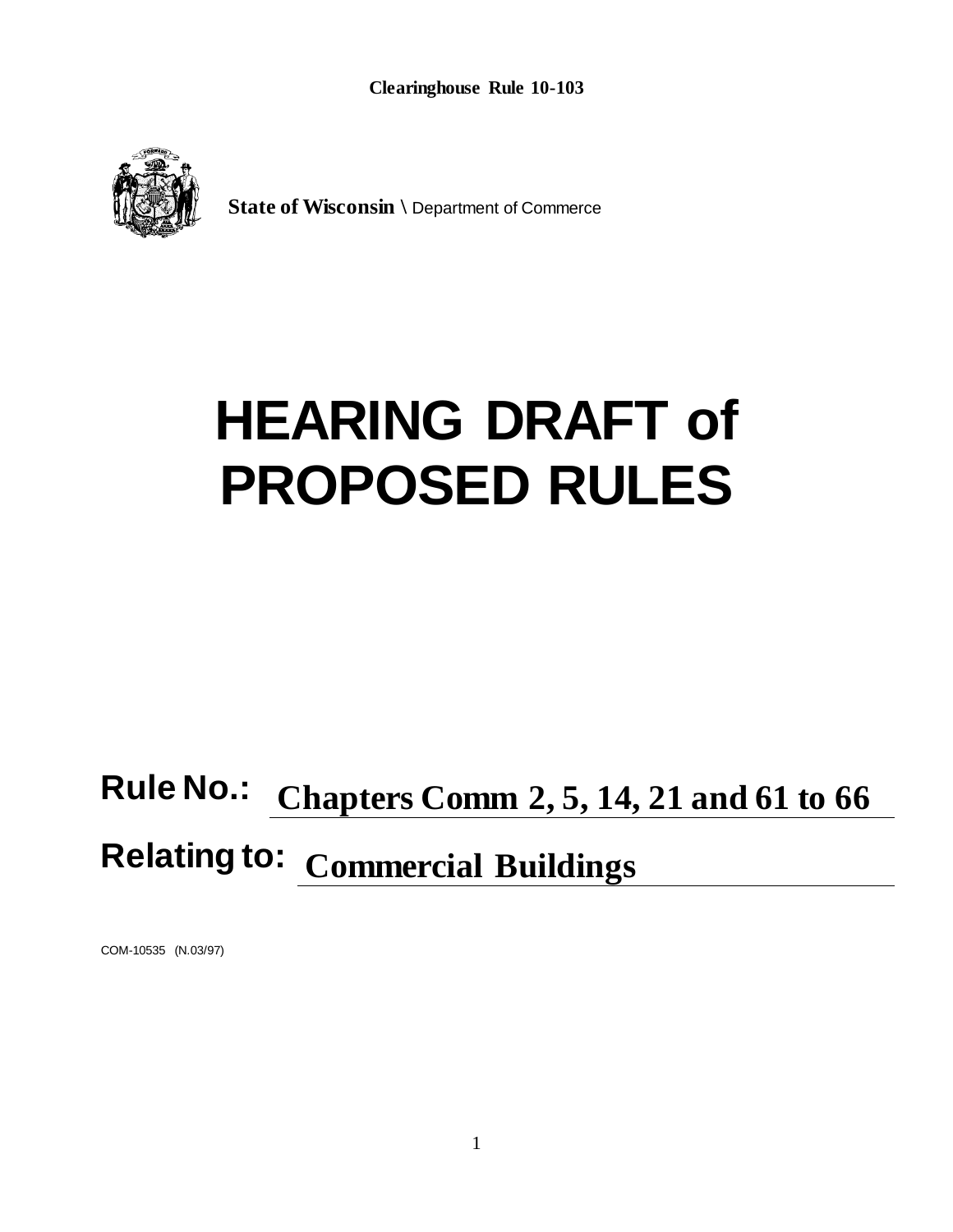**Clearinghouse Rule 10-103**



**State of Wisconsin \** Department of Commerce

# **HEARING DRAFT of PROPOSED RULES**

## **Rule No.: Chapters Comm 2, 5, 14, 21 and 61 to 66 Relating to: Commercial Buildings**

COM-10535 (N.03/97)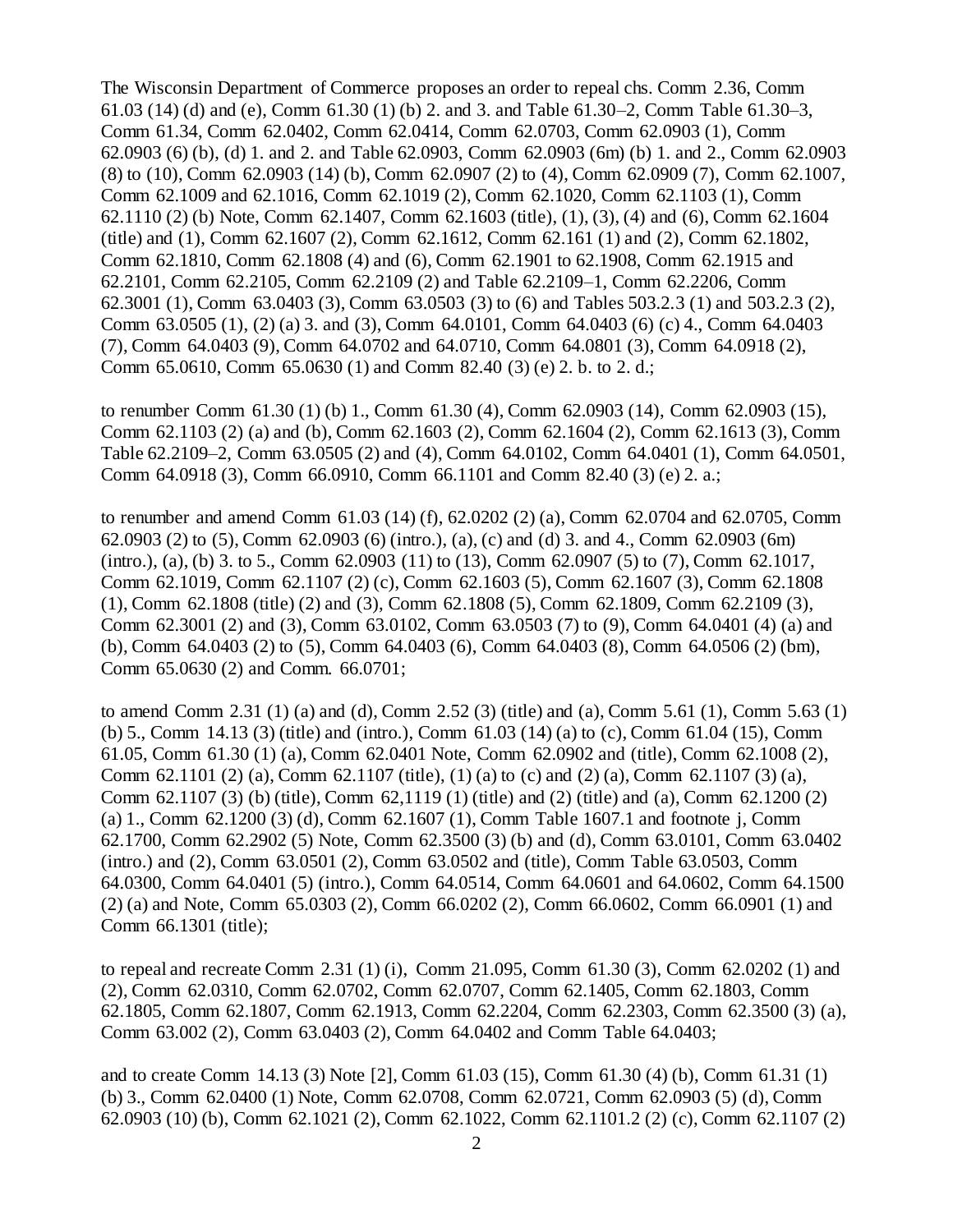The Wisconsin Department of Commerce proposes an order to repeal chs. Comm 2.36, Comm 61.03 (14) (d) and (e), Comm 61.30 (1) (b) 2. and 3. and Table 61.30–2, Comm Table 61.30–3, Comm 61.34, Comm 62.0402, Comm 62.0414, Comm 62.0703, Comm 62.0903 (1), Comm 62.0903 (6) (b), (d) 1. and 2. and Table 62.0903, Comm 62.0903 (6m) (b) 1. and 2., Comm 62.0903 (8) to (10), Comm 62.0903 (14) (b), Comm 62.0907 (2) to (4), Comm 62.0909 (7), Comm 62.1007, Comm 62.1009 and 62.1016, Comm 62.1019 (2), Comm 62.1020, Comm 62.1103 (1), Comm 62.1110 (2) (b) Note, Comm 62.1407, Comm 62.1603 (title), (1), (3), (4) and (6), Comm 62.1604 (title) and (1), Comm 62.1607 (2), Comm 62.1612, Comm 62.161 (1) and (2), Comm 62.1802, Comm 62.1810, Comm 62.1808 (4) and (6), Comm 62.1901 to 62.1908, Comm 62.1915 and 62.2101, Comm 62.2105, Comm 62.2109 (2) and Table 62.2109–1, Comm 62.2206, Comm 62.3001 (1), Comm 63.0403 (3), Comm 63.0503 (3) to (6) and Tables 503.2.3 (1) and 503.2.3 (2), Comm 63.0505 (1), (2) (a) 3. and (3), Comm 64.0101, Comm 64.0403 (6) (c) 4., Comm 64.0403 (7), Comm 64.0403 (9), Comm 64.0702 and 64.0710, Comm 64.0801 (3), Comm 64.0918 (2), Comm 65.0610, Comm 65.0630 (1) and Comm 82.40 (3) (e) 2. b. to 2. d.;

to renumber Comm 61.30 (1) (b) 1., Comm 61.30 (4), Comm 62.0903 (14), Comm 62.0903 (15), Comm 62.1103 (2) (a) and (b), Comm 62.1603 (2), Comm 62.1604 (2), Comm 62.1613 (3), Comm Table 62.2109–2, Comm 63.0505 (2) and (4), Comm 64.0102, Comm 64.0401 (1), Comm 64.0501, Comm 64.0918 (3), Comm 66.0910, Comm 66.1101 and Comm 82.40 (3) (e) 2. a.;

to renumber and amend Comm 61.03 (14) (f), 62.0202 (2) (a), Comm 62.0704 and 62.0705, Comm 62.0903 (2) to (5), Comm 62.0903 (6) (intro.), (a), (c) and (d) 3. and 4., Comm 62.0903 (6m) (intro.), (a), (b) 3. to 5., Comm 62.0903 (11) to (13), Comm 62.0907 (5) to (7), Comm 62.1017, Comm 62.1019, Comm 62.1107 (2) (c), Comm 62.1603 (5), Comm 62.1607 (3), Comm 62.1808 (1), Comm 62.1808 (title) (2) and (3), Comm 62.1808 (5), Comm 62.1809, Comm 62.2109 (3), Comm 62.3001 (2) and (3), Comm 63.0102, Comm 63.0503 (7) to (9), Comm 64.0401 (4) (a) and (b), Comm 64.0403 (2) to (5), Comm 64.0403 (6), Comm 64.0403 (8), Comm 64.0506 (2) (bm), Comm 65.0630 (2) and Comm. 66.0701;

to amend Comm 2.31 (1) (a) and (d), Comm 2.52 (3) (title) and (a), Comm 5.61 (1), Comm 5.63 (1) (b) 5., Comm 14.13 (3) (title) and (intro.), Comm 61.03 (14) (a) to (c), Comm 61.04 (15), Comm 61.05, Comm 61.30 (1) (a), Comm 62.0401 Note, Comm 62.0902 and (title), Comm 62.1008 (2), Comm 62.1101 (2) (a), Comm 62.1107 (title), (1) (a) to (c) and (2) (a), Comm 62.1107 (3) (a), Comm 62.1107 (3) (b) (title), Comm 62,1119 (1) (title) and (2) (title) and (a), Comm 62.1200 (2) (a) 1., Comm 62.1200 (3) (d), Comm 62.1607 (1), Comm Table 1607.1 and footnote j, Comm 62.1700, Comm 62.2902 (5) Note, Comm 62.3500 (3) (b) and (d), Comm 63.0101, Comm 63.0402 (intro.) and (2), Comm 63.0501 (2), Comm 63.0502 and (title), Comm Table 63.0503, Comm 64.0300, Comm 64.0401 (5) (intro.), Comm 64.0514, Comm 64.0601 and 64.0602, Comm 64.1500 (2) (a) and Note, Comm 65.0303 (2), Comm 66.0202 (2), Comm 66.0602, Comm 66.0901 (1) and Comm 66.1301 (title);

to repeal and recreate Comm 2.31 (1) (i), Comm 21.095, Comm 61.30 (3), Comm 62.0202 (1) and (2), Comm 62.0310, Comm 62.0702, Comm 62.0707, Comm 62.1405, Comm 62.1803, Comm 62.1805, Comm 62.1807, Comm 62.1913, Comm 62.2204, Comm 62.2303, Comm 62.3500 (3) (a), Comm 63.002 (2), Comm 63.0403 (2), Comm 64.0402 and Comm Table 64.0403;

and to create Comm 14.13 (3) Note [2], Comm 61.03 (15), Comm 61.30 (4) (b), Comm 61.31 (1) (b) 3., Comm 62.0400 (1) Note, Comm 62.0708, Comm 62.0721, Comm 62.0903 (5) (d), Comm 62.0903 (10) (b), Comm 62.1021 (2), Comm 62.1022, Comm 62.1101.2 (2) (c), Comm 62.1107 (2)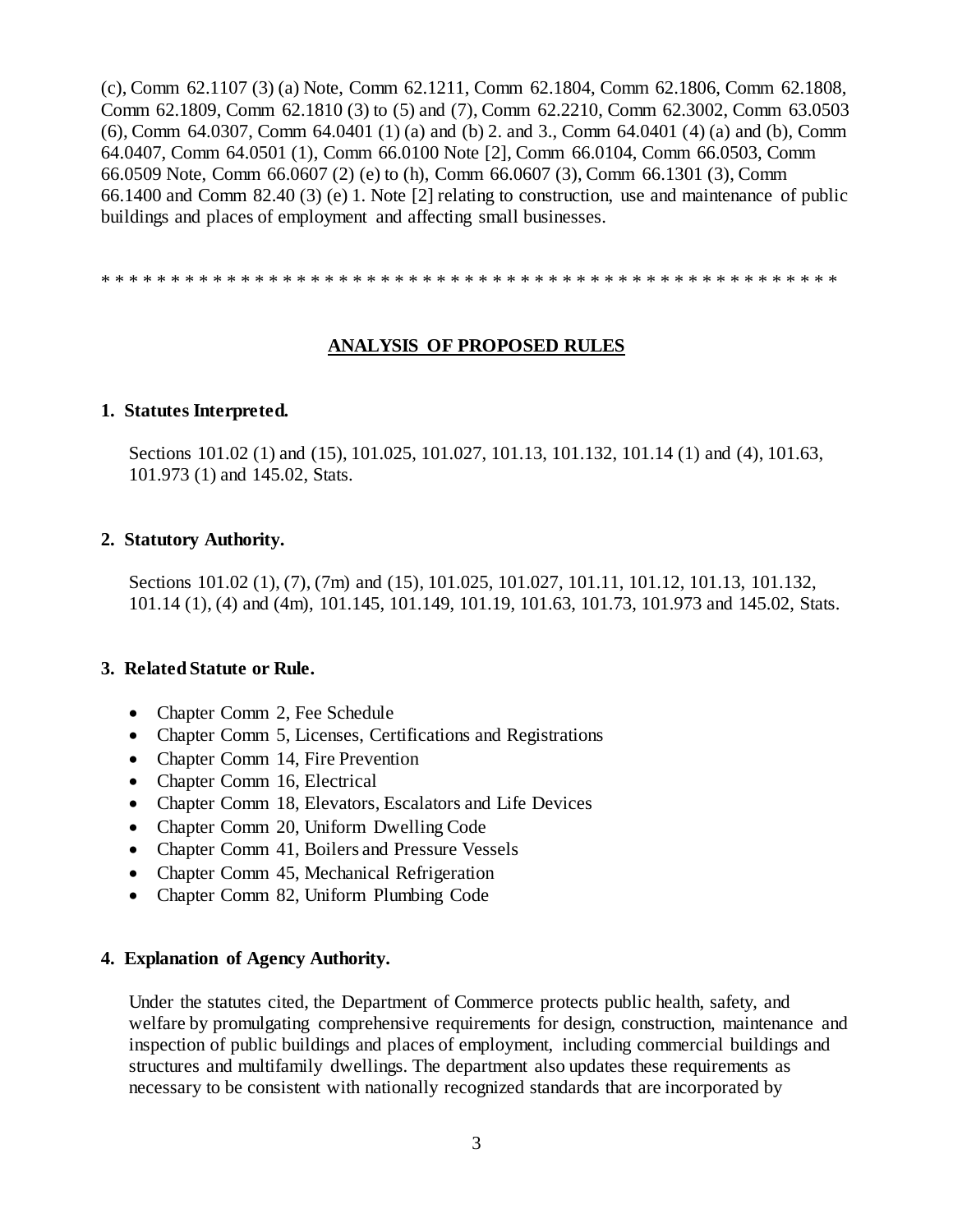(c), Comm 62.1107 (3) (a) Note, Comm 62.1211, Comm 62.1804, Comm 62.1806, Comm 62.1808, Comm 62.1809, Comm 62.1810 (3) to (5) and (7), Comm 62.2210, Comm 62.3002, Comm 63.0503 (6), Comm 64.0307, Comm 64.0401 (1) (a) and (b) 2. and 3., Comm 64.0401 (4) (a) and (b), Comm 64.0407, Comm 64.0501 (1), Comm 66.0100 Note [2], Comm 66.0104, Comm 66.0503, Comm 66.0509 Note, Comm 66.0607 (2) (e) to (h), Comm 66.0607 (3), Comm 66.1301 (3), Comm 66.1400 and Comm 82.40 (3) (e) 1. Note [2] relating to construction, use and maintenance of public buildings and places of employment and affecting small businesses.

\* \* \* \* \* \* \* \* \* \* \* \* \* \* \* \* \* \* \* \* \* \* \* \* \* \* \* \* \* \* \* \* \* \* \* \* \* \* \* \* \* \* \* \* \* \* \* \* \* \* \* \* \*

## **ANALYSIS OF PROPOSED RULES**

#### **1. Statutes Interpreted.**

Sections 101.02 (1) and (15), 101.025, 101.027, 101.13, 101.132, 101.14 (1) and (4), 101.63, 101.973 (1) and 145.02, Stats.

#### **2. Statutory Authority.**

Sections 101.02 (1), (7), (7m) and (15), 101.025, 101.027, 101.11, 101.12, 101.13, 101.132, 101.14 (1), (4) and (4m), 101.145, 101.149, 101.19, 101.63, 101.73, 101.973 and 145.02, Stats.

## **3. Related Statute or Rule.**

- Chapter Comm 2, Fee Schedule
- Chapter Comm 5, Licenses, Certifications and Registrations
- Chapter Comm 14, Fire Prevention
- Chapter Comm 16, Electrical
- Chapter Comm 18, Elevators, Escalators and Life Devices
- Chapter Comm 20, Uniform Dwelling Code
- Chapter Comm 41, Boilers and Pressure Vessels
- Chapter Comm 45, Mechanical Refrigeration
- Chapter Comm 82, Uniform Plumbing Code

#### **4. Explanation of Agency Authority.**

Under the statutes cited, the Department of Commerce protects public health, safety, and welfare by promulgating comprehensive requirements for design, construction, maintenance and inspection of public buildings and places of employment, including commercial buildings and structures and multifamily dwellings. The department also updates these requirements as necessary to be consistent with nationally recognized standards that are incorporated by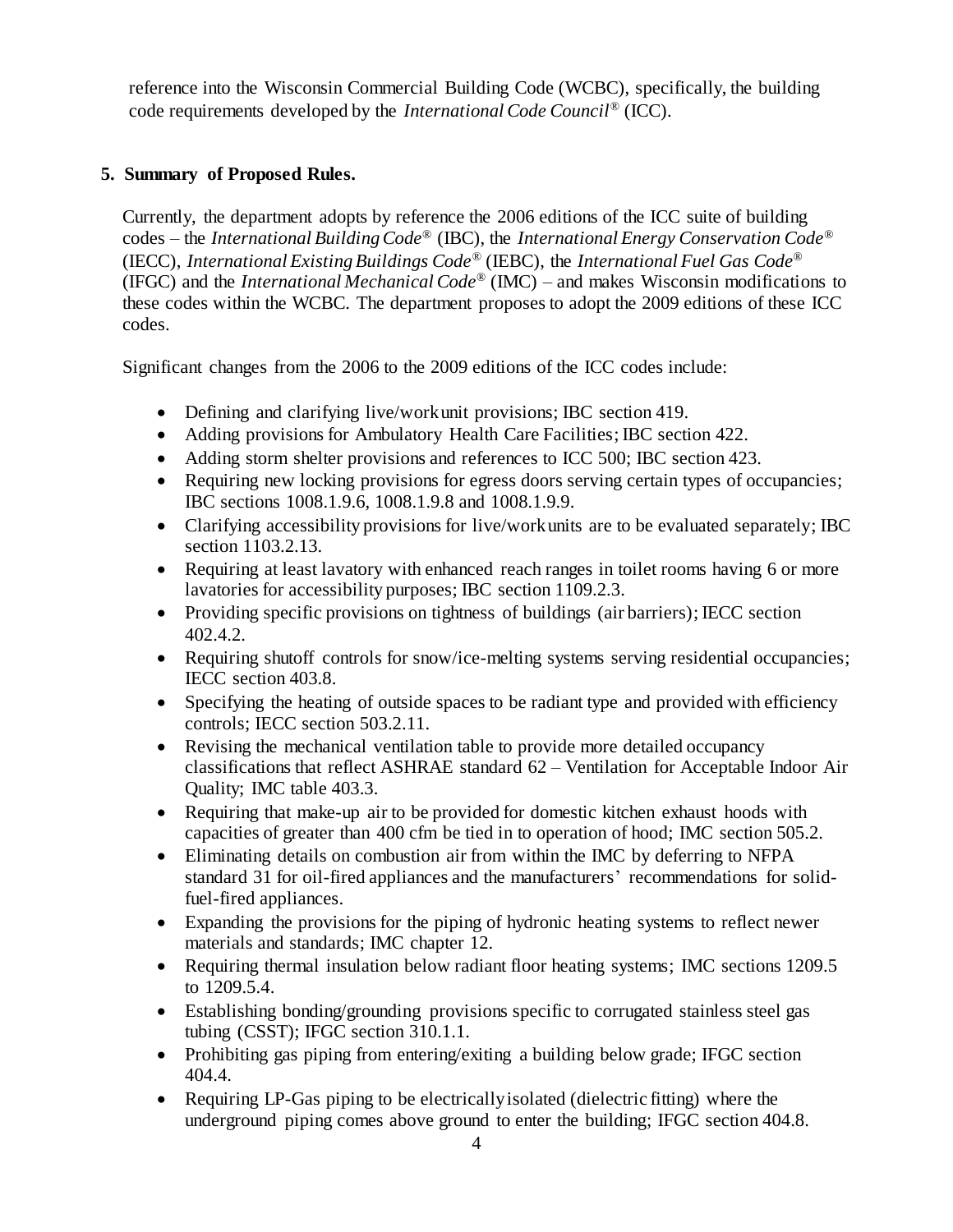reference into the Wisconsin Commercial Building Code (WCBC), specifically, the building code requirements developed by the *International Code Council*® (ICC).

## **5. Summary of Proposed Rules.**

Currently, the department adopts by reference the 2006 editions of the ICC suite of building codes – the *International Building Code*® (IBC), the *International Energy Conservation Code*® (IECC), *International Existing Buildings Code®* (IEBC), the *International Fuel Gas Code*® (IFGC) and the *International Mechanical Code*® (IMC) – and makes Wisconsin modifications to these codes within the WCBC. The department proposes to adopt the 2009 editions of these ICC codes.

Significant changes from the 2006 to the 2009 editions of the ICC codes include:

- Defining and clarifying live/work unit provisions; IBC section 419.
- Adding provisions for Ambulatory Health Care Facilities; IBC section 422.
- Adding storm shelter provisions and references to ICC 500; IBC section 423.
- Requiring new locking provisions for egress doors serving certain types of occupancies; IBC sections 1008.1.9.6, 1008.1.9.8 and 1008.1.9.9.
- Clarifying accessibility provisions for live/work units are to be evaluated separately; IBC section 1103.2.13.
- Requiring at least lavatory with enhanced reach ranges in toilet rooms having 6 or more lavatories for accessibility purposes; IBC section 1109.2.3.
- Providing specific provisions on tightness of buildings (air barriers); IECC section 402.4.2.
- Requiring shutoff controls for snow/ice-melting systems serving residential occupancies; IECC section 403.8.
- Specifying the heating of outside spaces to be radiant type and provided with efficiency controls; IECC section 503.2.11.
- Revising the mechanical ventilation table to provide more detailed occupancy classifications that reflect ASHRAE standard 62 – Ventilation for Acceptable Indoor Air Quality; IMC table 403.3.
- Requiring that make-up air to be provided for domestic kitchen exhaust hoods with capacities of greater than 400 cfm be tied in to operation of hood; IMC section 505.2.
- Eliminating details on combustion air from within the IMC by deferring to NFPA standard 31 for oil-fired appliances and the manufacturers' recommendations for solidfuel-fired appliances.
- Expanding the provisions for the piping of hydronic heating systems to reflect newer materials and standards; IMC chapter 12.
- Requiring thermal insulation below radiant floor heating systems; IMC sections 1209.5 to 1209.5.4.
- Establishing bonding/grounding provisions specific to corrugated stainless steel gas tubing (CSST); IFGC section 310.1.1.
- Prohibiting gas piping from entering/exiting a building below grade; IFGC section 404.4.
- Requiring LP-Gas piping to be electrically isolated (dielectric fitting) where the underground piping comes above ground to enter the building; IFGC section 404.8.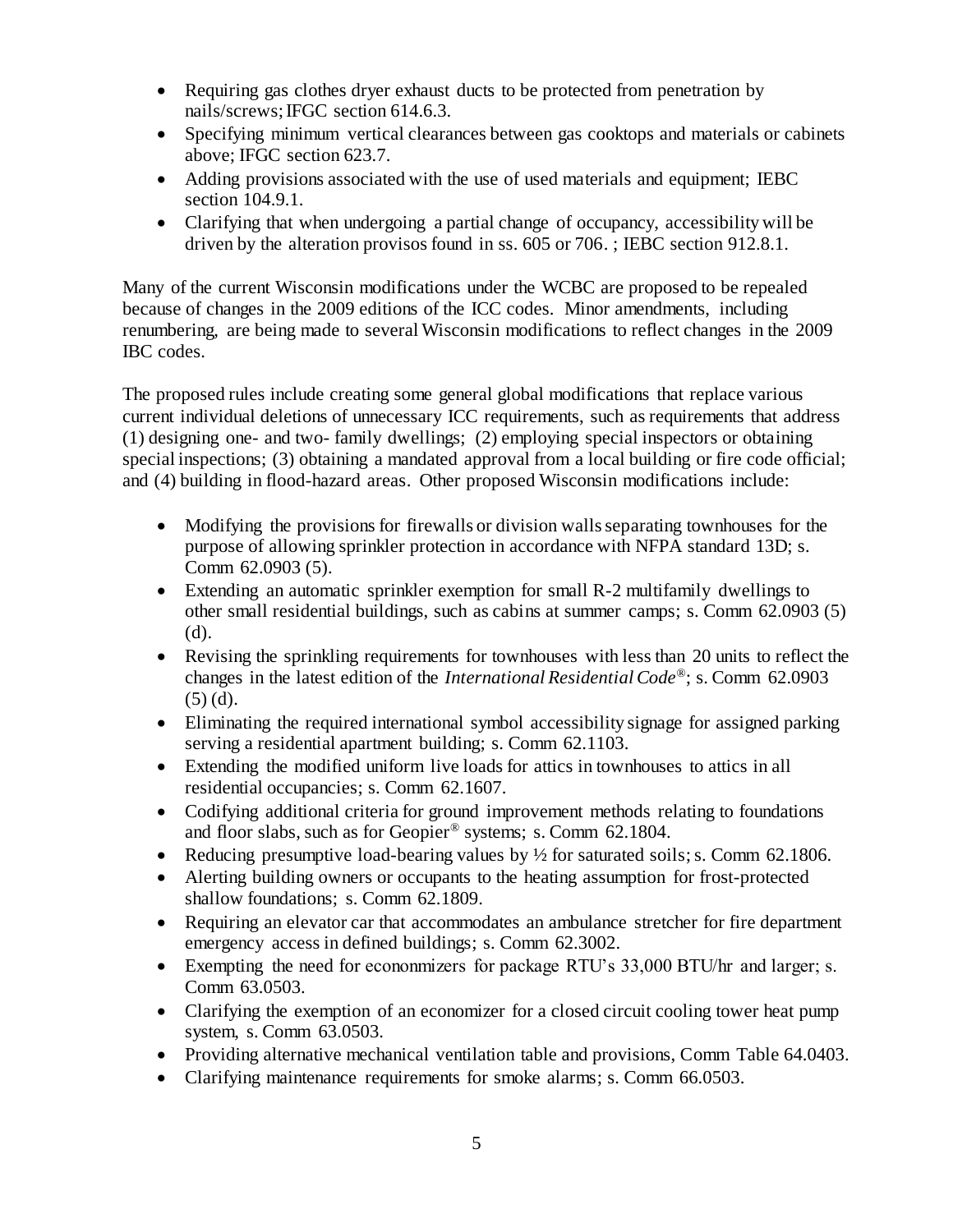- Requiring gas clothes dryer exhaust ducts to be protected from penetration by nails/screws; IFGC section 614.6.3.
- Specifying minimum vertical clearances between gas cooktops and materials or cabinets above; IFGC section 623.7.
- Adding provisions associated with the use of used materials and equipment; IEBC section 104.9.1.
- Clarifying that when undergoing a partial change of occupancy, accessibility will be driven by the alteration provisos found in ss. 605 or 706. ; IEBC section 912.8.1.

Many of the current Wisconsin modifications under the WCBC are proposed to be repealed because of changes in the 2009 editions of the ICC codes. Minor amendments, including renumbering, are being made to several Wisconsin modifications to reflect changes in the 2009 IBC codes.

The proposed rules include creating some general global modifications that replace various current individual deletions of unnecessary ICC requirements, such as requirements that address (1) designing one- and two- family dwellings; (2) employing special inspectors or obtaining special inspections; (3) obtaining a mandated approval from a local building or fire code official; and (4) building in flood-hazard areas. Other proposed Wisconsin modifications include:

- Modifying the provisions for firewalls or division walls separating townhouses for the purpose of allowing sprinkler protection in accordance with NFPA standard 13D; s. Comm 62.0903 (5).
- Extending an automatic sprinkler exemption for small R-2 multifamily dwellings to other small residential buildings, such as cabins at summer camps; s. Comm 62.0903 (5) (d).
- Revising the sprinkling requirements for townhouses with less than 20 units to reflect the changes in the latest edition of the *International Residential Code*®; s. Comm 62.0903 (5) (d).
- Eliminating the required international symbol accessibility signage for assigned parking serving a residential apartment building; s. Comm 62.1103.
- Extending the modified uniform live loads for attics in townhouses to attics in all residential occupancies; s. Comm 62.1607.
- Codifying additional criteria for ground improvement methods relating to foundations and floor slabs, such as for Geopier® systems; s. Comm 62.1804.
- Reducing presumptive load-bearing values by ½ for saturated soils; s. Comm 62.1806.
- Alerting building owners or occupants to the heating assumption for frost-protected shallow foundations; s. Comm 62.1809.
- Requiring an elevator car that accommodates an ambulance stretcher for fire department emergency access in defined buildings; s. Comm 62.3002.
- Exempting the need for econonmizers for package RTU's 33,000 BTU/hr and larger; s. Comm 63.0503.
- Clarifying the exemption of an economizer for a closed circuit cooling tower heat pump system, s. Comm 63.0503.
- Providing alternative mechanical ventilation table and provisions, Comm Table 64.0403.
- Clarifying maintenance requirements for smoke alarms; s. Comm 66.0503.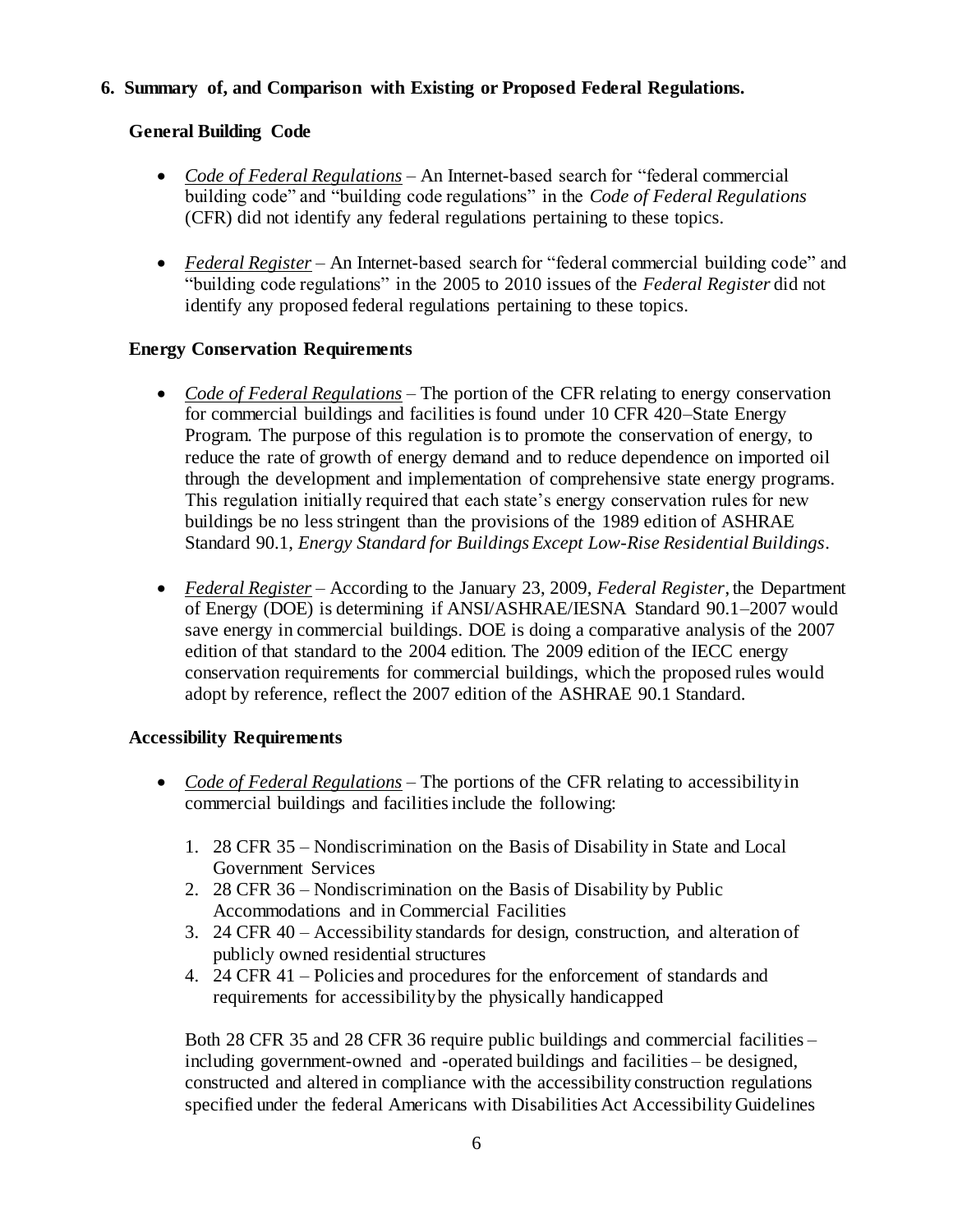## **6. Summary of, and Comparison with Existing or Proposed Federal Regulations.**

## **General Building Code**

- *Code of Federal Regulations* An Internet-based search for "federal commercial building code" and "building code regulations" in the *Code of Federal Regulations* (CFR) did not identify any federal regulations pertaining to these topics.
- *Federal Register* An Internet-based search for "federal commercial building code" and "building code regulations" in the 2005 to 2010 issues of the *Federal Register* did not identify any proposed federal regulations pertaining to these topics.

## **Energy Conservation Requirements**

- *Code of Federal Regulations* The portion of the CFR relating to energy conservation for commercial buildings and facilities is found under 10 CFR 420–State Energy Program. The purpose of this regulation is to promote the conservation of energy, to reduce the rate of growth of energy demand and to reduce dependence on imported oil through the development and implementation of comprehensive state energy programs. This regulation initially required that each state's energy conservation rules for new buildings be no less stringent than the provisions of the 1989 edition of ASHRAE Standard 90.1, *Energy Standard for Buildings Except Low-Rise Residential Buildings*.
- *Federal Register –* According to the January 23, 2009, *Federal Register*, the Department of Energy (DOE) is determining if ANSI/ASHRAE/IESNA Standard 90.1–2007 would save energy in commercial buildings. DOE is doing a comparative analysis of the 2007 edition of that standard to the 2004 edition. The 2009 edition of the IECC energy conservation requirements for commercial buildings, which the proposed rules would adopt by reference, reflect the 2007 edition of the ASHRAE 90.1 Standard.

## **Accessibility Requirements**

- *Code of Federal Regulations* The portions of the CFR relating to accessibility in commercial buildings and facilities include the following:
	- 1. 28 CFR 35 Nondiscrimination on the Basis of Disability in State and Local Government Services
	- 2. 28 CFR 36 Nondiscrimination on the Basis of Disability by Public Accommodations and in Commercial Facilities
	- 3. 24 CFR 40 Accessibility standards for design, construction, and alteration of publicly owned residential structures
	- 4. 24 CFR 41 Policies and procedures for the enforcement of standards and requirements for accessibility by the physically handicapped

Both 28 CFR 35 and 28 CFR 36 require public buildings and commercial facilities – including government-owned and -operated buildings and facilities – be designed, constructed and altered in compliance with the accessibility construction regulations specified under the federal Americans with Disabilities Act Accessibility Guidelines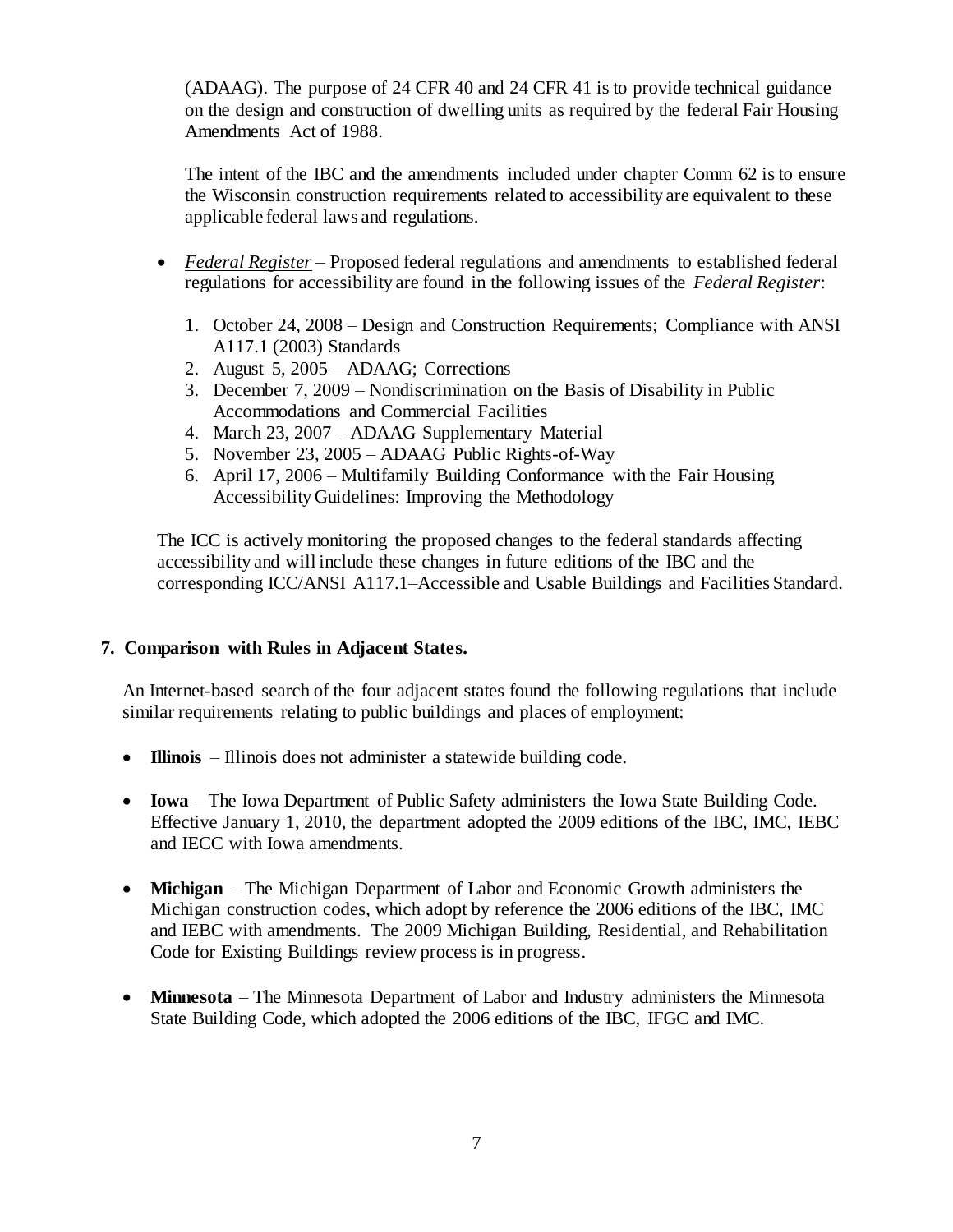(ADAAG). The purpose of 24 CFR 40 and 24 CFR 41 is to provide technical guidance on the design and construction of dwelling units as required by the federal Fair Housing Amendments Act of 1988.

The intent of the IBC and the amendments included under chapter Comm 62 is to ensure the Wisconsin construction requirements related to accessibility are equivalent to these applicable federal laws and regulations.

- *Federal Register* Proposed federal regulations and amendments to established federal regulations for accessibility are found in the following issues of the *Federal Register*:
	- 1. October 24, 2008 Design and Construction Requirements; Compliance with ANSI A117.1 (2003) Standards
	- 2. August 5, 2005 ADAAG; Corrections
	- 3. December 7, 2009 Nondiscrimination on the Basis of Disability in Public Accommodations and Commercial Facilities
	- 4. March 23, 2007 ADAAG Supplementary Material
	- 5. November 23, 2005 ADAAG Public Rights-of-Way
	- 6. April 17, 2006 Multifamily Building Conformance with the Fair Housing Accessibility Guidelines: Improving the Methodology

The ICC is actively monitoring the proposed changes to the federal standards affecting accessibility and will include these changes in future editions of the IBC and the corresponding ICC/ANSI A117.1–Accessible and Usable Buildings and Facilities Standard.

## **7. Comparison with Rules in Adjacent States.**

An Internet-based search of the four adjacent states found the following regulations that include similar requirements relating to public buildings and places of employment:

- **Illinois** Illinois does not administer a statewide building code.
- **Iowa** The Iowa Department of Public Safety administers the Iowa State Building Code. Effective January 1, 2010, the department adopted the 2009 editions of the IBC, IMC, IEBC and IECC with Iowa amendments.
- **Michigan** The Michigan Department of Labor and Economic Growth administers the Michigan construction codes, which adopt by reference the 2006 editions of the IBC, IMC and IEBC with amendments. The 2009 Michigan Building, Residential, and Rehabilitation Code for Existing Buildings review process is in progress.
- **Minnesota** The Minnesota Department of Labor and Industry administers the Minnesota State Building Code, which adopted the 2006 editions of the IBC, IFGC and IMC.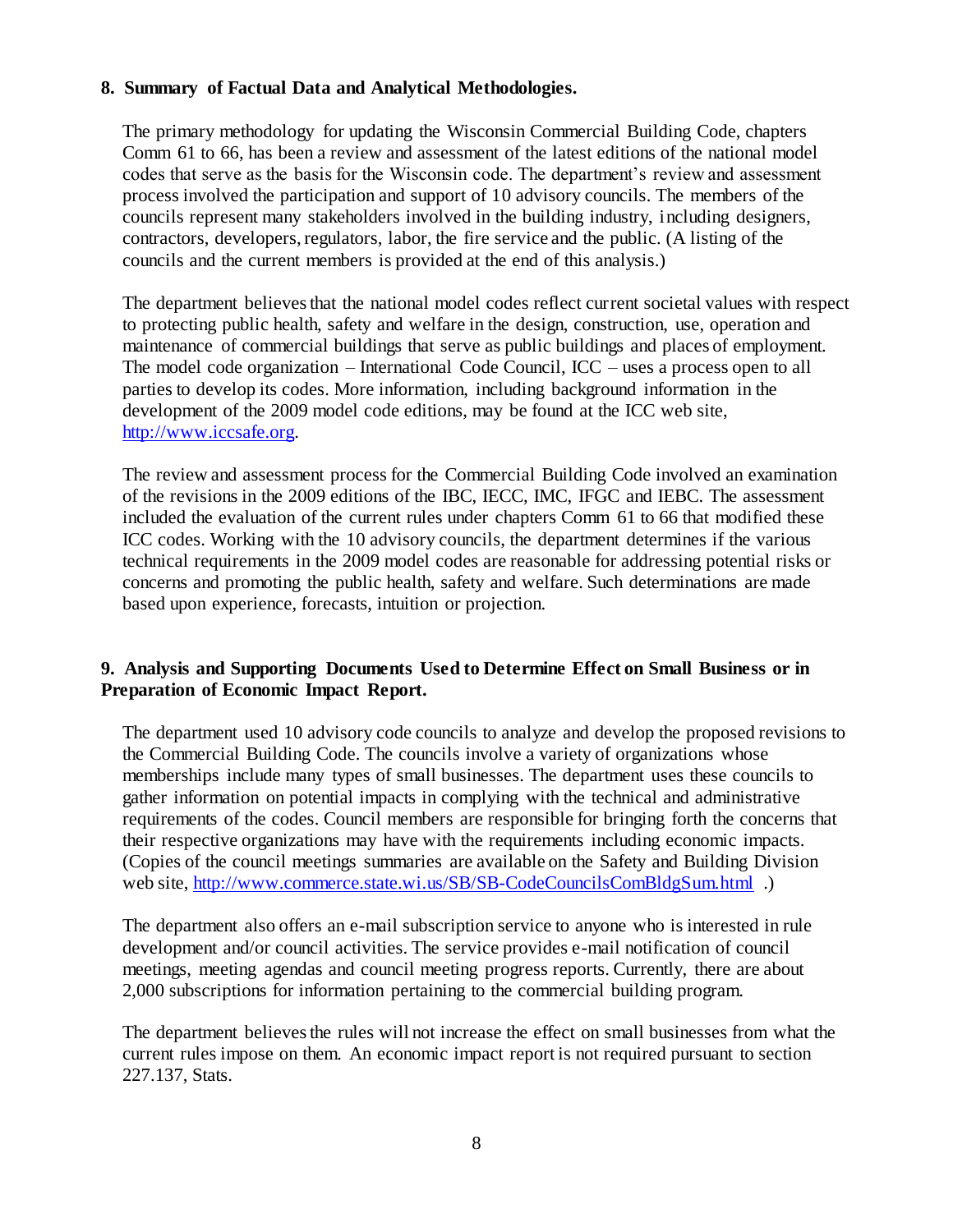## **8. Summary of Factual Data and Analytical Methodologies.**

The primary methodology for updating the Wisconsin Commercial Building Code, chapters Comm 61 to 66, has been a review and assessment of the latest editions of the national model codes that serve as the basis for the Wisconsin code. The department's review and assessment process involved the participation and support of 10 advisory councils. The members of the councils represent many stakeholders involved in the building industry, including designers, contractors, developers, regulators, labor, the fire service and the public. (A listing of the councils and the current members is provided at the end of this analysis.)

The department believes that the national model codes reflect current societal values with respect to protecting public health, safety and welfare in the design, construction, use, operation and maintenance of commercial buildings that serve as public buildings and places of employment. The model code organization – International Code Council, ICC – uses a process open to all parties to develop its codes. More information, including background information in the development of the 2009 model code editions, may be found at the ICC web site, [http://www.iccsafe.org.](http://www.iccsafe.org/)

The review and assessment process for the Commercial Building Code involved an examination of the revisions in the 2009 editions of the IBC, IECC, IMC, IFGC and IEBC. The assessment included the evaluation of the current rules under chapters Comm 61 to 66 that modified these ICC codes. Working with the 10 advisory councils, the department determines if the various technical requirements in the 2009 model codes are reasonable for addressing potential risks or concerns and promoting the public health, safety and welfare. Such determinations are made based upon experience, forecasts, intuition or projection.

## **9. Analysis and Supporting Documents Used to Determine Effect on Small Business or in Preparation of Economic Impact Report.**

The department used 10 advisory code councils to analyze and develop the proposed revisions to the Commercial Building Code. The councils involve a variety of organizations whose memberships include many types of small businesses. The department uses these councils to gather information on potential impacts in complying with the technical and administrative requirements of the codes. Council members are responsible for bringing forth the concerns that their respective organizations may have with the requirements including economic impacts. (Copies of the council meetings summaries are available on the Safety and Building Division web site,<http://www.commerce.state.wi.us/SB/SB-CodeCouncilsComBldgSum.html> .)

The department also offers an e-mail subscription service to anyone who is interested in rule development and/or council activities. The service provides e-mail notification of council meetings, meeting agendas and council meeting progress reports. Currently, there are about 2,000 subscriptions for information pertaining to the commercial building program.

The department believes the rules will not increase the effect on small businesses from what the current rules impose on them. An economic impact report is not required pursuant to section 227.137, Stats.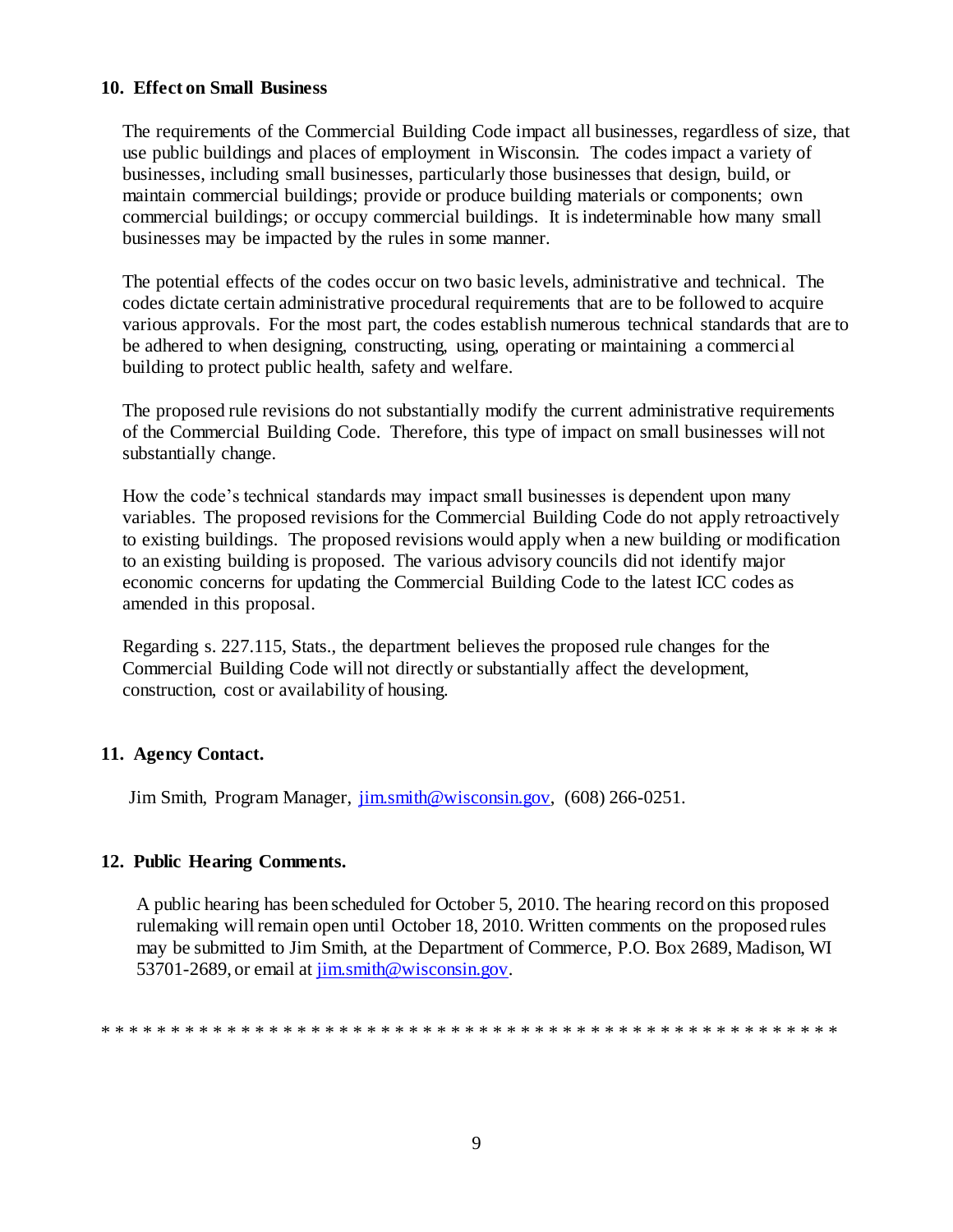#### **10. Effect on Small Business**

The requirements of the Commercial Building Code impact all businesses, regardless of size, that use public buildings and places of employment in Wisconsin. The codes impact a variety of businesses, including small businesses, particularly those businesses that design, build, or maintain commercial buildings; provide or produce building materials or components; own commercial buildings; or occupy commercial buildings. It is indeterminable how many small businesses may be impacted by the rules in some manner.

The potential effects of the codes occur on two basic levels, administrative and technical. The codes dictate certain administrative procedural requirements that are to be followed to acquire various approvals. For the most part, the codes establish numerous technical standards that are to be adhered to when designing, constructing, using, operating or maintaining a commercial building to protect public health, safety and welfare.

The proposed rule revisions do not substantially modify the current administrative requirements of the Commercial Building Code. Therefore, this type of impact on small businesses will not substantially change.

How the code's technical standards may impact small businesses is dependent upon many variables. The proposed revisions for the Commercial Building Code do not apply retroactively to existing buildings. The proposed revisions would apply when a new building or modification to an existing building is proposed. The various advisory councils did not identify major economic concerns for updating the Commercial Building Code to the latest ICC codes as amended in this proposal.

Regarding s. 227.115, Stats., the department believes the proposed rule changes for the Commercial Building Code will not directly or substantially affect the development, construction, cost or availability of housing.

## **11. Agency Contact.**

Jim Smith, Program Manager,  $\overline{\lim\limits_{\text{min}}\omega}$  wisconsin.gov, (608) 266-0251.

## **12. Public Hearing Comments.**

A public hearing has been scheduled for October 5, 2010. The hearing record on this proposed rulemaking will remain open until October 18, 2010. Written comments on the proposed rules may be submitted to Jim Smith, at the Department of Commerce, P.O. Box 2689, Madison, WI 53701-2689, or email at [jim.smith@wisconsin.gov.](mailto:jim.smith@wisconsin.gov)

\* \* \* \* \* \* \* \* \* \* \* \* \* \* \* \* \* \* \* \* \* \* \* \* \* \* \* \* \* \* \* \* \* \* \* \* \* \* \* \* \* \* \* \* \* \* \* \* \* \* \* \* \*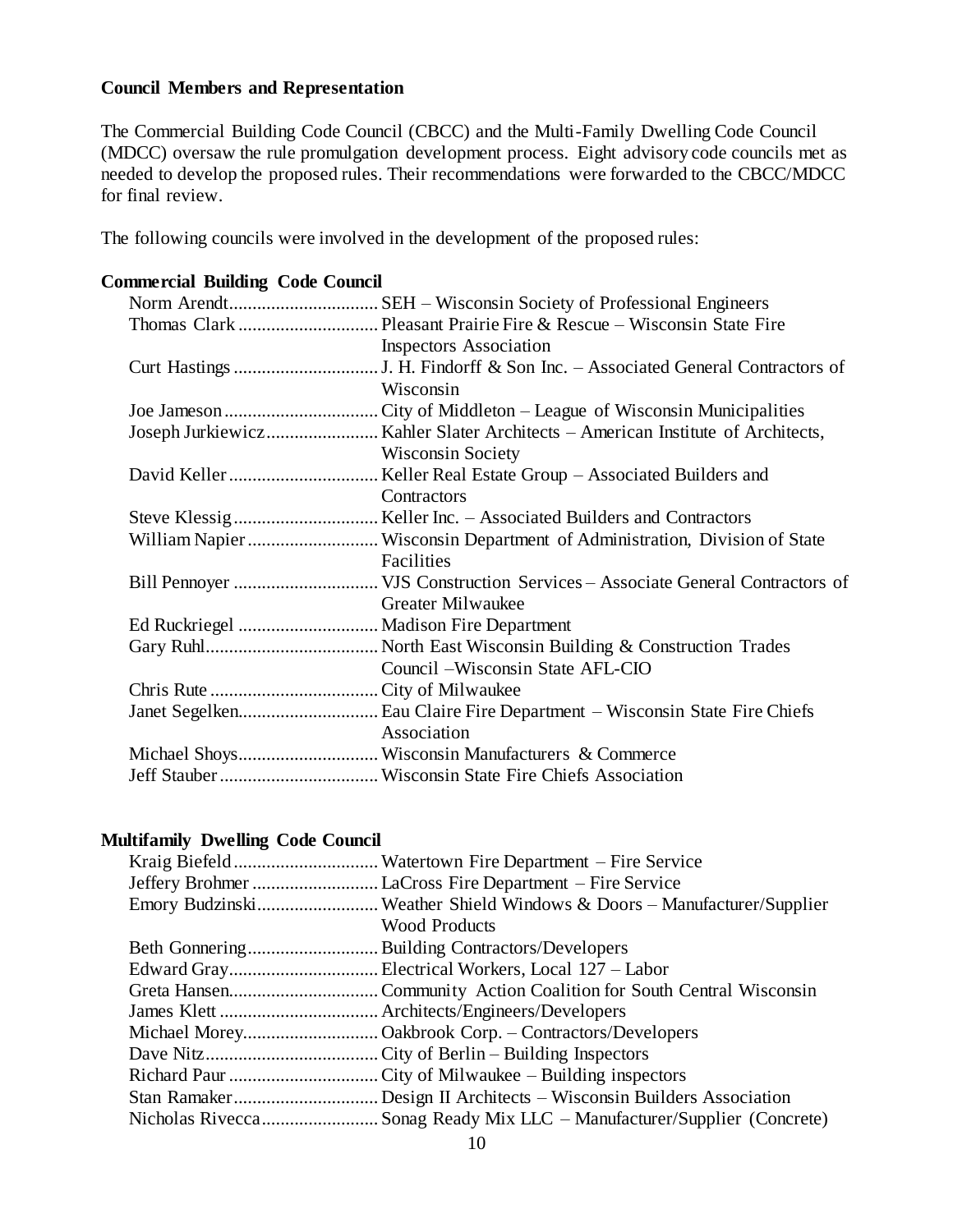## **Council Members and Representation**

The Commercial Building Code Council (CBCC) and the Multi-Family Dwelling Code Council (MDCC) oversaw the rule promulgation development process. Eight advisory code councils met as needed to develop the proposed rules. Their recommendations were forwarded to the CBCC/MDCC for final review.

The following councils were involved in the development of the proposed rules:

## **Commercial Building Code Council** Norm Arendt................................ SEH – Wisconsin Society of Professional Engineers Thomas Clark .............................. Pleasant Prairie Fire & Rescue – Wisconsin State Fire Inspectors Association Curt Hastings...............................J. H. Findorff & Son Inc. – Associated General Contractors of Wisconsin Joe Jameson.................................City of Middleton – League of Wisconsin Municipalities Joseph Jurkiewicz........................ Kahler Slater Architects – American Institute of Architects, Wisconsin Society David Keller................................ Keller Real Estate Group – Associated Builders and **Contractors** Steve Klessig............................... Keller Inc. – Associated Builders and Contractors William Napier............................ Wisconsin Department of Administration, Division of State Facilities Bill Pennoyer ............................... VJS Construction Services – Associate General Contractors of Greater Milwaukee Ed Ruckriegel .............................. Madison Fire Department Gary Ruhl..................................... North East Wisconsin Building & Construction Trades Council –Wisconsin State AFL-CIO Chris Rute ....................................City of Milwaukee Janet Segelken.............................. Eau Claire Fire Department – Wisconsin State Fire Chiefs Association Michael Shoys.............................. Wisconsin Manufacturers & Commerce Jeff Stauber..................................Wisconsin State Fire Chiefs Association

## **Multifamily Dwelling Code Council**

| Emory BudzinskiWeather Shield Windows & Doors - Manufacturer/Supplier |  |
|-----------------------------------------------------------------------|--|
| <b>Wood Products</b>                                                  |  |
|                                                                       |  |
|                                                                       |  |
|                                                                       |  |
|                                                                       |  |
|                                                                       |  |
|                                                                       |  |
|                                                                       |  |
|                                                                       |  |
|                                                                       |  |
|                                                                       |  |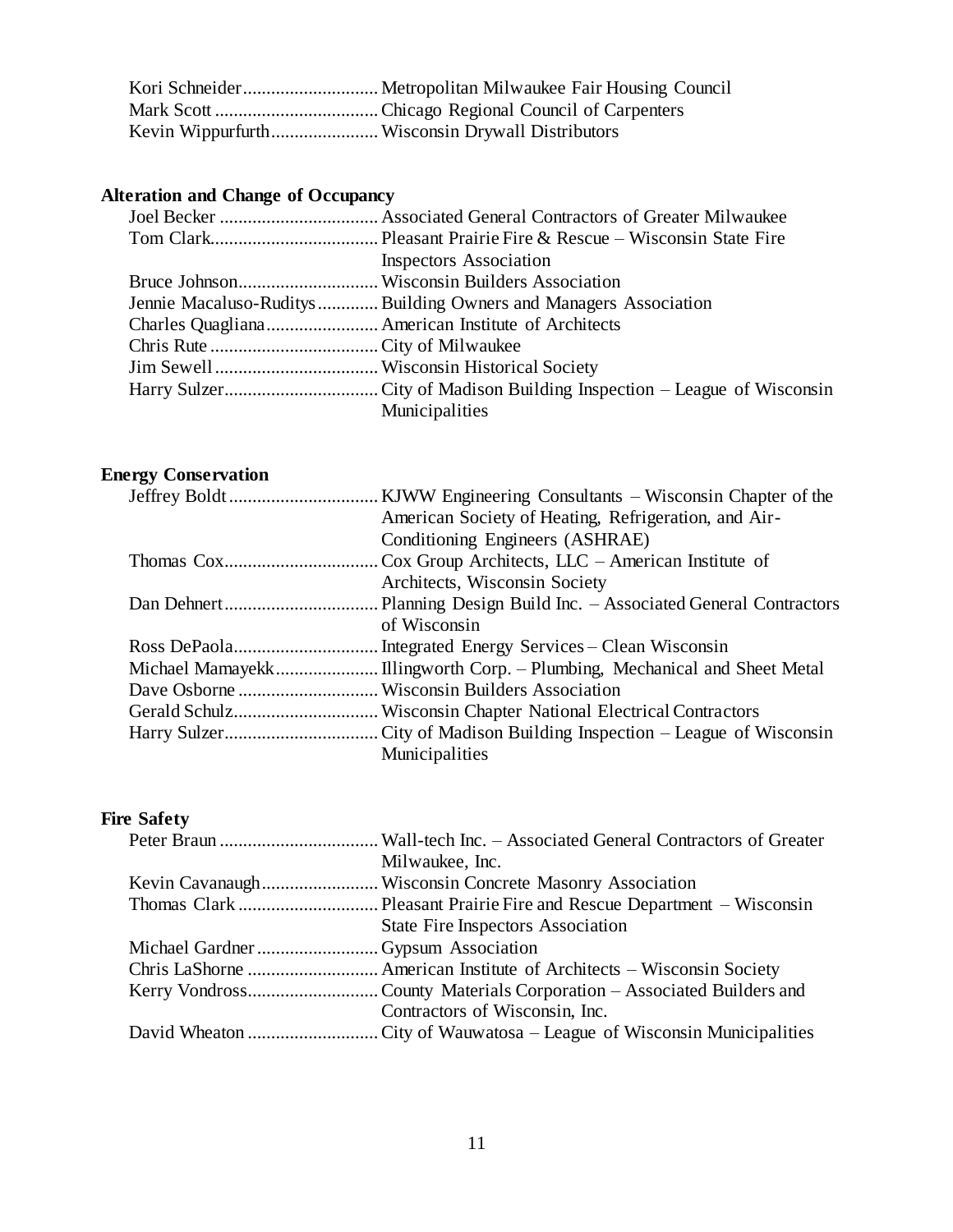## **Alteration and Change of Occupancy**

| <b>Inspectors Association</b>                                     |
|-------------------------------------------------------------------|
|                                                                   |
| Jennie Macaluso-Ruditys  Building Owners and Managers Association |
|                                                                   |
|                                                                   |
|                                                                   |
|                                                                   |
| Municipalities                                                    |

## **Energy Conservation**

| American Society of Heating, Refrigeration, and Air- |  |
|------------------------------------------------------|--|
| Conditioning Engineers (ASHRAE)                      |  |
|                                                      |  |
| Architects, Wisconsin Society                        |  |
|                                                      |  |
| of Wisconsin                                         |  |
|                                                      |  |
|                                                      |  |
|                                                      |  |
|                                                      |  |
|                                                      |  |
| Municipalities                                       |  |
|                                                      |  |

## **Fire Safety**

|                                   | Milwaukee, Inc.                          |
|-----------------------------------|------------------------------------------|
|                                   |                                          |
|                                   |                                          |
|                                   | <b>State Fire Inspectors Association</b> |
| Michael GardnerGypsum Association |                                          |
|                                   |                                          |
|                                   |                                          |
|                                   | Contractors of Wisconsin, Inc.           |
|                                   |                                          |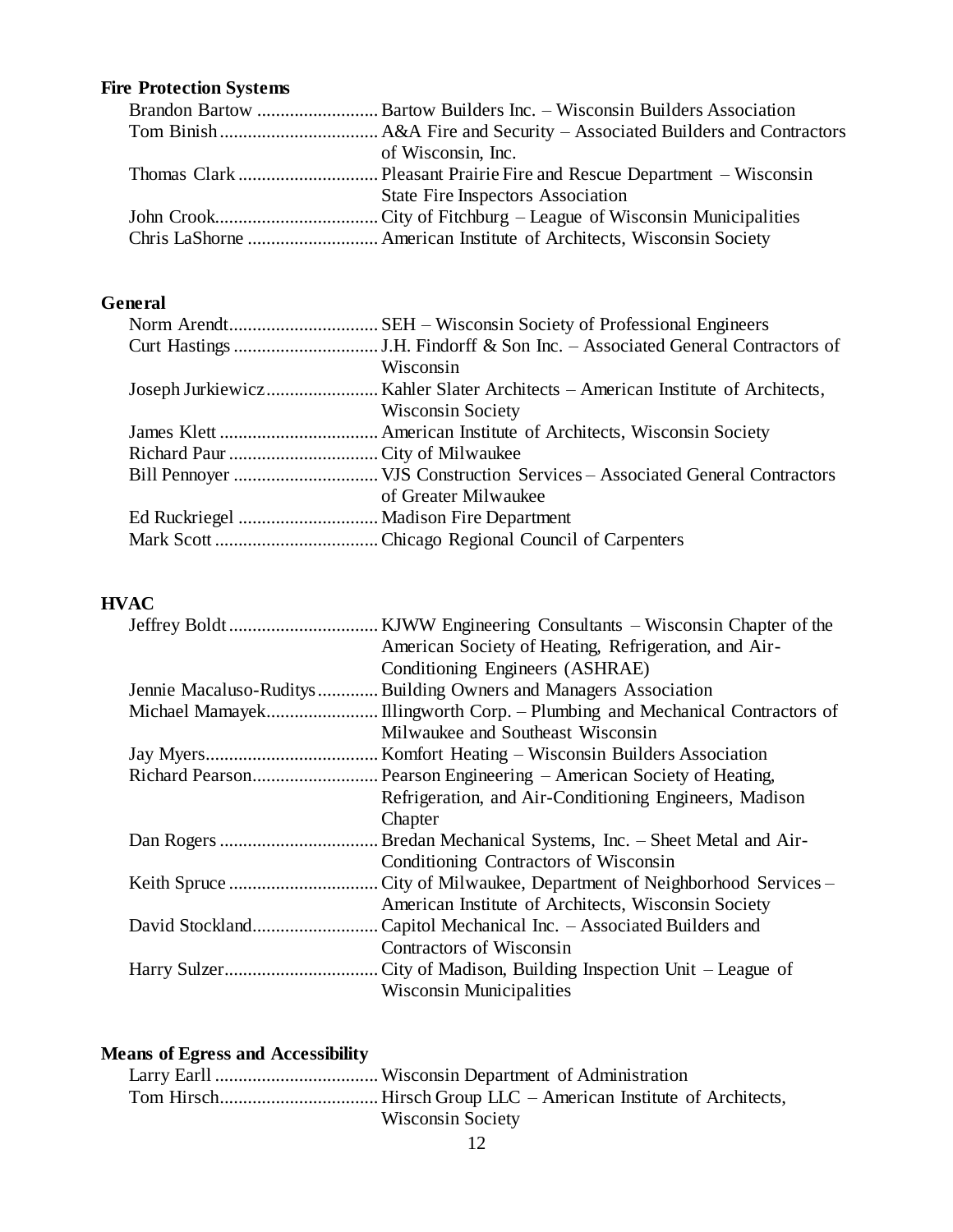## **Fire Protection Systems**

| of Wisconsin, Inc.                       |
|------------------------------------------|
|                                          |
| <b>State Fire Inspectors Association</b> |
|                                          |
|                                          |

## **General**

| Wisconsin                |
|--------------------------|
|                          |
| <b>Wisconsin Society</b> |
|                          |
|                          |
|                          |
| of Greater Milwaukee     |
|                          |
|                          |
|                          |

## **HVAC**

| KJWW Engineering Consultants – Wisconsin Chapter of the           |
|-------------------------------------------------------------------|
|                                                                   |
| American Society of Heating, Refrigeration, and Air-              |
| Conditioning Engineers (ASHRAE)                                   |
| Jennie Macaluso-Ruditys  Building Owners and Managers Association |
|                                                                   |
| Milwaukee and Southeast Wisconsin                                 |
| Komfort Heating – Wisconsin Builders Association                  |
|                                                                   |
| Refrigeration, and Air-Conditioning Engineers, Madison            |
| Chapter                                                           |
| Bredan Mechanical Systems, Inc. - Sheet Metal and Air-            |
| Conditioning Contractors of Wisconsin                             |
| City of Milwaukee, Department of Neighborhood Services –          |
| American Institute of Architects, Wisconsin Society               |
| Capitol Mechanical Inc. - Associated Builders and                 |
| Contractors of Wisconsin                                          |
| City of Madison, Building Inspection Unit – League of             |
| <b>Wisconsin Municipalities</b>                                   |

## **Means of Egress and Accessibility** Larry Earll ...................................Wisconsin Department of Administration Tom Hirsch.................................. Hirsch Group LLC – American Institute of Architects, Wisconsin Society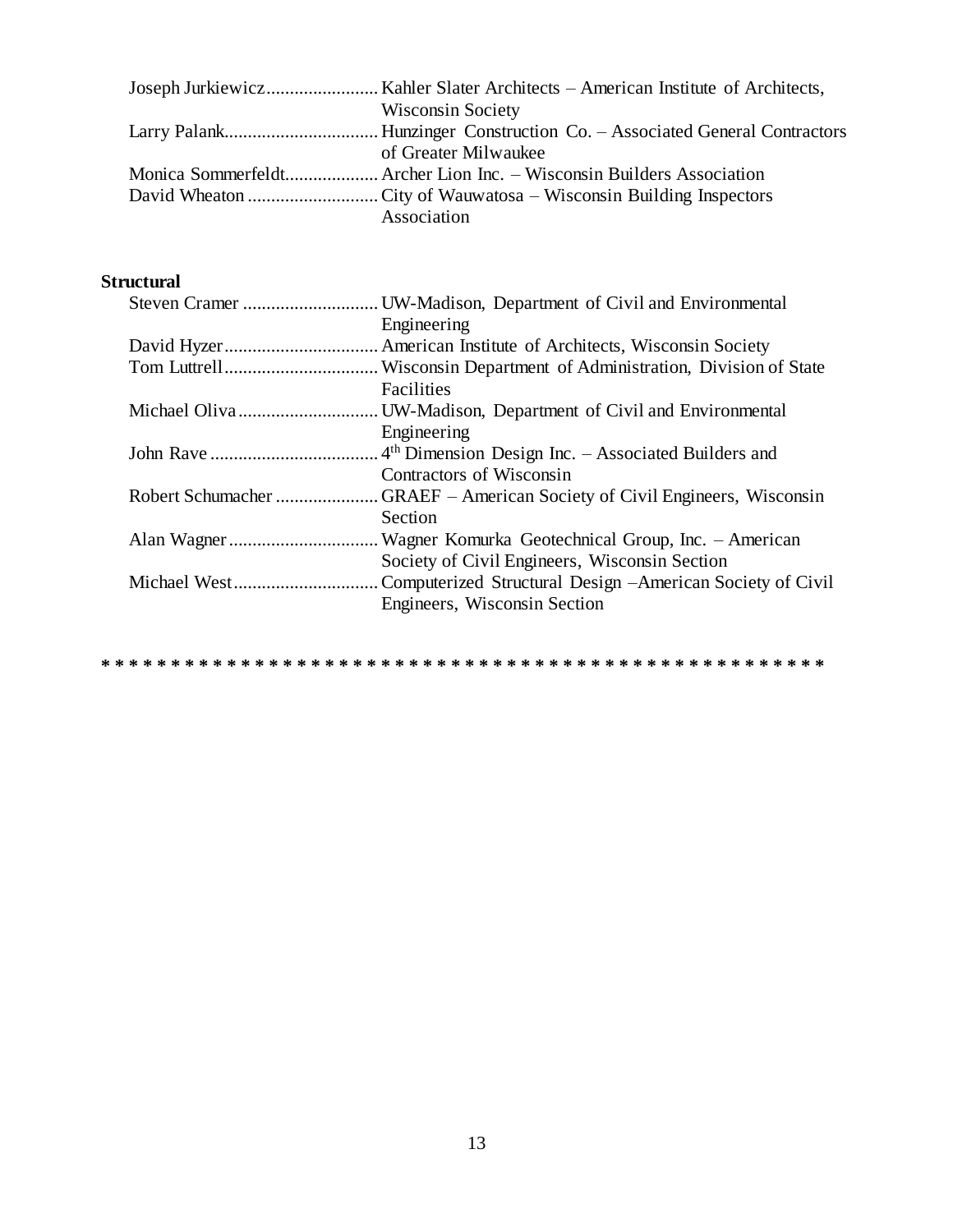| <b>Wisconsin Society</b> |
|--------------------------|
|                          |
| of Greater Milwaukee     |
|                          |
|                          |
| Association              |

## **Structural**

| Engineering                                                |
|------------------------------------------------------------|
|                                                            |
|                                                            |
| Facilities                                                 |
|                                                            |
| Engineering                                                |
|                                                            |
| Contractors of Wisconsin                                   |
|                                                            |
| Section                                                    |
|                                                            |
| Society of Civil Engineers, Wisconsin Section              |
| Computerized Structural Design – American Society of Civil |
| Engineers, Wisconsin Section                               |
|                                                            |

**\* \* \* \* \* \* \* \* \* \* \* \* \* \* \* \* \* \* \* \* \* \* \* \* \* \* \* \* \* \* \* \* \* \* \* \* \* \* \* \* \* \* \* \* \* \* \* \* \* \* \* \***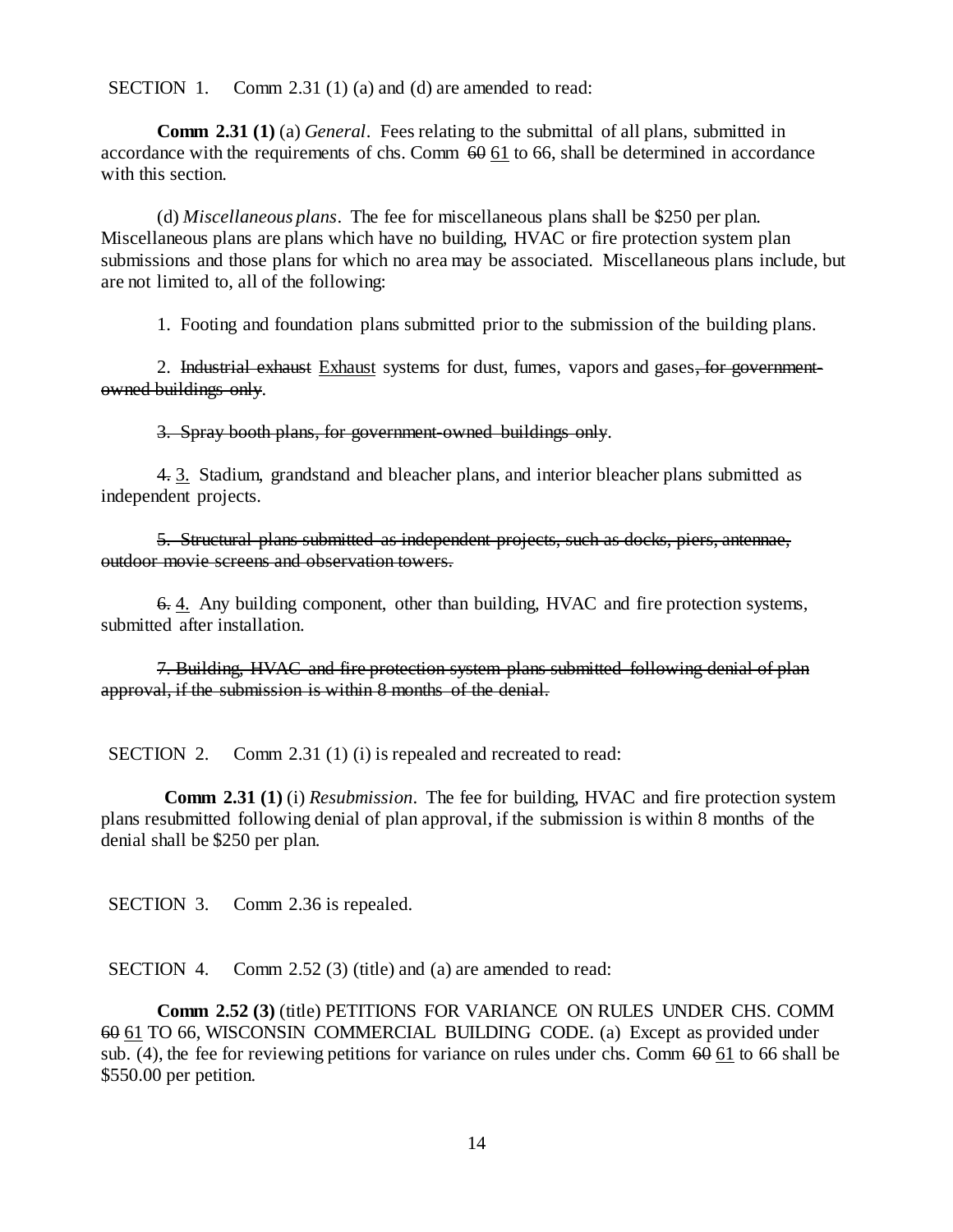SECTION 1. Comm 2.31 (1) (a) and (d) are amended to read:

**Comm 2.31 (1)** (a) *General*. Fees relating to the submittal of all plans, submitted in accordance with the requirements of chs. Comm  $60\overline{61}$  to 66, shall be determined in accordance with this section.

(d) *Miscellaneous plans*. The fee for miscellaneous plans shall be \$250 per plan. Miscellaneous plans are plans which have no building, HVAC or fire protection system plan submissions and those plans for which no area may be associated. Miscellaneous plans include, but are not limited to, all of the following:

1. Footing and foundation plans submitted prior to the submission of the building plans.

2. Industrial exhaust Exhaust systems for dust, fumes, vapors and gases, for governmentowned buildings only.

3. Spray booth plans, for government-owned buildings only.

4. 3. Stadium, grandstand and bleacher plans, and interior bleacher plans submitted as independent projects.

5. Structural plans submitted as independent projects, such as docks, piers, antennae, outdoor movie screens and observation towers.

6. 4. Any building component, other than building, HVAC and fire protection systems, submitted after installation.

7. Building, HVAC and fire protection system plans submitted following denial of plan approval, if the submission is within 8 months of the denial.

SECTION 2. Comm 2.31 (1) (i) is repealed and recreated to read:

**Comm 2.31 (1)** (i) *Resubmission*. The fee for building, HVAC and fire protection system plans resubmitted following denial of plan approval, if the submission is within 8 months of the denial shall be \$250 per plan.

SECTION 3. Comm 2.36 is repealed.

SECTION 4. Comm 2.52 (3) (title) and (a) are amended to read:

**Comm 2.52 (3)** (title) PETITIONS FOR VARIANCE ON RULES UNDER CHS. COMM 60 61 TO 66, WISCONSIN COMMERCIAL BUILDING CODE. (a) Except as provided under sub. (4), the fee for reviewing petitions for variance on rules under chs. Comm  $60\,61$  to 66 shall be \$550.00 per petition.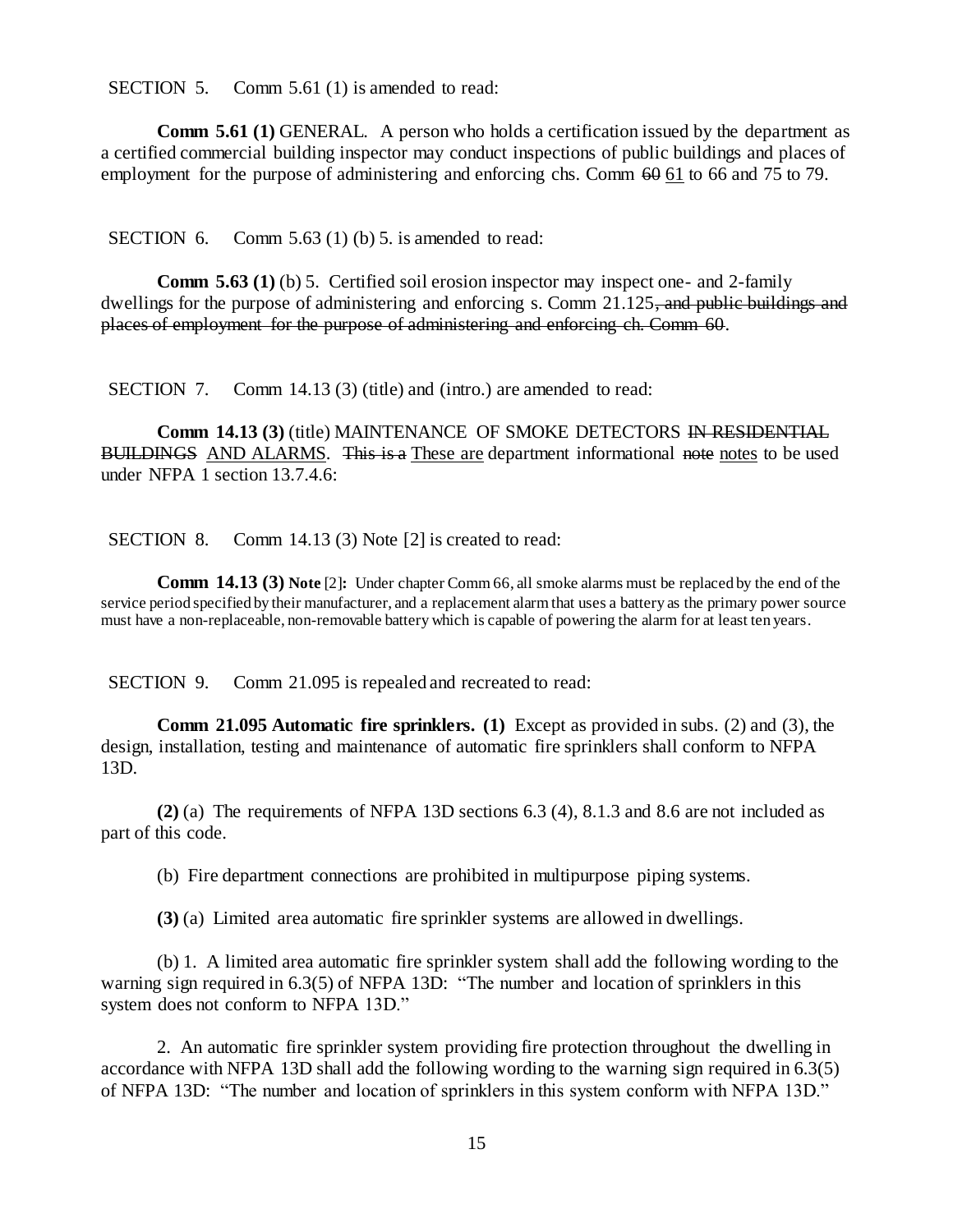SECTION 5. Comm 5.61 (1) is amended to read:

**Comm 5.61 (1)** GENERAL. A person who holds a certification issued by the department as a certified commercial building inspector may conduct inspections of public buildings and places of employment for the purpose of administering and enforcing chs. Comm  $60$  61 to 66 and 75 to 79.

SECTION 6. Comm 5.63 (1) (b) 5. is amended to read:

**Comm 5.63 (1)** (b) 5. Certified soil erosion inspector may inspect one- and 2-family dwellings for the purpose of administering and enforcing s. Comm 21.125, and public buildings and places of employment for the purpose of administering and enforcing ch. Comm 60.

SECTION 7. Comm 14.13 (3) (title) and (intro.) are amended to read:

**Comm 14.13 (3)** (title) MAINTENANCE OF SMOKE DETECTORS IN RESIDENTIAL BUILDINGS AND ALARMS. This is a These are department informational note notes to be used under NFPA 1 section 13.7.4.6:

SECTION 8. Comm 14.13 (3) Note [2] is created to read:

**Comm 14.13 (3) Note** [2]**:** Under chapter Comm 66, all smoke alarms must be replaced by the end of the service period specified by their manufacturer, and a replacement alarm that uses a battery as the primary power source must have a non-replaceable, non-removable battery which is capable of powering the alarm for at least ten years.

SECTION 9. Comm 21.095 is repealed and recreated to read:

**Comm 21.095 Automatic fire sprinklers. (1)** Except as provided in subs. (2) and (3), the design, installation, testing and maintenance of automatic fire sprinklers shall conform to NFPA 13D.

**(2)** (a) The requirements of NFPA 13D sections 6.3 (4), 8.1.3 and 8.6 are not included as part of this code.

(b) Fire department connections are prohibited in multipurpose piping systems.

**(3)** (a) Limited area automatic fire sprinkler systems are allowed in dwellings.

(b) 1. A limited area automatic fire sprinkler system shall add the following wording to the warning sign required in 6.3(5) of NFPA 13D: "The number and location of sprinklers in this system does not conform to NFPA 13D."

2. An automatic fire sprinkler system providing fire protection throughout the dwelling in accordance with NFPA 13D shall add the following wording to the warning sign required in 6.3(5) of NFPA 13D: "The number and location of sprinklers in this system conform with NFPA 13D."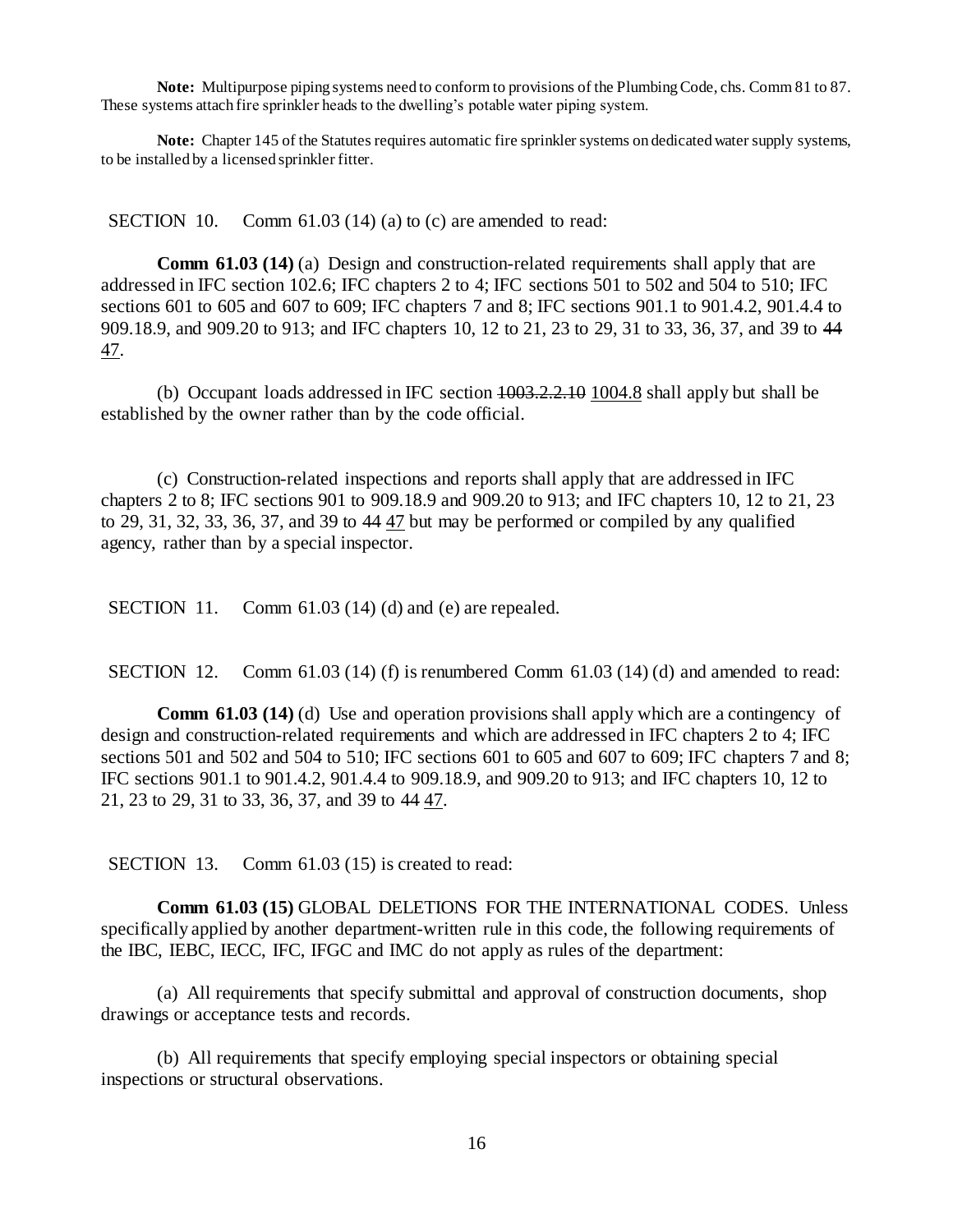**Note:** Multipurpose piping systems need to conform to provisions of the Plumbing Code, chs. Comm 81 to 87. These systems attach fire sprinkler heads to the dwelling's potable water piping system.

**Note:** Chapter 145 of the Statutes requires automatic fire sprinkler systems on dedicated water supply systems, to be installed by a licensed sprinkler fitter.

SECTION 10. Comm 61.03 (14) (a) to (c) are amended to read:

**Comm 61.03 (14)** (a) Design and construction-related requirements shall apply that are addressed in IFC section 102.6; IFC chapters 2 to 4; IFC sections 501 to 502 and 504 to 510; IFC sections 601 to 605 and 607 to 609; IFC chapters 7 and 8; IFC sections 901.1 to 901.4.2, 901.4.4 to 909.18.9, and 909.20 to 913; and IFC chapters 10, 12 to 21, 23 to 29, 31 to 33, 36, 37, and 39 to 44 47.

(b) Occupant loads addressed in IFC section 1003.2.2.10 1004.8 shall apply but shall be established by the owner rather than by the code official.

(c) Construction-related inspections and reports shall apply that are addressed in IFC chapters 2 to 8; IFC sections 901 to 909.18.9 and 909.20 to 913; and IFC chapters 10, 12 to 21, 23 to 29, 31, 32, 33, 36, 37, and 39 to 44 47 but may be performed or compiled by any qualified agency, rather than by a special inspector.

SECTION 11. Comm 61.03 (14) (d) and (e) are repealed.

SECTION 12. Comm 61.03 (14) (f) is renumbered Comm 61.03 (14) (d) and amended to read:

**Comm 61.03 (14)** (d) Use and operation provisions shall apply which are a contingency of design and construction-related requirements and which are addressed in IFC chapters 2 to 4; IFC sections 501 and 502 and 504 to 510; IFC sections 601 to 605 and 607 to 609; IFC chapters 7 and 8; IFC sections 901.1 to 901.4.2, 901.4.4 to 909.18.9, and 909.20 to 913; and IFC chapters 10, 12 to 21, 23 to 29, 31 to 33, 36, 37, and 39 to 44 47.

SECTION 13. Comm 61.03 (15) is created to read:

**Comm 61.03 (15)** GLOBAL DELETIONS FOR THE INTERNATIONAL CODES. Unless specifically applied by another department-written rule in this code, the following requirements of the IBC, IEBC, IECC, IFC, IFGC and IMC do not apply as rules of the department:

(a) All requirements that specify submittal and approval of construction documents, shop drawings or acceptance tests and records.

(b) All requirements that specify employing special inspectors or obtaining special inspections or structural observations.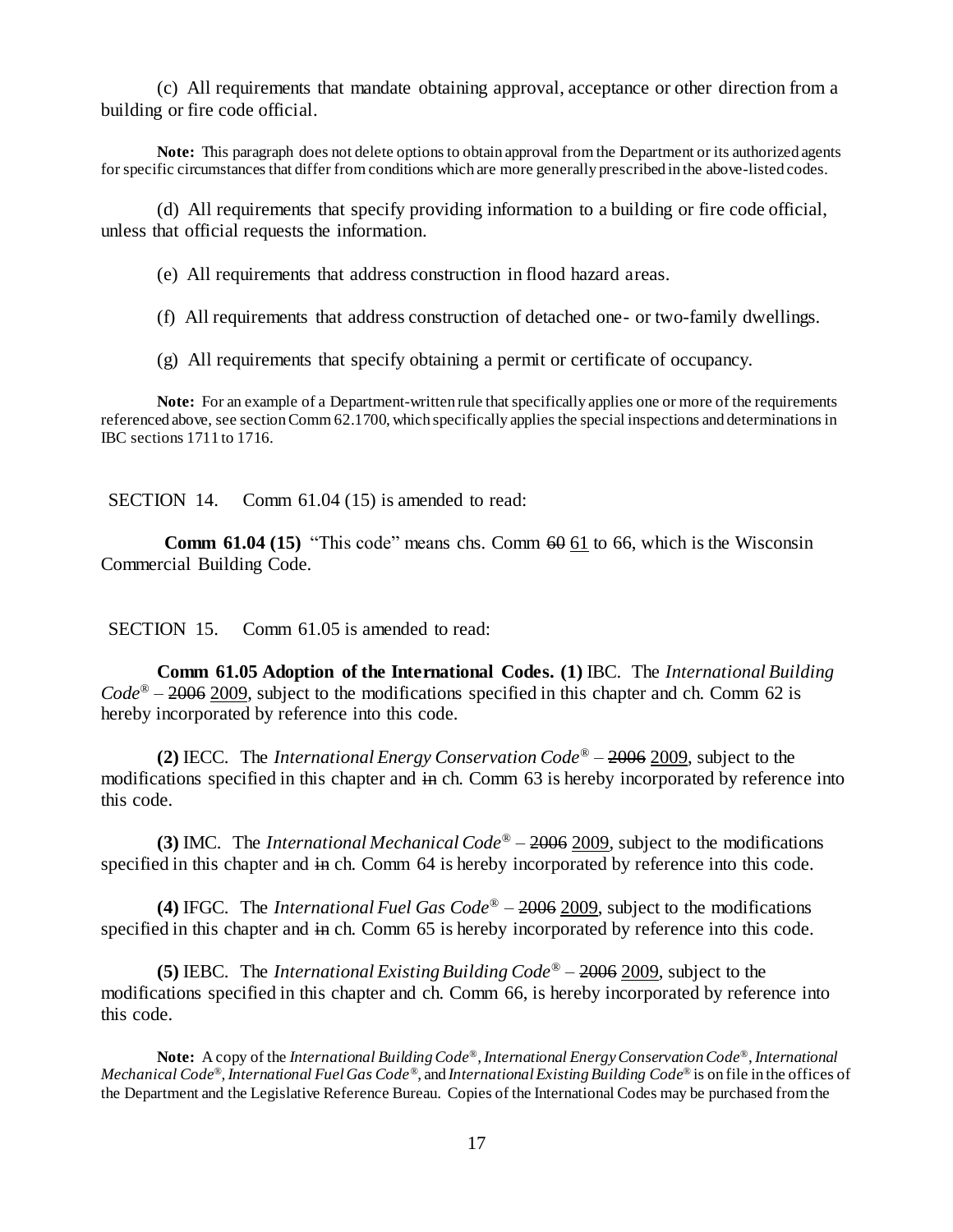(c) All requirements that mandate obtaining approval, acceptance or other direction from a building or fire code official.

**Note:** This paragraph does not delete options to obtain approval from the Department or its authorized agents for specific circumstances that differ from conditions which are more generally prescribed in the above-listed codes.

(d) All requirements that specify providing information to a building or fire code official, unless that official requests the information.

(e) All requirements that address construction in flood hazard areas.

(f) All requirements that address construction of detached one- or two-family dwellings.

(g) All requirements that specify obtaining a permit or certificate of occupancy.

**Note:** For an example of a Department-written rule that specifically applies one or more of the requirements referenced above, see section Comm 62.1700, which specifically applies the special inspections and determinations in IBC sections 1711 to 1716.

SECTION 14. Comm 61.04 (15) is amended to read:

**Comm 61.04 (15)** "This code" means chs. Comm  $60 \underline{61}$  to 66, which is the Wisconsin Commercial Building Code.

SECTION 15. Comm 61.05 is amended to read:

**Comm 61.05 Adoption of the International Codes. (1)** IBC. The *International Building Code*® – 2006 2009, subject to the modifications specified in this chapter and ch. Comm 62 is hereby incorporated by reference into this code.

**(2)** IECC. The *International Energy Conservation Code*® – 2006 2009, subject to the modifications specified in this chapter and in ch. Comm 63 is hereby incorporated by reference into this code.

**(3)** IMC. The *International Mechanical Code*® – 2006 2009, subject to the modifications specified in this chapter and in ch. Comm 64 is hereby incorporated by reference into this code.

**(4)** IFGC. The *International Fuel Gas Code*® – 2006 2009, subject to the modifications specified in this chapter and in ch. Comm 65 is hereby incorporated by reference into this code.

**(5)** IEBC. The *International Existing Building Code*® – 2006 2009, subject to the modifications specified in this chapter and ch. Comm 66, is hereby incorporated by reference into this code.

**Note:** A copy of the *International Building Code®*, *International Energy Conservation Code®*, *International Mechanical Code®*, *International Fuel Gas Code®*, and *International Existing Building Code®* is on file in the offices of the Department and the Legislative Reference Bureau. Copies of the International Codes may be purchased from the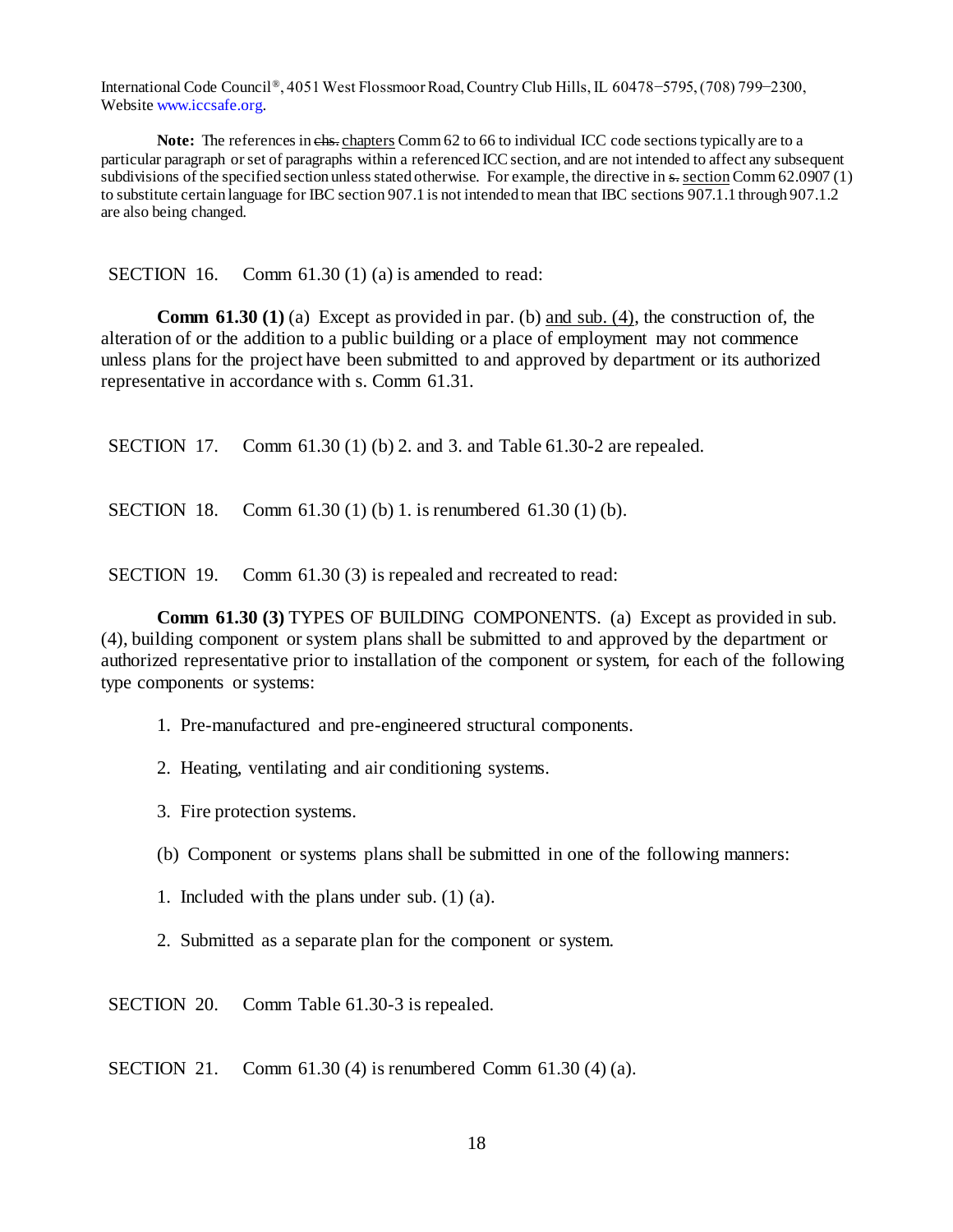International Code Council*®*, 4051 West Flossmoor Road, Country Club Hills, IL 60478−5795, (708) 799−2300, Websit[e www.iccsafe.org.](http://www.iccsafe.org/)

Note: The references in chs. chapters Comm 62 to 66 to individual ICC code sections typically are to a particular paragraph or set of paragraphs within a referenced ICC section, and are not intended to affect any subsequent subdivisions of the specified section unless stated otherwise. For example, the directive in s- section Comm 62.0907 (1) to substitute certain language for IBC section 907.1 is not intended to mean that IBC sections 907.1.1 through 907.1.2 are also being changed.

SECTION 16. Comm 61.30 (1) (a) is amended to read:

**Comm 61.30 (1)** (a) Except as provided in par. (b) and sub. (4), the construction of, the alteration of or the addition to a public building or a place of employment may not commence unless plans for the project have been submitted to and approved by department or its authorized representative in accordance with s. Comm 61.31.

SECTION 17. Comm 61.30 (1) (b) 2. and 3. and Table 61.30-2 are repealed.

SECTION 18. Comm 61.30 (1) (b) 1. is renumbered 61.30 (1) (b).

SECTION 19. Comm 61.30 (3) is repealed and recreated to read:

**Comm 61.30 (3) TYPES OF BUILDING COMPONENTS.** (a) Except as provided in sub. (4), building component or system plans shall be submitted to and approved by the department or authorized representative prior to installation of the component or system, for each of the following type components or systems:

- 1. Pre-manufactured and pre-engineered structural components.
- 2. Heating, ventilating and air conditioning systems.
- 3. Fire protection systems.
- (b) Component or systems plans shall be submitted in one of the following manners:
- 1. Included with the plans under sub. (1) (a).
- 2. Submitted as a separate plan for the component or system.

SECTION 20. Comm Table 61.30-3 is repealed.

SECTION 21. Comm 61.30 (4) is renumbered Comm 61.30 (4) (a).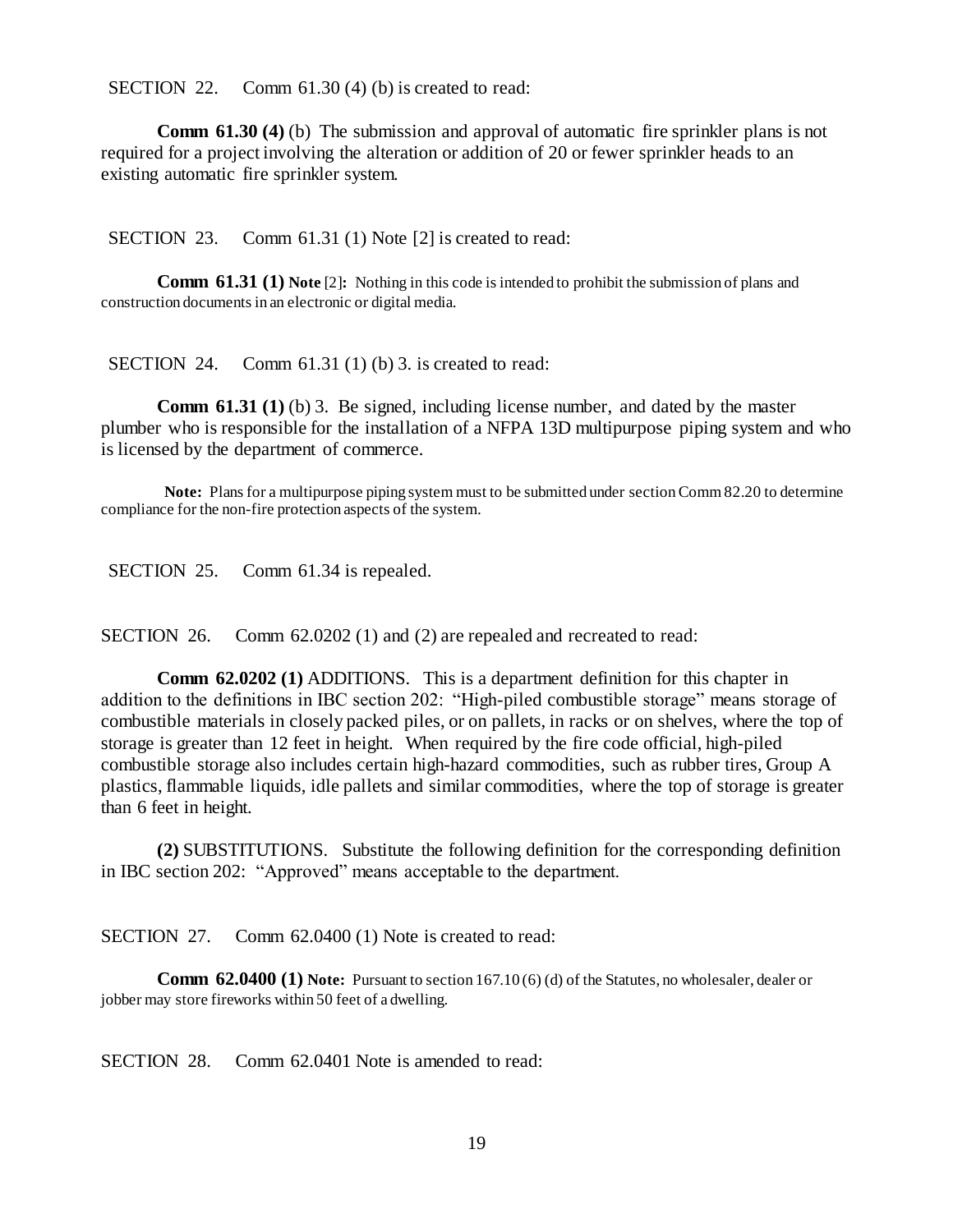SECTION 22. Comm 61.30 (4) (b) is created to read:

**Comm 61.30 (4)** (b) The submission and approval of automatic fire sprinkler plans is not required for a project involving the alteration or addition of 20 or fewer sprinkler heads to an existing automatic fire sprinkler system.

SECTION 23. Comm 61.31 (1) Note [2] is created to read:

**Comm 61.31 (1) Note** [2]**:** Nothing in this code is intended to prohibit the submission of plans and construction documents in an electronic or digital media.

SECTION 24. Comm 61.31 (1) (b) 3. is created to read:

**Comm 61.31 (1)** (b) 3. Be signed, including license number, and dated by the master plumber who is responsible for the installation of a NFPA 13D multipurpose piping system and who is licensed by the department of commerce.

**Note:** Plans for a multipurpose piping system must to be submitted under section Comm 82.20 to determine compliance for the non-fire protection aspects of the system.

SECTION 25. Comm 61.34 is repealed.

SECTION 26. Comm 62.0202 (1) and (2) are repealed and recreated to read:

**Comm 62.0202 (1)** ADDITIONS. This is a department definition for this chapter in addition to the definitions in IBC section 202: "High-piled combustible storage" means storage of combustible materials in closely packed piles, or on pallets, in racks or on shelves, where the top of storage is greater than 12 feet in height. When required by the fire code official, high-piled combustible storage also includes certain high-hazard commodities, such as rubber tires, Group A plastics, flammable liquids, idle pallets and similar commodities, where the top of storage is greater than 6 feet in height.

**(2)** SUBSTITUTIONS. Substitute the following definition for the corresponding definition in IBC section 202: "Approved" means acceptable to the department.

SECTION 27. Comm 62.0400 (1) Note is created to read:

**Comm 62.0400 (1) Note:** Pursuant to section 167.10 (6) (d) of the Statutes, no wholesaler, dealer or jobber may store fireworks within 50 feet of a dwelling.

SECTION 28. Comm 62.0401 Note is amended to read: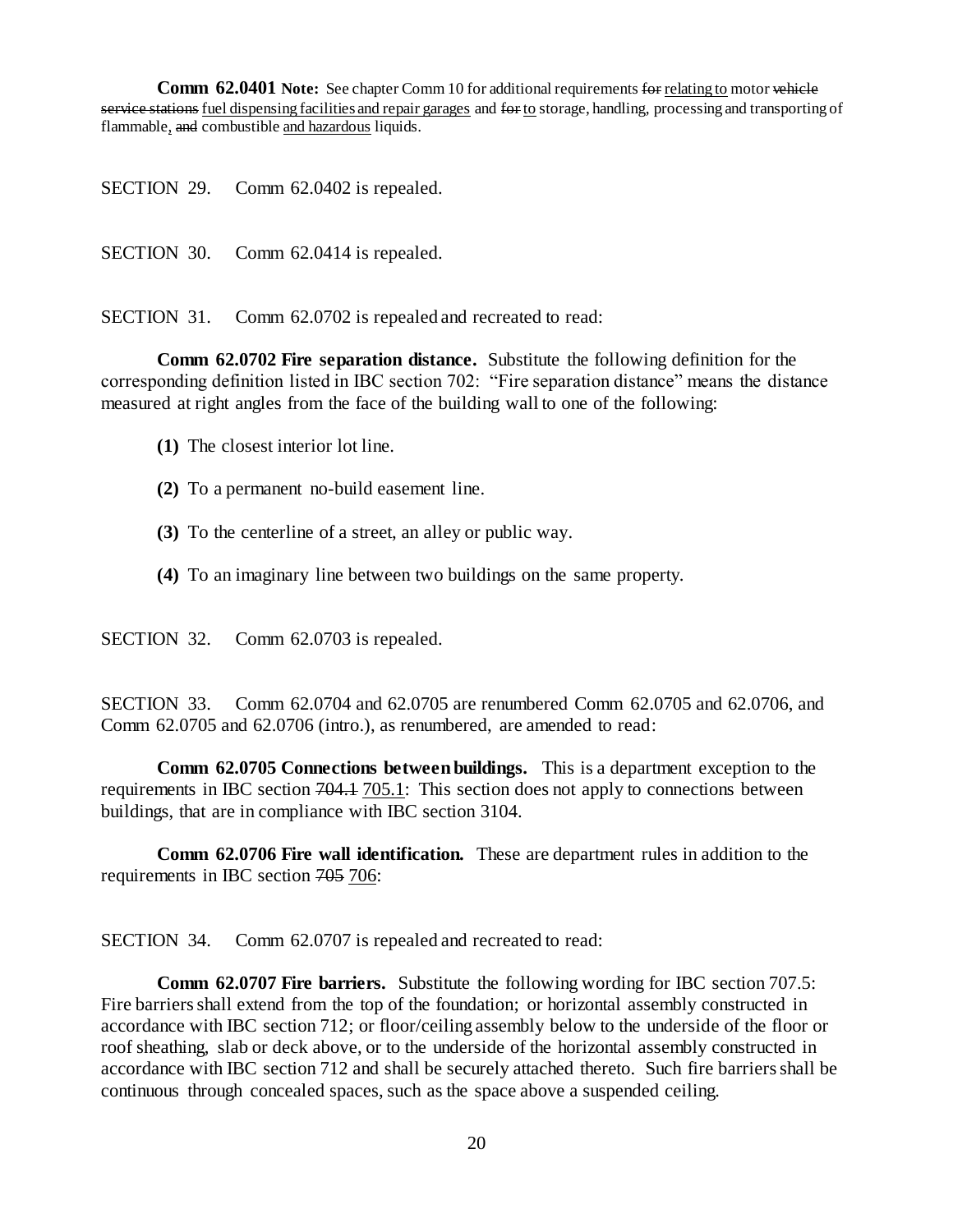**Comm 62.0401 Note:** See chapter Comm 10 for additional requirements for relating to motor vehicle service stations fuel dispensing facilities and repair garages and for to storage, handling, processing and transporting of flammable, and combustible and hazardous liquids.

SECTION 29. Comm 62.0402 is repealed.

SECTION 30. Comm 62.0414 is repealed.

SECTION 31. Comm 62.0702 is repealed and recreated to read:

**Comm 62.0702 Fire separation distance.** Substitute the following definition for the corresponding definition listed in IBC section 702: "Fire separation distance" means the distance measured at right angles from the face of the building wall to one of the following:

- **(1)** The closest interior lot line.
- **(2)** To a permanent no-build easement line.
- **(3)** To the centerline of a street, an alley or public way.
- **(4)** To an imaginary line between two buildings on the same property.

SECTION 32. Comm 62.0703 is repealed.

SECTION 33. Comm 62.0704 and 62.0705 are renumbered Comm 62.0705 and 62.0706, and Comm 62.0705 and 62.0706 (intro.), as renumbered, are amended to read:

**Comm 62.0705 Connections between buildings.** This is a department exception to the requirements in IBC section 704.1 705.1: This section does not apply to connections between buildings, that are in compliance with IBC section 3104.

**Comm 62.0706 Fire wall identification.** These are department rules in addition to the requirements in IBC section 705 706:

SECTION 34. Comm 62.0707 is repealed and recreated to read:

**Comm 62.0707 Fire barriers.** Substitute the following wording for IBC section 707.5: Fire barriers shall extend from the top of the foundation; or horizontal assembly constructed in accordance with IBC section 712; or floor/ceiling assembly below to the underside of the floor or roof sheathing, slab or deck above, or to the underside of the horizontal assembly constructed in accordance with IBC section 712 and shall be securely attached thereto. Such fire barriers shall be continuous through concealed spaces, such as the space above a suspended ceiling.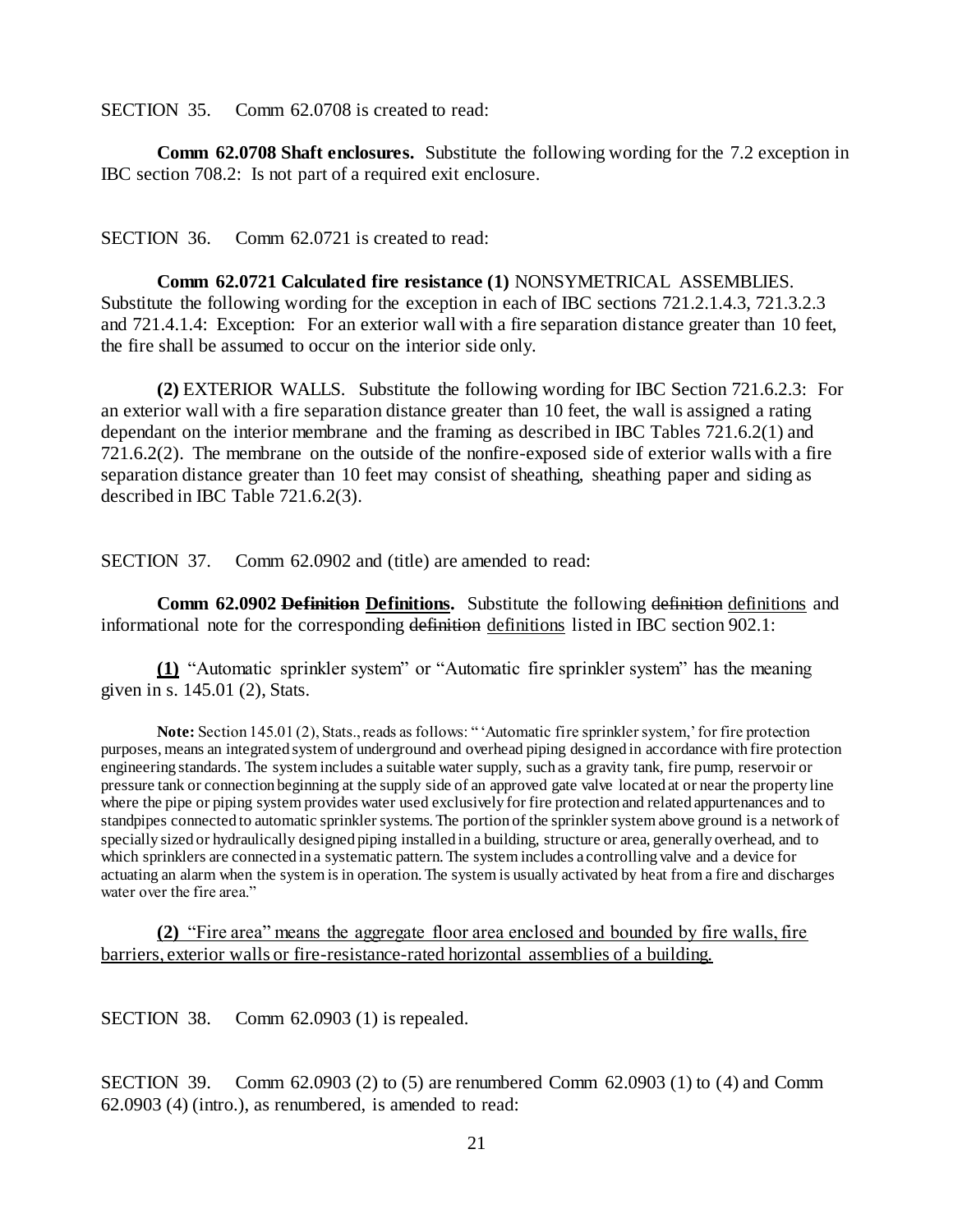SECTION 35. Comm 62.0708 is created to read:

**Comm 62.0708 Shaft enclosures.** Substitute the following wording for the 7.2 exception in IBC section 708.2: Is not part of a required exit enclosure.

SECTION 36. Comm 62.0721 is created to read:

**Comm 62.0721 Calculated fire resistance (1)** NONSYMETRICAL ASSEMBLIES. Substitute the following wording for the exception in each of IBC sections 721.2.1.4.3, 721.3.2.3 and 721.4.1.4: Exception: For an exterior wall with a fire separation distance greater than 10 feet, the fire shall be assumed to occur on the interior side only.

**(2)** EXTERIOR WALLS. Substitute the following wording for IBC Section 721.6.2.3: For an exterior wall with a fire separation distance greater than 10 feet, the wall is assigned a rating dependant on the interior membrane and the framing as described in IBC Tables 721.6.2(1) and 721.6.2(2). The membrane on the outside of the nonfire-exposed side of exterior walls with a fire separation distance greater than 10 feet may consist of sheathing, sheathing paper and siding as described in IBC Table 721.6.2(3).

SECTION 37. Comm 62.0902 and (title) are amended to read:

**Comm 62.0902 Definition Definitions.** Substitute the following definition definitions and informational note for the corresponding definition definitions listed in IBC section 902.1:

**(1)** "Automatic sprinkler system" or "Automatic fire sprinkler system" has the meaning given in s. 145.01 (2), Stats.

**Note:** Section 145.01 (2), Stats., reads as follows: " 'Automatic fire sprinkler system,' for fire protection purposes, means an integrated system of underground and overhead piping designed in accordance with fire protection engineering standards. The system includes a suitable water supply, such as a gravity tank, fire pump, reservoir or pressure tank or connection beginning at the supply side of an approved gate valve located at or near the property line where the pipe or piping system provides water used exclusively for fire protection and related appurtenances and to standpipes connected to automatic sprinkler systems. The portion of the sprinkler system above ground is a network of specially sized or hydraulically designed piping installed in a building, structure or area, generally overhead, and to which sprinklers are connected in a systematic pattern. The system includes a controlling valve and a device for actuating an alarm when the system is in operation. The system is usually activated by heat from a fire and discharges water over the fire area."

**(2)** "Fire area" means the aggregate floor area enclosed and bounded by fire walls, fire barriers, exterior walls or fire-resistance-rated horizontal assemblies of a building.

SECTION 38. Comm 62.0903 (1) is repealed.

SECTION 39. Comm 62.0903 (2) to (5) are renumbered Comm 62.0903 (1) to (4) and Comm 62.0903 (4) (intro.), as renumbered, is amended to read: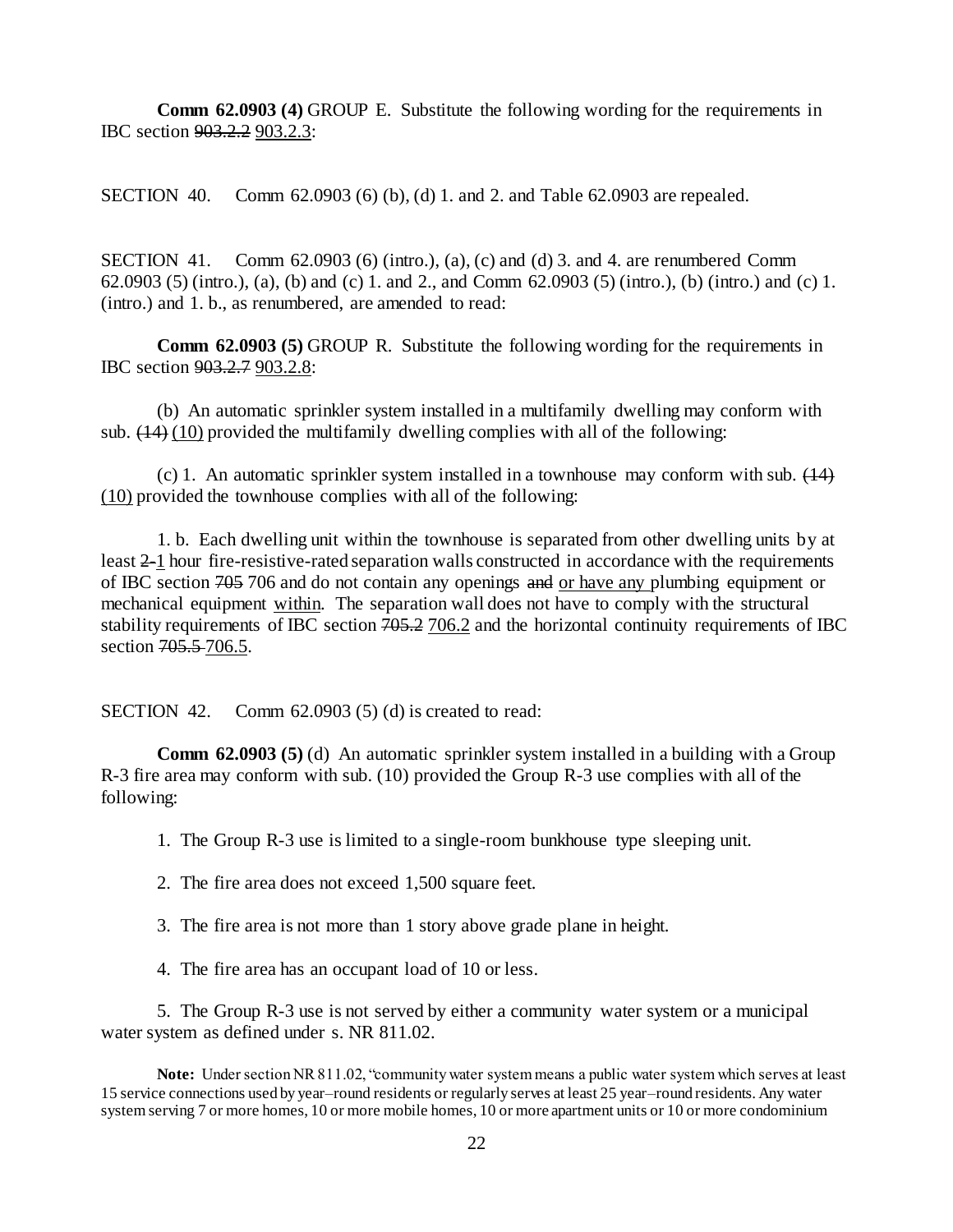**Comm 62.0903 (4)** GROUP E. Substitute the following wording for the requirements in IBC section 903.2.2 903.2.3:

SECTION 40. Comm 62.0903 (6) (b), (d) 1. and 2. and Table 62.0903 are repealed.

SECTION 41. Comm  $62.0903$  (6) (intro.), (a), (c) and (d) 3. and 4. are renumbered Comm 62.0903 (5) (intro.), (a), (b) and (c) 1. and 2., and Comm 62.0903 (5) (intro.), (b) (intro.) and (c) 1. (intro.) and 1. b., as renumbered, are amended to read:

**Comm 62.0903 (5) GROUP R.** Substitute the following wording for the requirements in IBC section 903.2.7 903.2.8:

(b) An automatic sprinkler system installed in a multifamily dwelling may conform with sub.  $(14)$  (10) provided the multifamily dwelling complies with all of the following:

(c) 1. An automatic sprinkler system installed in a townhouse may conform with sub.  $(14)$ (10) provided the townhouse complies with all of the following:

1. b. Each dwelling unit within the townhouse is separated from other dwelling units by at least 2-1 hour fire-resistive-rated separation walls constructed in accordance with the requirements of IBC section 705 706 and do not contain any openings and or have any plumbing equipment or mechanical equipment within. The separation wall does not have to comply with the structural stability requirements of IBC section 705.2 706.2 and the horizontal continuity requirements of IBC section 705.5-706.5.

SECTION 42. Comm 62.0903 (5) (d) is created to read:

**Comm 62.0903 (5)** (d) An automatic sprinkler system installed in a building with a Group R-3 fire area may conform with sub. (10) provided the Group R-3 use complies with all of the following:

1. The Group R-3 use is limited to a single-room bunkhouse type sleeping unit.

2. The fire area does not exceed 1,500 square feet.

3. The fire area is not more than 1 story above grade plane in height.

4. The fire area has an occupant load of 10 or less.

5. The Group R-3 use is not served by either a community water system or a municipal water system as defined under s. NR 811.02.

**Note:** Under section NR 811.02, "community water system means a public water system which serves at least 15 service connections used by year–round residents or regularly serves at least 25 year–round residents. Any water system serving 7 or more homes, 10 or more mobile homes, 10 or more apartment units or 10 or more condominium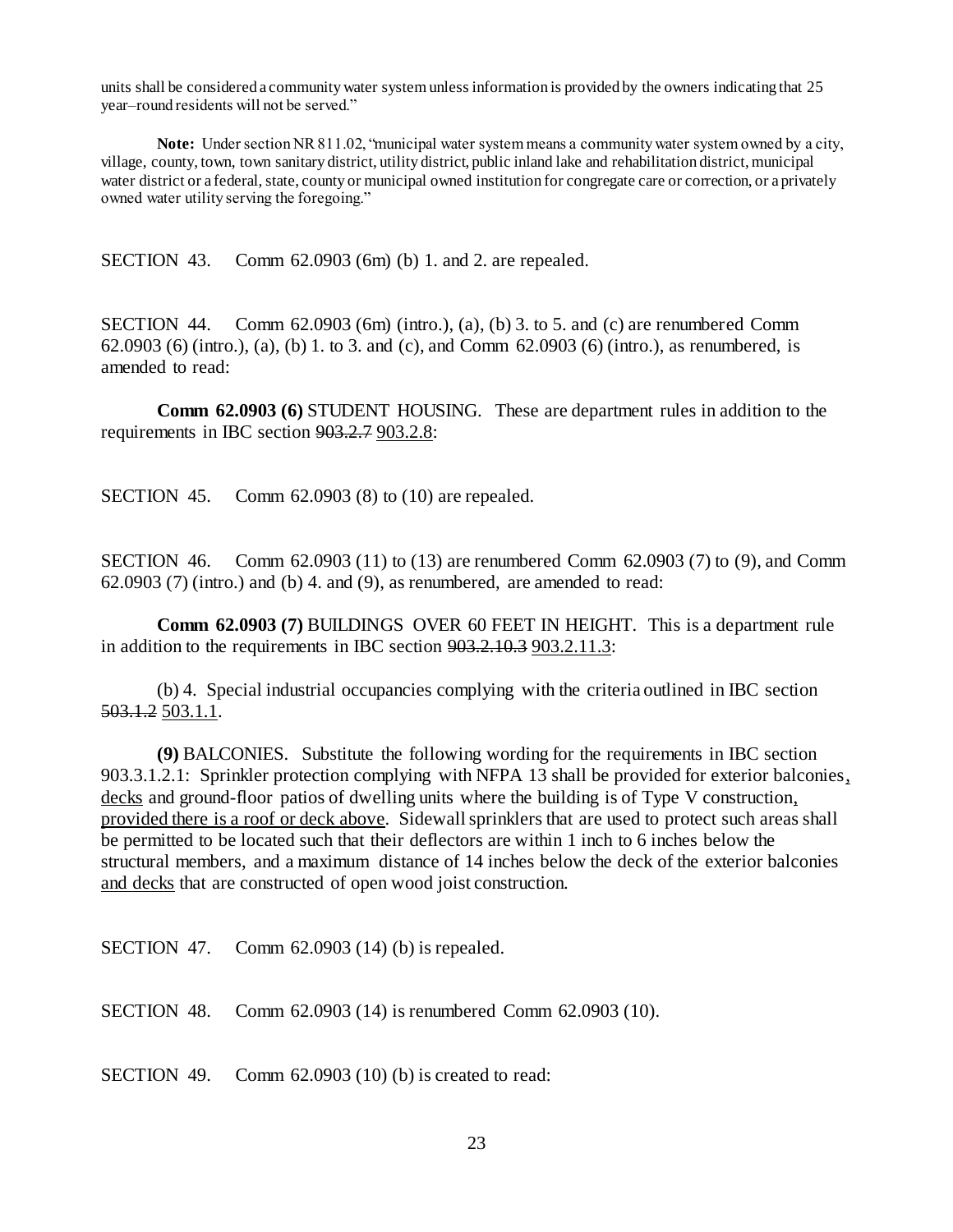units shall be considered a community water system unless information is provided by the owners indicating that 25 year–round residents will not be served."

**Note:** Under section NR 811.02, "municipal water system means a community water system owned by a city, village, county, town, town sanitary district, utility district, public inland lake and rehabilitation district, municipal water district or a federal, state, county or municipal owned institution for congregate care or correction, or a privately owned water utility serving the foregoing."

SECTION 43. Comm 62.0903 (6m) (b) 1. and 2. are repealed.

SECTION 44. Comm 62.0903 (6m) (intro.), (a), (b) 3. to 5. and (c) are renumbered Comm 62.0903 (6) (intro.), (a), (b) 1. to 3. and (c), and Comm 62.0903 (6) (intro.), as renumbered, is amended to read:

**Comm 62.0903 (6)** STUDENT HOUSING. These are department rules in addition to the requirements in IBC section 903.2.7 903.2.8:

SECTION 45. Comm 62.0903 (8) to (10) are repealed.

SECTION 46. Comm 62.0903 (11) to (13) are renumbered Comm 62.0903 (7) to (9), and Comm  $62.0903$  (7) (intro.) and (b) 4. and (9), as renumbered, are amended to read:

**Comm 62.0903 (7)** BUILDINGS OVER 60 FEET IN HEIGHT. This is a department rule in addition to the requirements in IBC section 903.2.10.3 903.2.11.3:

(b) 4. Special industrial occupancies complying with the criteria outlined in IBC section 503.1.2 503.1.1.

**(9)** BALCONIES. Substitute the following wording for the requirements in IBC section 903.3.1.2.1: Sprinkler protection complying with NFPA 13 shall be provided for exterior balconies, decks and ground-floor patios of dwelling units where the building is of Type V construction, provided there is a roof or deck above. Sidewall sprinklers that are used to protect such areas shall be permitted to be located such that their deflectors are within 1 inch to 6 inches below the structural members, and a maximum distance of 14 inches below the deck of the exterior balconies and decks that are constructed of open wood joist construction.

SECTION 47. Comm 62.0903 (14) (b) is repealed.

SECTION 48. Comm 62.0903 (14) is renumbered Comm 62.0903 (10).

SECTION 49. Comm 62.0903 (10) (b) is created to read: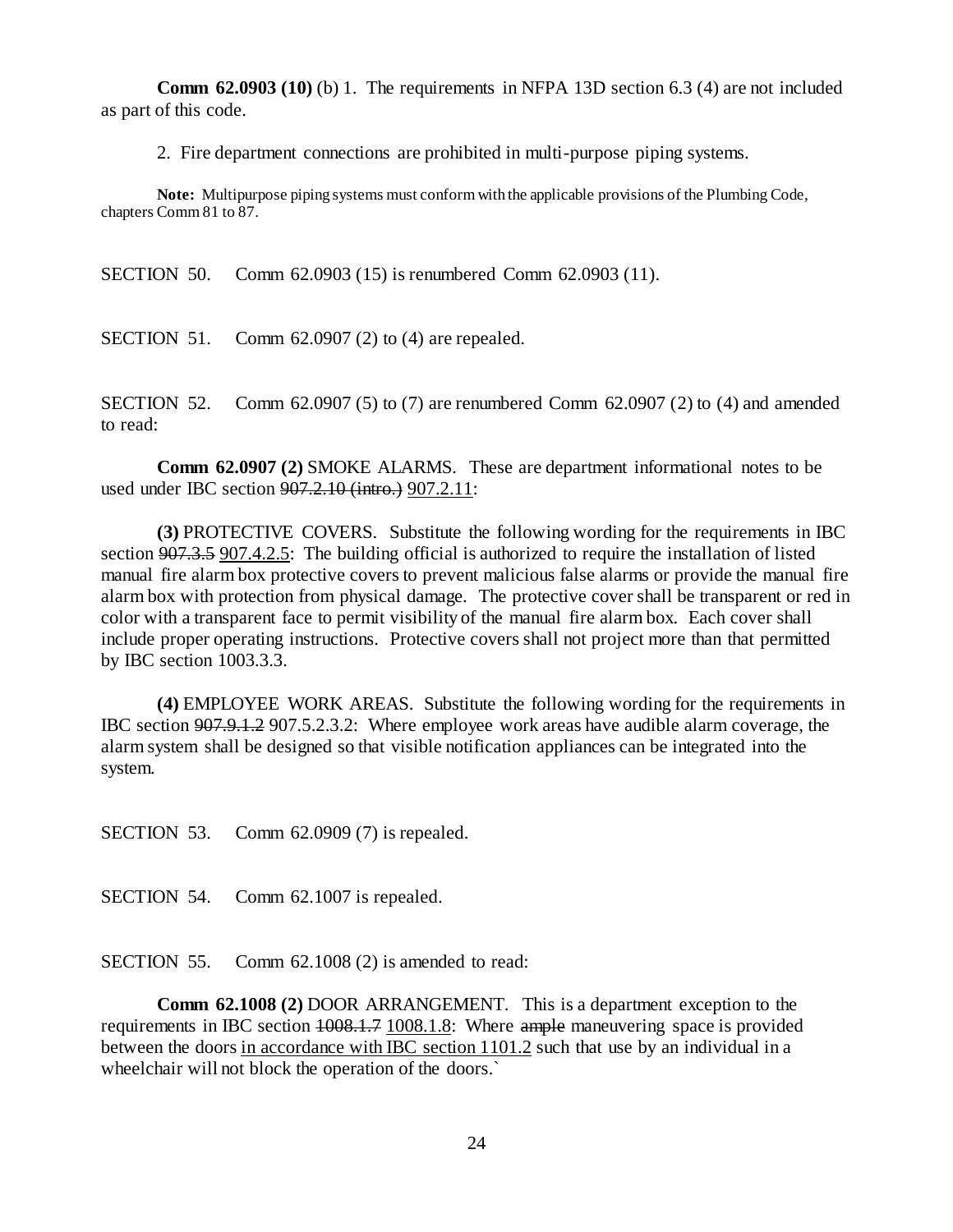**Comm 62.0903 (10)** (b) 1. The requirements in NFPA 13D section 6.3 (4) are not included as part of this code.

2. Fire department connections are prohibited in multi-purpose piping systems.

**Note:** Multipurpose piping systems must conform with the applicable provisions of the Plumbing Code, chapters Comm 81 to 87.

SECTION 50. Comm 62.0903 (15) is renumbered Comm 62.0903 (11).

SECTION 51. Comm 62.0907 (2) to (4) are repealed.

SECTION 52. Comm 62.0907 (5) to (7) are renumbered Comm 62.0907 (2) to (4) and amended to read:

**Comm 62.0907 (2)** SMOKE ALARMS. These are department informational notes to be used under IBC section 907.2.10 (intro.) 907.2.11:

**(3)** PROTECTIVE COVERS. Substitute the following wording for the requirements in IBC section 907.3.5 907.4.2.5: The building official is authorized to require the installation of listed manual fire alarm box protective covers to prevent malicious false alarms or provide the manual fire alarm box with protection from physical damage. The protective cover shall be transparent or red in color with a transparent face to permit visibility of the manual fire alarm box. Each cover shall include proper operating instructions. Protective covers shall not project more than that permitted by IBC section 1003.3.3.

**(4)** EMPLOYEE WORK AREAS. Substitute the following wording for the requirements in IBC section 907.9.1.2 907.5.2.3.2: Where employee work areas have audible alarm coverage, the alarm system shall be designed so that visible notification appliances can be integrated into the system.

SECTION 53. Comm 62.0909 (7) is repealed.

SECTION 54. Comm 62.1007 is repealed.

SECTION 55. Comm 62.1008 (2) is amended to read:

**Comm 62.1008 (2)** DOOR ARRANGEMENT. This is a department exception to the requirements in IBC section  $1008.1.7$   $1008.1.8$ : Where ample maneuvering space is provided between the doors in accordance with IBC section 1101.2 such that use by an individual in a wheelchair will not block the operation of the doors.`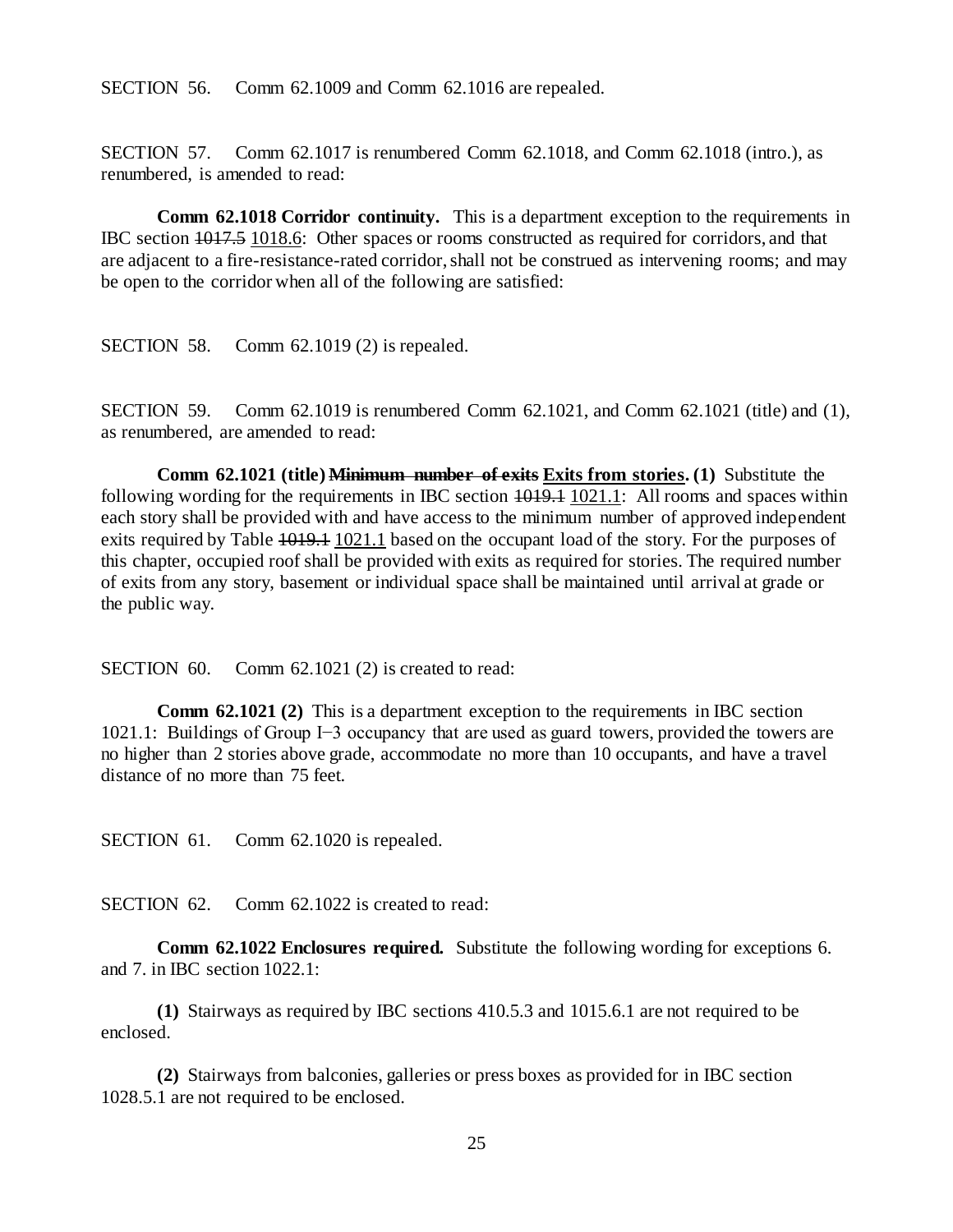SECTION 56. Comm 62.1009 and Comm 62.1016 are repealed.

SECTION 57. Comm 62.1017 is renumbered Comm 62.1018, and Comm 62.1018 (intro.), as renumbered, is amended to read:

**Comm 62.1018 Corridor continuity.** This is a department exception to the requirements in IBC section 1017.5 1018.6: Other spaces or rooms constructed as required for corridors, and that are adjacent to a fire-resistance-rated corridor, shall not be construed as intervening rooms; and may be open to the corridor when all of the following are satisfied:

SECTION 58. Comm 62.1019 (2) is repealed.

SECTION 59. Comm 62.1019 is renumbered Comm 62.1021, and Comm 62.1021 (title) and (1), as renumbered, are amended to read:

**Comm 62.1021 (title) Minimum number of exits Exits from stories. (1)** Substitute the following wording for the requirements in IBC section  $\frac{1019.1}{1021.1}$ : All rooms and spaces within each story shall be provided with and have access to the minimum number of approved independent exits required by Table 1019.1 1021.1 based on the occupant load of the story. For the purposes of this chapter, occupied roof shall be provided with exits as required for stories. The required number of exits from any story, basement or individual space shall be maintained until arrival at grade or the public way.

SECTION 60. Comm 62.1021 (2) is created to read:

**Comm 62.1021 (2)** This is a department exception to the requirements in IBC section 1021.1: Buildings of Group I−3 occupancy that are used as guard towers, provided the towers are no higher than 2 stories above grade, accommodate no more than 10 occupants, and have a travel distance of no more than 75 feet.

SECTION 61. Comm 62.1020 is repealed.

SECTION 62. Comm 62.1022 is created to read:

**Comm 62.1022 Enclosures required.** Substitute the following wording for exceptions 6. and 7. in IBC section 1022.1:

**(1)** Stairways as required by IBC sections 410.5.3 and 1015.6.1 are not required to be enclosed.

**(2)** Stairways from balconies, galleries or press boxes as provided for in IBC section 1028.5.1 are not required to be enclosed.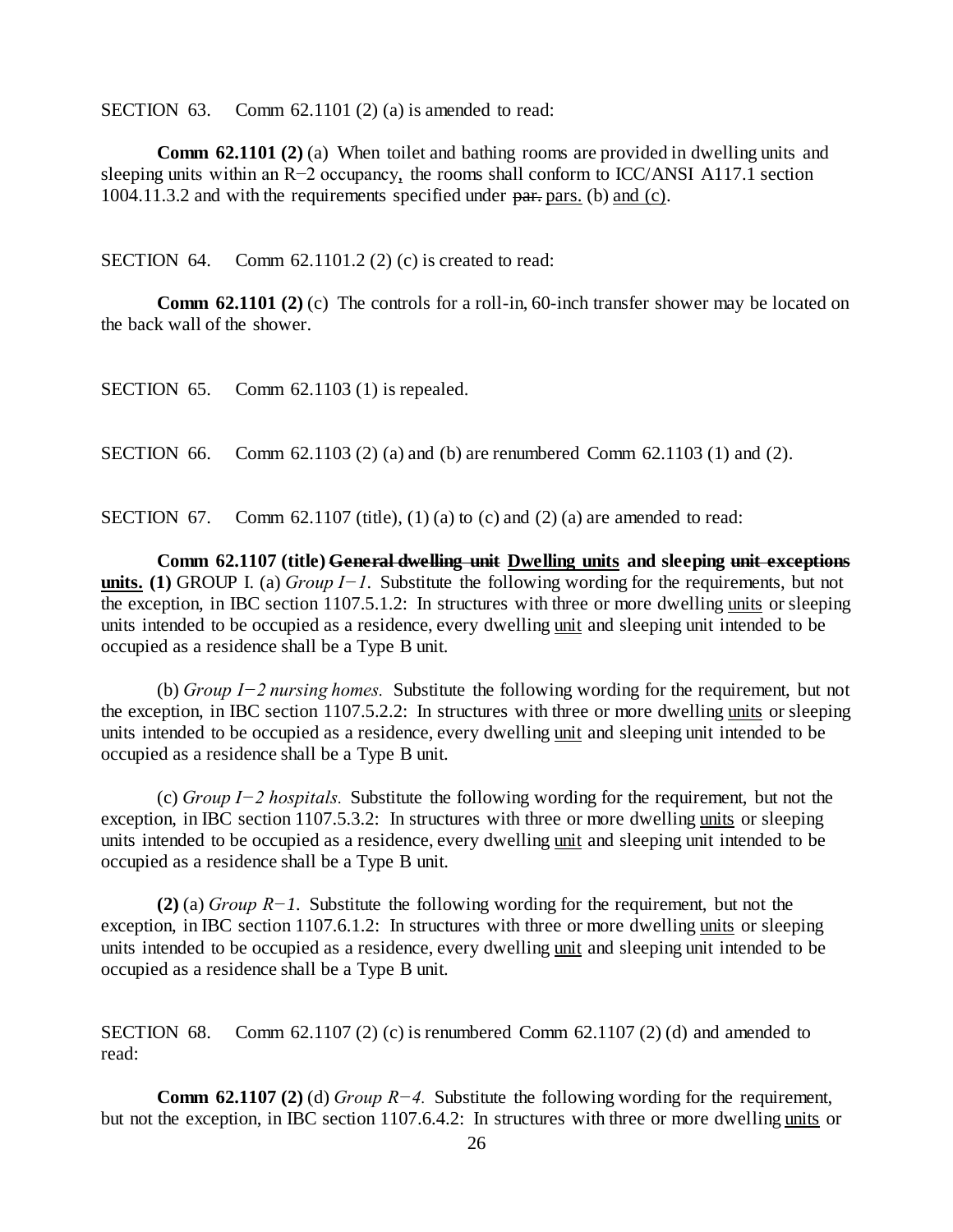SECTION 63. Comm 62.1101 (2) (a) is amended to read:

**Comm 62.1101 (2) (a)** When toilet and bathing rooms are provided in dwelling units and sleeping units within an R−2 occupancy, the rooms shall conform to ICC/ANSI A117.1 section 1004.11.3.2 and with the requirements specified under partners. (b) and (c).

SECTION 64. Comm  $62.1101.2$  (2) (c) is created to read:

**Comm 62.1101 (2) (c)** The controls for a roll-in, 60-inch transfer shower may be located on the back wall of the shower.

SECTION 66. Comm 62.1103 (2) (a) and (b) are renumbered Comm 62.1103 (1) and (2).

SECTION 67. Comm 62.1107 (title), (1) (a) to (c) and (2) (a) are amended to read:

**Comm 62.1107 (title) General dwelling unit Dwelling units and sleeping unit exceptions units. (1)** GROUP I. (a) *Group I−1.* Substitute the following wording for the requirements, but not the exception, in IBC section 1107.5.1.2: In structures with three or more dwelling units or sleeping units intended to be occupied as a residence, every dwelling unit and sleeping unit intended to be occupied as a residence shall be a Type B unit.

(b) *Group I−2 nursing homes.* Substitute the following wording for the requirement, but not the exception, in IBC section 1107.5.2.2: In structures with three or more dwelling units or sleeping units intended to be occupied as a residence, every dwelling unit and sleeping unit intended to be occupied as a residence shall be a Type B unit.

(c) *Group I−2 hospitals.* Substitute the following wording for the requirement, but not the exception, in IBC section 1107.5.3.2: In structures with three or more dwelling units or sleeping units intended to be occupied as a residence, every dwelling unit and sleeping unit intended to be occupied as a residence shall be a Type B unit.

**(2)** (a) *Group R−1.* Substitute the following wording for the requirement, but not the exception, in IBC section 1107.6.1.2: In structures with three or more dwelling units or sleeping units intended to be occupied as a residence, every dwelling unit and sleeping unit intended to be occupied as a residence shall be a Type B unit.

SECTION 68. Comm 62.1107 (2) (c) is renumbered Comm 62.1107 (2) (d) and amended to read:

**Comm 62.1107 (2)** (d) *Group R−4.* Substitute the following wording for the requirement, but not the exception, in IBC section 1107.6.4.2: In structures with three or more dwelling units or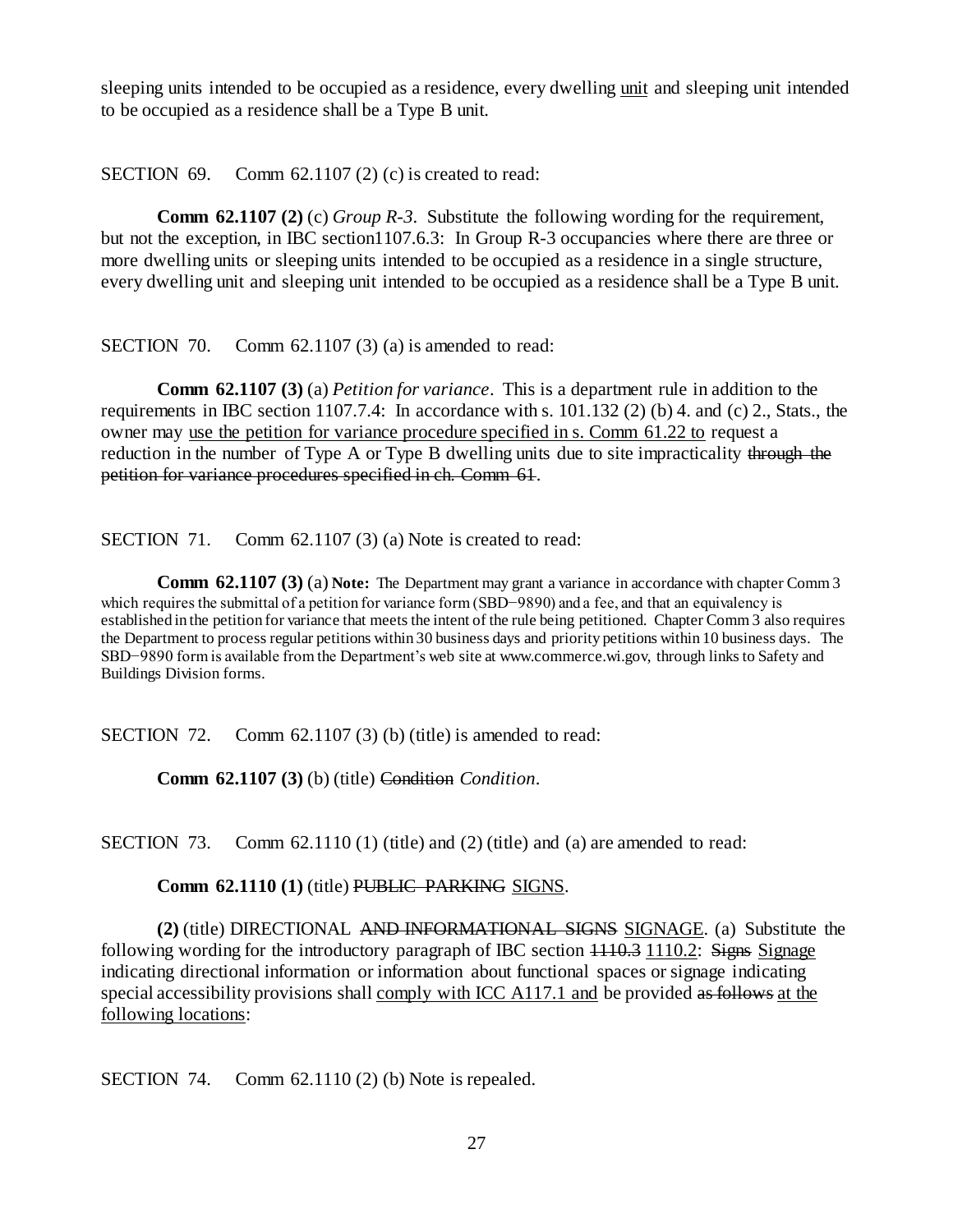sleeping units intended to be occupied as a residence, every dwelling unit and sleeping unit intended to be occupied as a residence shall be a Type B unit.

SECTION  $69.$  Comm  $62.1107(2)(c)$  is created to read:

**Comm 62.1107 (2)** (c) *Group R-3*. Substitute the following wording for the requirement, but not the exception, in IBC section1107.6.3: In Group R-3 occupancies where there are three or more dwelling units or sleeping units intended to be occupied as a residence in a single structure, every dwelling unit and sleeping unit intended to be occupied as a residence shall be a Type B unit.

SECTION 70. Comm 62.1107 (3) (a) is amended to read:

**Comm 62.1107 (3)** (a) *Petition for variance*. This is a department rule in addition to the requirements in IBC section 1107.7.4: In accordance with s. 101.132 (2) (b) 4. and (c) 2., Stats., the owner may use the petition for variance procedure specified in s. Comm 61.22 to request a reduction in the number of Type A or Type B dwelling units due to site impracticality through the petition for variance procedures specified in ch. Comm 61.

SECTION 71. Comm 62.1107 (3) (a) Note is created to read:

**Comm 62.1107 (3) (a) Note:** The Department may grant a variance in accordance with chapter Comm 3 which requires the submittal of a petition for variance form (SBD–9890) and a fee, and that an equivalency is established in the petition for variance that meets the intent of the rule being petitioned. Chapter Comm 3 also requires the Department to process regular petitions within 30 business days and priority petitions within 10 business days. The SBD−9890 form is available from the Department's web site at www.commerce.wi.gov, through links to Safety and Buildings Division forms.

SECTION 72. Comm 62.1107 (3) (b) (title) is amended to read:

**Comm 62.1107 (3)** (b) (title) Condition *Condition*.

SECTION 73. Comm  $62.1110(1)$  (title) and  $(2)$  (title) and  $(a)$  are amended to read:

Comm 62.1110 (1) (title) PUBLIC PARKING SIGNS.

**(2)** (title) DIRECTIONAL AND INFORMATIONAL SIGNS SIGNAGE. (a) Substitute the following wording for the introductory paragraph of IBC section  $\frac{1110.3}{1110.2}$ : Signs Signage indicating directional information or information about functional spaces or signage indicating special accessibility provisions shall comply with ICC A117.1 and be provided as follows at the following locations:

SECTION 74. Comm 62.1110 (2) (b) Note is repealed.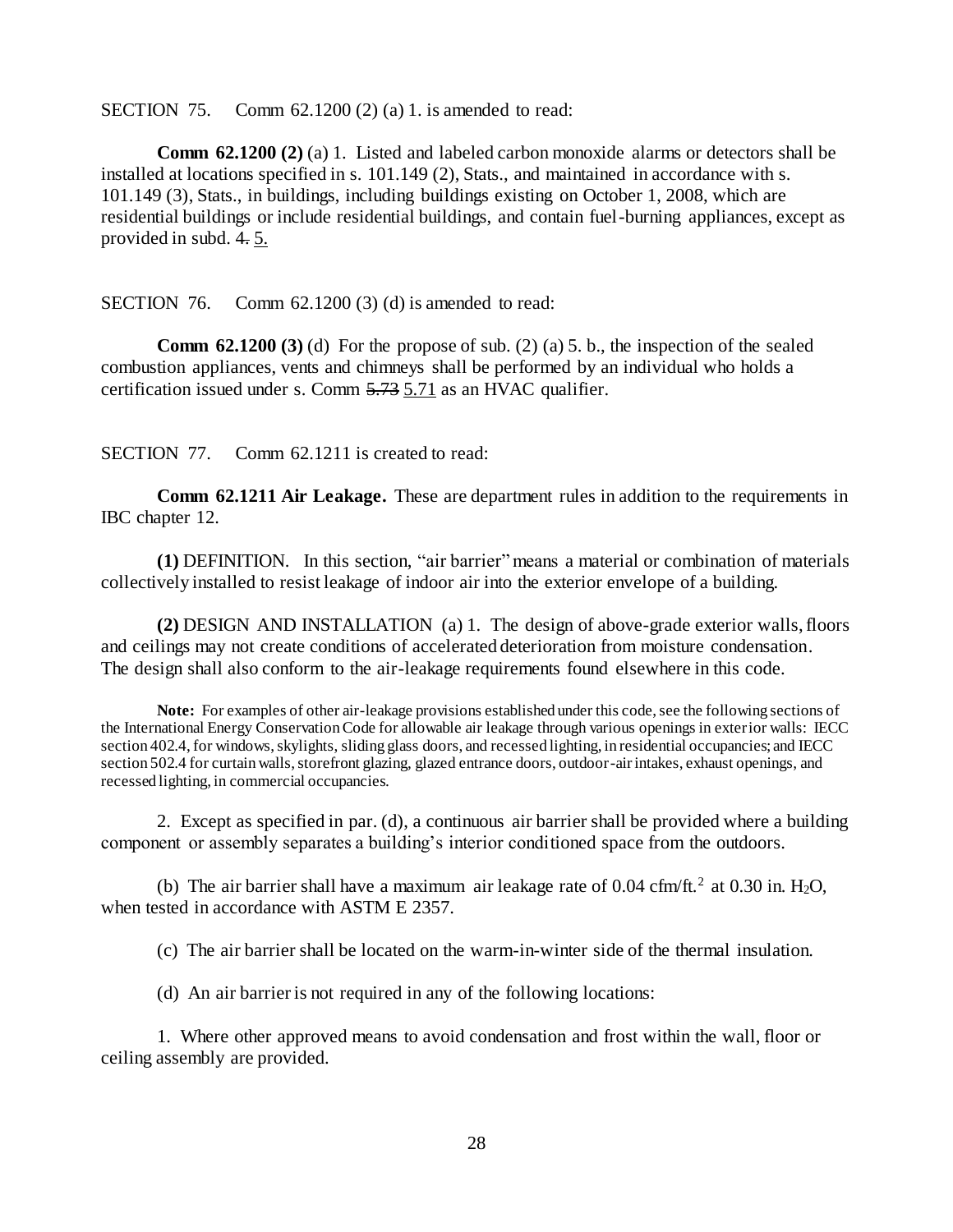SECTION 75. Comm 62.1200 (2) (a) 1. is amended to read:

**Comm 62.1200 (2) (a) 1.** Listed and labeled carbon monoxide alarms or detectors shall be installed at locations specified in s. 101.149 (2), Stats., and maintained in accordance with s. 101.149 (3), Stats., in buildings, including buildings existing on October 1, 2008, which are residential buildings or include residential buildings, and contain fuel-burning appliances, except as provided in subd. 4. 5.

SECTION 76. Comm 62.1200 (3) (d) is amended to read:

**Comm 62.1200 (3)** (d) For the propose of sub. (2) (a) 5. b., the inspection of the sealed combustion appliances, vents and chimneys shall be performed by an individual who holds a certification issued under s. Comm 5.73 5.71 as an HVAC qualifier.

SECTION 77. Comm 62.1211 is created to read:

**Comm 62.1211 Air Leakage.** These are department rules in addition to the requirements in IBC chapter 12.

**(1)** DEFINITION. In this section, "air barrier" means a material or combination of materials collectively installed to resist leakage of indoor air into the exterior envelope of a building.

**(2)** DESIGN AND INSTALLATION (a) 1. The design of above-grade exterior walls, floors and ceilings may not create conditions of accelerated deterioration from moisture condensation. The design shall also conform to the air-leakage requirements found elsewhere in this code.

**Note:** For examples of other air-leakage provisions established under this code, see the following sections of the International Energy Conservation Code for allowable air leakage through various openings in exterior walls: IECC section 402.4, for windows, skylights, sliding glass doors, and recessed lighting, in residential occupancies; and IECC section 502.4 for curtain walls, storefront glazing, glazed entrance doors, outdoor-air intakes, exhaust openings, and recessed lighting, in commercial occupancies.

2. Except as specified in par. (d), a continuous air barrier shall be provided where a building component or assembly separates a building's interior conditioned space from the outdoors.

(b) The air barrier shall have a maximum air leakage rate of  $0.04 \text{ cfm/ft.}^2$  at  $0.30 \text{ in. } H_2O$ , when tested in accordance with ASTM E 2357.

(c) The air barrier shall be located on the warm-in-winter side of the thermal insulation.

(d) An air barrier is not required in any of the following locations:

1. Where other approved means to avoid condensation and frost within the wall, floor or ceiling assembly are provided.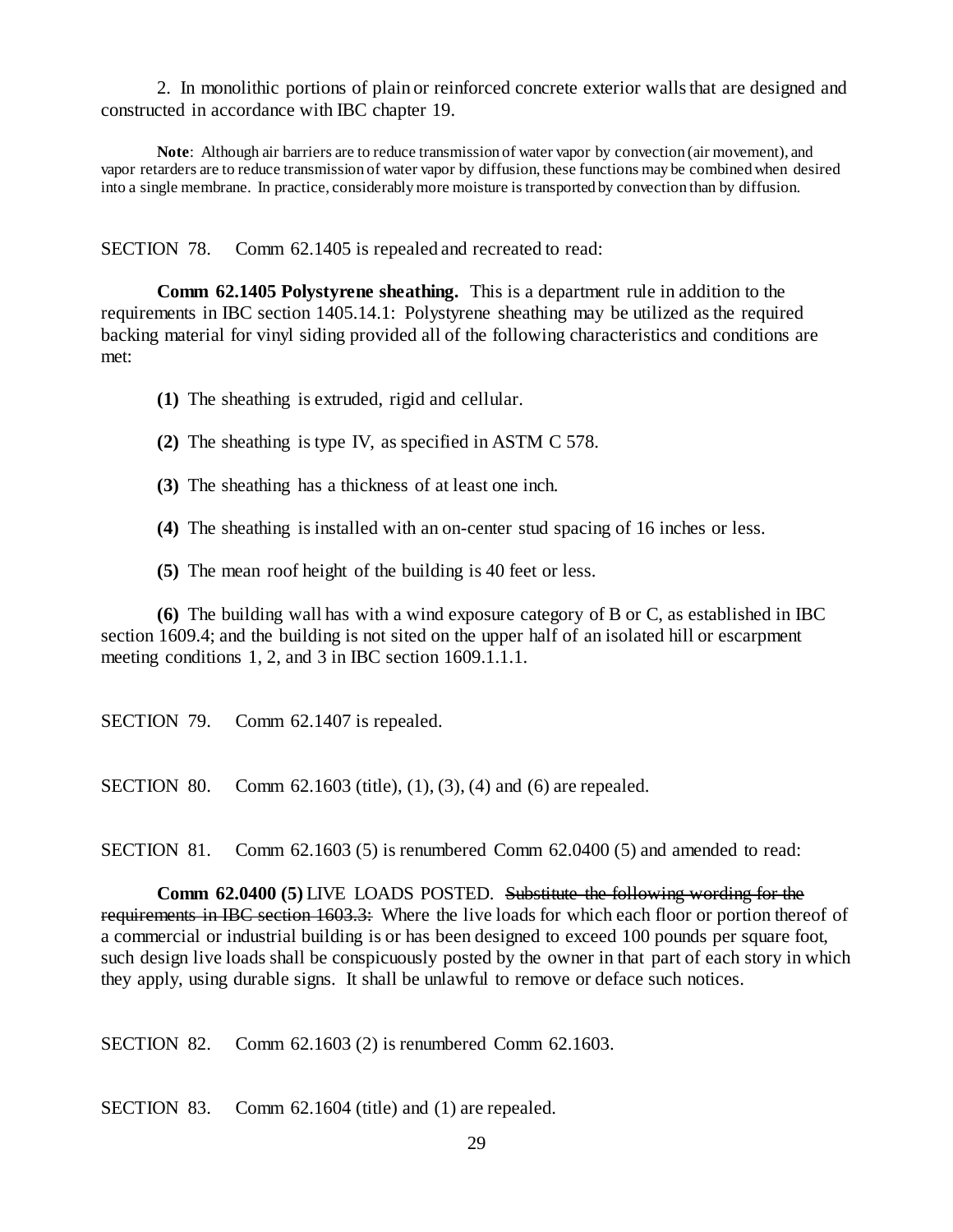2. In monolithic portions of plain or reinforced concrete exterior walls that are designed and constructed in accordance with IBC chapter 19.

**Note**: Although air barriers are to reduce transmission of water vapor by convection (air movement), and vapor retarders are to reduce transmission of water vapor by diffusion, these functions may be combined when desired into a single membrane. In practice, considerably more moisture is transported by convection than by diffusion.

SECTION 78. Comm 62.1405 is repealed and recreated to read:

**Comm 62.1405 Polystyrene sheathing.** This is a department rule in addition to the requirements in IBC section 1405.14.1: Polystyrene sheathing may be utilized as the required backing material for vinyl siding provided all of the following characteristics and conditions are met:

**(1)** The sheathing is extruded, rigid and cellular.

**(2)** The sheathing is type IV, as specified in ASTM C 578.

**(3)** The sheathing has a thickness of at least one inch.

**(4)** The sheathing is installed with an on-center stud spacing of 16 inches or less.

**(5)** The mean roof height of the building is 40 feet or less.

**(6)** The building wall has with a wind exposure category of B or C, as established in IBC section 1609.4; and the building is not sited on the upper half of an isolated hill or escarpment meeting conditions 1, 2, and 3 in IBC section 1609.1.1.1.

SECTION 79. Comm 62.1407 is repealed.

SECTION 80. Comm 62.1603 (title), (1), (3), (4) and (6) are repealed.

SECTION 81. Comm 62.1603 (5) is renumbered Comm 62.0400 (5) and amended to read:

**Comm 62.0400 (5)** LIVE LOADS POSTED. Substitute the following wording for the requirements in IBC section 1603.3: Where the live loads for which each floor or portion thereof of a commercial or industrial building is or has been designed to exceed 100 pounds per square foot, such design live loads shall be conspicuously posted by the owner in that part of each story in which they apply, using durable signs. It shall be unlawful to remove or deface such notices.

SECTION 82. Comm 62.1603 (2) is renumbered Comm 62.1603.

SECTION 83. Comm 62.1604 (title) and (1) are repealed.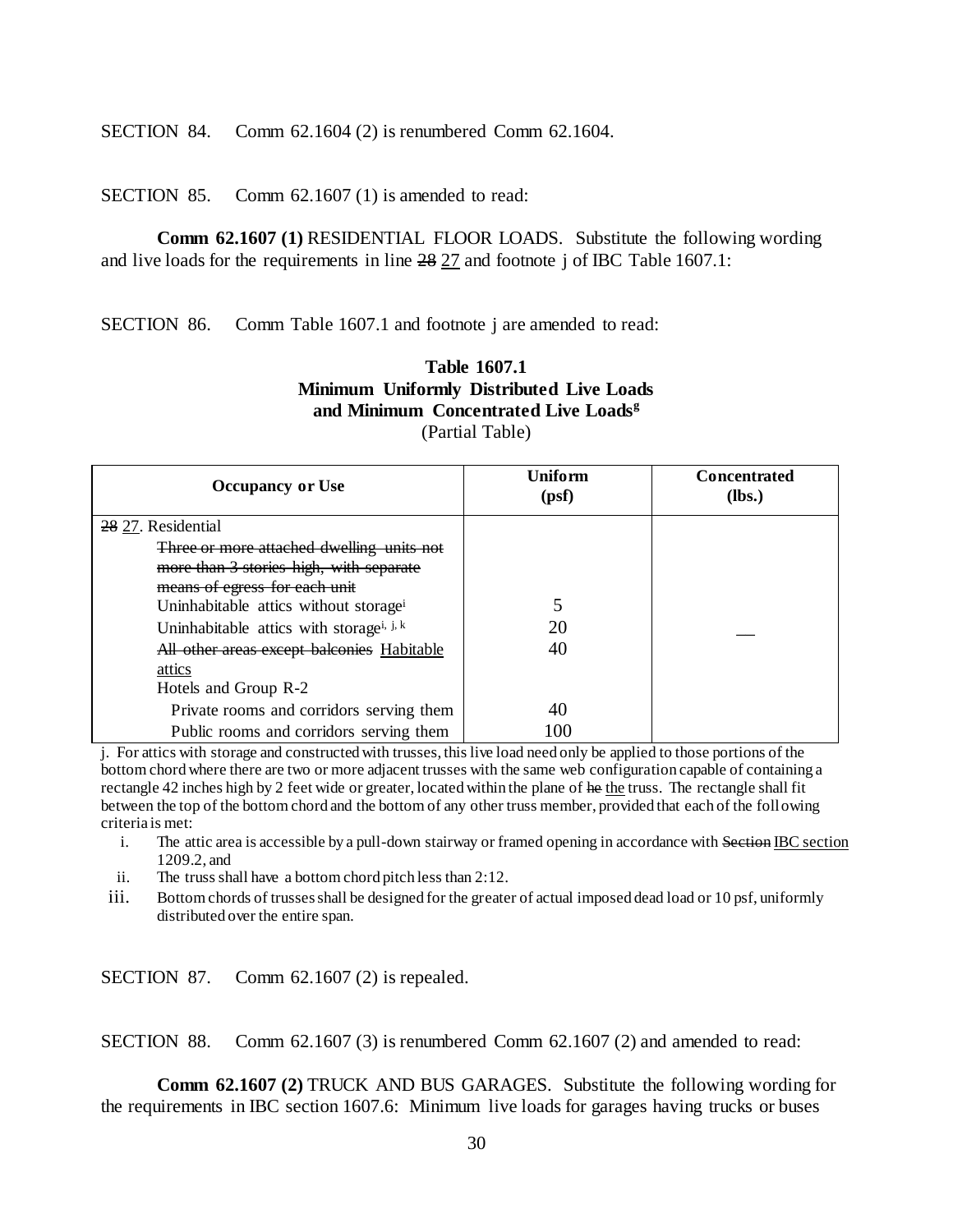SECTION 84. Comm 62.1604 (2) is renumbered Comm 62.1604.

SECTION 85. Comm 62.1607 (1) is amended to read:

**Comm 62.1607 (1)** RESIDENTIAL FLOOR LOADS. Substitute the following wording and live loads for the requirements in line 28 27 and footnote j of IBC Table 1607.1:

SECTION 86. Comm Table 1607.1 and footnote j are amended to read:

## **Table 1607.1 Minimum Uniformly Distributed Live Loads and Minimum Concentrated Live Loads<sup>g</sup>** (Partial Table)

| <b>Occupancy or Use</b>                              | Uniform<br>(psf) | <b>Concentrated</b><br>(lbs.) |
|------------------------------------------------------|------------------|-------------------------------|
| 28 27. Residential                                   |                  |                               |
| <del>Three or more attached dwelling units not</del> |                  |                               |
| more than 3 stories high, with separate              |                  |                               |
| means of egress for each unit                        |                  |                               |
| Uninhabitable attics without storage <sup>i</sup>    |                  |                               |
| Uninhabitable attics with storage <sup>i, j, k</sup> | 20               |                               |
| All other areas except balconies Habitable           | 40               |                               |
| attics                                               |                  |                               |
| Hotels and Group R-2                                 |                  |                               |
| Private rooms and corridors serving them             | 40               |                               |
| Public rooms and corridors serving them              | 100              |                               |

j. For attics with storage and constructed with trusses, this live load need only be applied to those portions of the bottom chord where there are two or more adjacent trusses with the same web configuration capable of containing a rectangle 42 inches high by 2 feet wide or greater, located within the plane of he the truss. The rectangle shall fit between the top of the bottom chord and the bottom of any other truss member, provided that each of the following criteria is met:

- i. The attic area is accessible by a pull-down stairway or framed opening in accordance with Section IBC section 1209.2, and
- ii. The truss shall have a bottom chord pitch less than 2:12.
- iii. Bottom chords of trusses shall be designed for the greater of actual imposed dead load or 10 psf, uniformly distributed over the entire span.

SECTION 87. Comm 62.1607 (2) is repealed.

SECTION 88. Comm 62.1607 (3) is renumbered Comm 62.1607 (2) and amended to read:

**Comm 62.1607 (2)** TRUCK AND BUS GARAGES. Substitute the following wording for the requirements in IBC section 1607.6: Minimum live loads for garages having trucks or buses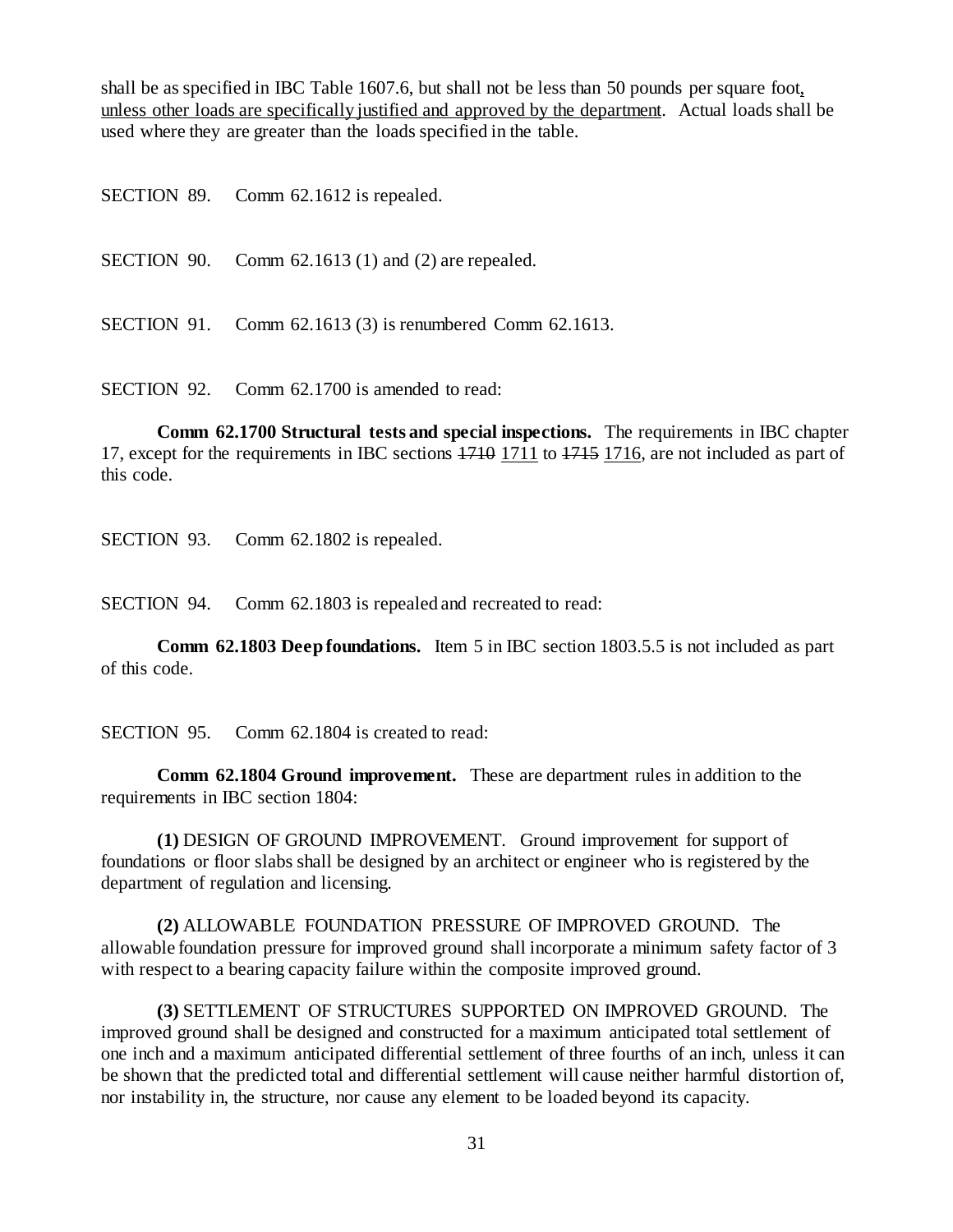shall be as specified in IBC Table 1607.6, but shall not be less than 50 pounds per square foot, unless other loads are specifically justified and approved by the department. Actual loads shall be used where they are greater than the loads specified in the table.

SECTION 89. Comm 62.1612 is repealed.

SECTION 90. Comm 62.1613 (1) and (2) are repealed.

SECTION 91. Comm 62.1613 (3) is renumbered Comm 62.1613.

SECTION 92. Comm 62.1700 is amended to read:

**Comm 62.1700 Structural tests and special inspections.** The requirements in IBC chapter 17, except for the requirements in IBC sections  $1710$  1711 to  $1715$  1716, are not included as part of this code.

SECTION 93. Comm 62.1802 is repealed.

SECTION 94. Comm 62.1803 is repealed and recreated to read:

**Comm 62.1803 Deep foundations.** Item 5 in IBC section 1803.5.5 is not included as part of this code.

SECTION 95. Comm 62.1804 is created to read:

**Comm 62.1804 Ground improvement.** These are department rules in addition to the requirements in IBC section 1804:

**(1)** DESIGN OF GROUND IMPROVEMENT. Ground improvement for support of foundations or floor slabs shall be designed by an architect or engineer who is registered by the department of regulation and licensing.

**(2)** ALLOWABLE FOUNDATION PRESSURE OF IMPROVED GROUND. The allowable foundation pressure for improved ground shall incorporate a minimum safety factor of 3 with respect to a bearing capacity failure within the composite improved ground.

**(3)** SETTLEMENT OF STRUCTURES SUPPORTED ON IMPROVED GROUND. The improved ground shall be designed and constructed for a maximum anticipated total settlement of one inch and a maximum anticipated differential settlement of three fourths of an inch, unless it can be shown that the predicted total and differential settlement will cause neither harmful distortion of, nor instability in, the structure, nor cause any element to be loaded beyond its capacity.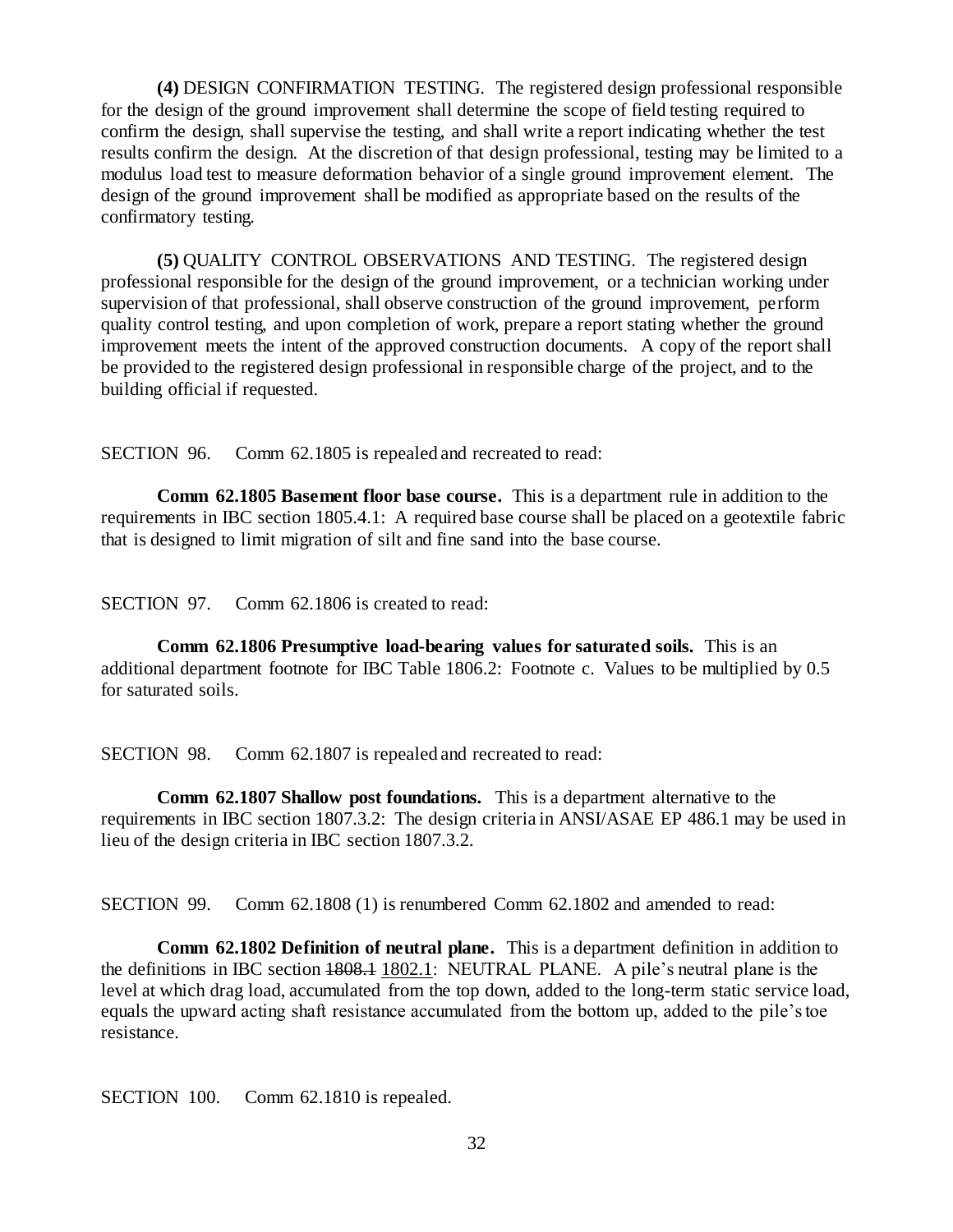**(4)** DESIGN CONFIRMATION TESTING. The registered design professional responsible for the design of the ground improvement shall determine the scope of field testing required to confirm the design, shall supervise the testing, and shall write a report indicating whether the test results confirm the design. At the discretion of that design professional, testing may be limited to a modulus load test to measure deformation behavior of a single ground improvement element. The design of the ground improvement shall be modified as appropriate based on the results of the confirmatory testing.

**(5)** QUALITY CONTROL OBSERVATIONS AND TESTING. The registered design professional responsible for the design of the ground improvement, or a technician working under supervision of that professional, shall observe construction of the ground improvement, perform quality control testing, and upon completion of work, prepare a report stating whether the ground improvement meets the intent of the approved construction documents. A copy of the report shall be provided to the registered design professional in responsible charge of the project, and to the building official if requested.

SECTION 96. Comm 62.1805 is repealed and recreated to read:

**Comm 62.1805 Basement floor base course.** This is a department rule in addition to the requirements in IBC section 1805.4.1: A required base course shall be placed on a geotextile fabric that is designed to limit migration of silt and fine sand into the base course.

SECTION 97. Comm 62.1806 is created to read:

**Comm 62.1806 Presumptive load-bearing values for saturated soils.** This is an additional department footnote for IBC Table 1806.2: Footnote c. Values to be multiplied by 0.5 for saturated soils.

SECTION 98. Comm 62.1807 is repealed and recreated to read:

**Comm 62.1807 Shallow post foundations.** This is a department alternative to the requirements in IBC section 1807.3.2: The design criteria in ANSI/ASAE EP 486.1 may be used in lieu of the design criteria in IBC section 1807.3.2.

SECTION 99. Comm 62.1808 (1) is renumbered Comm 62.1802 and amended to read:

**Comm 62.1802 Definition of neutral plane.** This is a department definition in addition to the definitions in IBC section 1808.1 1802.1: NEUTRAL PLANE. A pile's neutral plane is the level at which drag load, accumulated from the top down, added to the long-term static service load, equals the upward acting shaft resistance accumulated from the bottom up, added to the pile's toe resistance.

SECTION 100. Comm 62.1810 is repealed.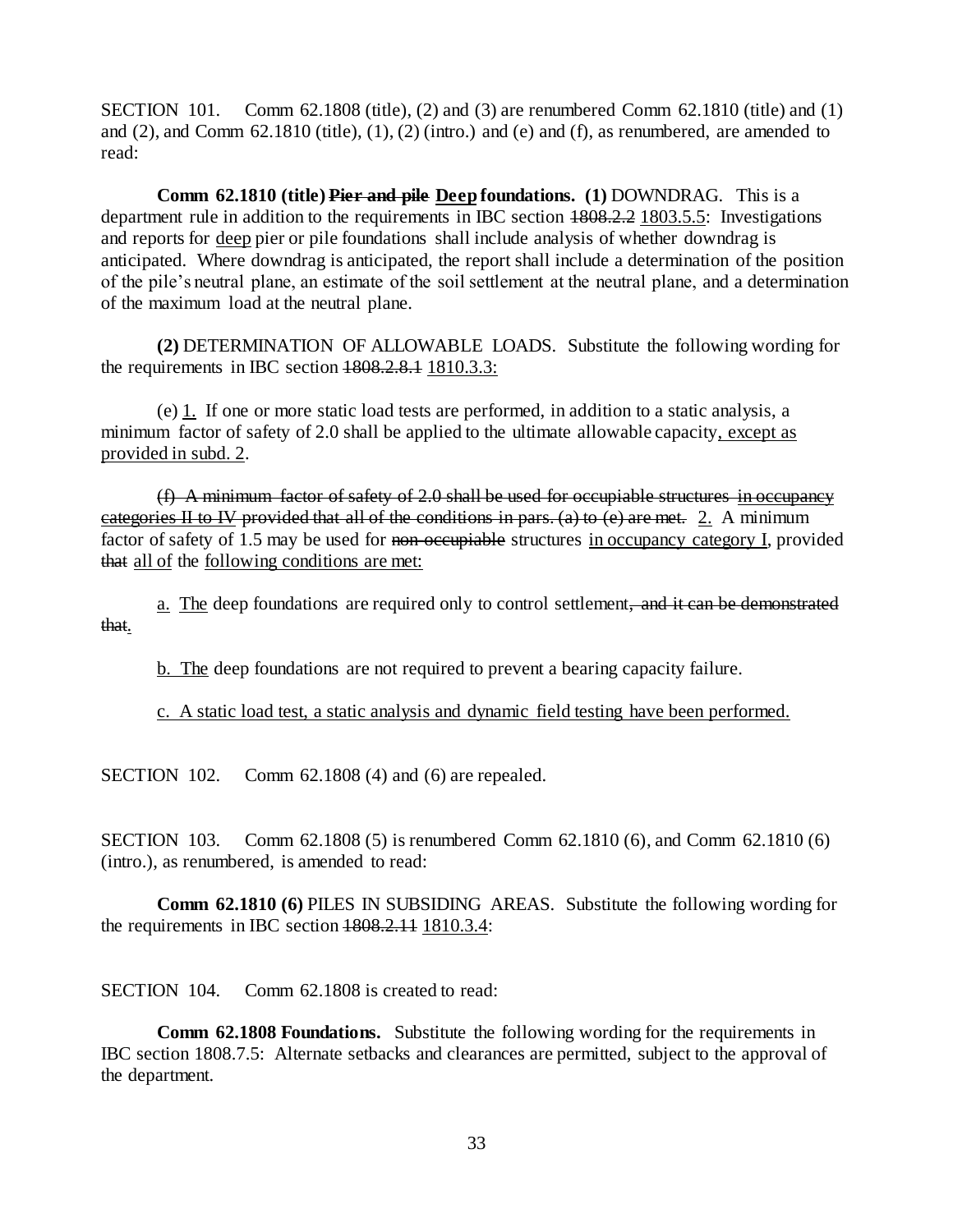SECTION 101. Comm 62.1808 (title), (2) and (3) are renumbered Comm 62.1810 (title) and (1) and  $(2)$ , and Comm  $62.1810$  (title),  $(1)$ ,  $(2)$  (intro.) and  $(e)$  and  $(f)$ , as renumbered, are amended to read:

**Comm 62.1810 (title) Pier and pile Deep foundations. (1)** DOWNDRAG. This is a department rule in addition to the requirements in IBC section 1808.2.2 1803.5.5: Investigations and reports for deep pier or pile foundations shall include analysis of whether downdrag is anticipated. Where downdrag is anticipated, the report shall include a determination of the position of the pile's neutral plane, an estimate of the soil settlement at the neutral plane, and a determination of the maximum load at the neutral plane.

**(2)** DETERMINATION OF ALLOWABLE LOADS. Substitute the following wording for the requirements in IBC section 1808.2.8.1 1810.3.3:

(e) 1. If one or more static load tests are performed, in addition to a static analysis, a minimum factor of safety of 2.0 shall be applied to the ultimate allowable capacity, except as provided in subd. 2.

(f) A minimum factor of safety of 2.0 shall be used for occupiable structures in occupancy categories II to IV provided that all of the conditions in pars. (a) to (e) are met. 2. A minimum factor of safety of 1.5 may be used for non-occupiable structures in occupancy category I, provided that all of the following conditions are met:

a. The deep foundations are required only to control settlement, and it can be demonstrated that.

b. The deep foundations are not required to prevent a bearing capacity failure.

c. A static load test, a static analysis and dynamic field testing have been performed.

SECTION 102. Comm 62.1808 (4) and (6) are repealed.

SECTION 103. Comm 62.1808 (5) is renumbered Comm 62.1810 (6), and Comm 62.1810 (6) (intro.), as renumbered, is amended to read:

**Comm 62.1810 (6)** PILES IN SUBSIDING AREAS. Substitute the following wording for the requirements in IBC section  $1808.2.11$   $1810.3.4$ :

SECTION 104. Comm 62.1808 is created to read:

**Comm 62.1808 Foundations.** Substitute the following wording for the requirements in IBC section 1808.7.5: Alternate setbacks and clearances are permitted, subject to the approval of the department.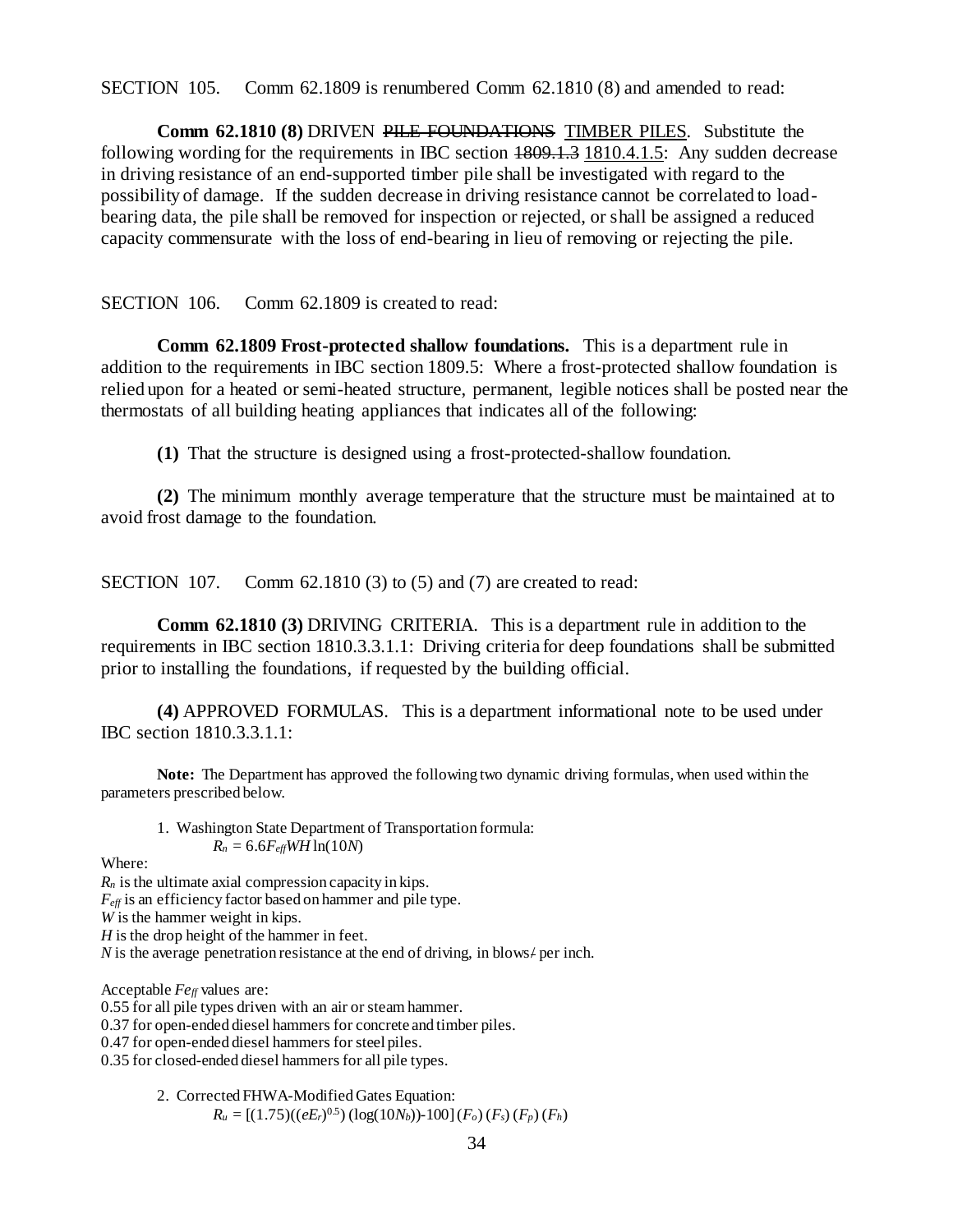SECTION 105. Comm 62.1809 is renumbered Comm 62.1810 (8) and amended to read:

**Comm 62.1810 (8)** DRIVEN PILE FOUNDATIONS TIMBER PILES*.* Substitute the following wording for the requirements in IBC section  $1809.1.3$  1810.4.1.5: Any sudden decrease in driving resistance of an end-supported timber pile shall be investigated with regard to the possibility of damage. If the sudden decrease in driving resistance cannot be correlated to loadbearing data, the pile shall be removed for inspection or rejected, or shall be assigned a reduced capacity commensurate with the loss of end-bearing in lieu of removing or rejecting the pile.

## SECTION 106. Comm 62.1809 is created to read:

**Comm 62.1809 Frost-protected shallow foundations.** This is a department rule in addition to the requirements in IBC section 1809.5: Where a frost-protected shallow foundation is relied upon for a heated or semi-heated structure, permanent, legible notices shall be posted near the thermostats of all building heating appliances that indicates all of the following:

**(1)** That the structure is designed using a frost-protected-shallow foundation.

**(2)** The minimum monthly average temperature that the structure must be maintained at to avoid frost damage to the foundation.

SECTION 107. Comm 62.1810 (3) to (5) and (7) are created to read:

**Comm 62.1810 (3)** DRIVING CRITERIA. This is a department rule in addition to the requirements in IBC section 1810.3.3.1.1: Driving criteria for deep foundations shall be submitted prior to installing the foundations, if requested by the building official.

**(4)** APPROVED FORMULAS. This is a department informational note to be used under IBC section 1810.3.3.1.1:

**Note:** The Department has approved the following two dynamic driving formulas, when used within the parameters prescribed below.

1. Washington State Department of Transportation formula:  $R_n = 6.6 F_{\text{eff}} W H \ln(10N)$ 

Where:

*R<sup>n</sup>* is the ultimate axial compression capacity in kips. *Feff* is an efficiency factor based on hammer and pile type. *W* is the hammer weight in kips. *H* is the drop height of the hammer in feet. *N* is the average penetration resistance at the end of driving, in blows/ per inch.

Acceptable *Feff* values are:

0.55 for all pile types driven with an air or steam hammer.

0.37 for open-ended diesel hammers for concrete and timber piles.

0.47 for open-ended diesel hammers for steel piles.

0.35 for closed-ended diesel hammers for all pile types.

2. Corrected FHWA-Modified Gates Equation:

```
R_u = [(1.75)((eE_r)^{0.5})(\log(10N_b)) - 100](F_o)(F_s)(F_p)(F_h)
```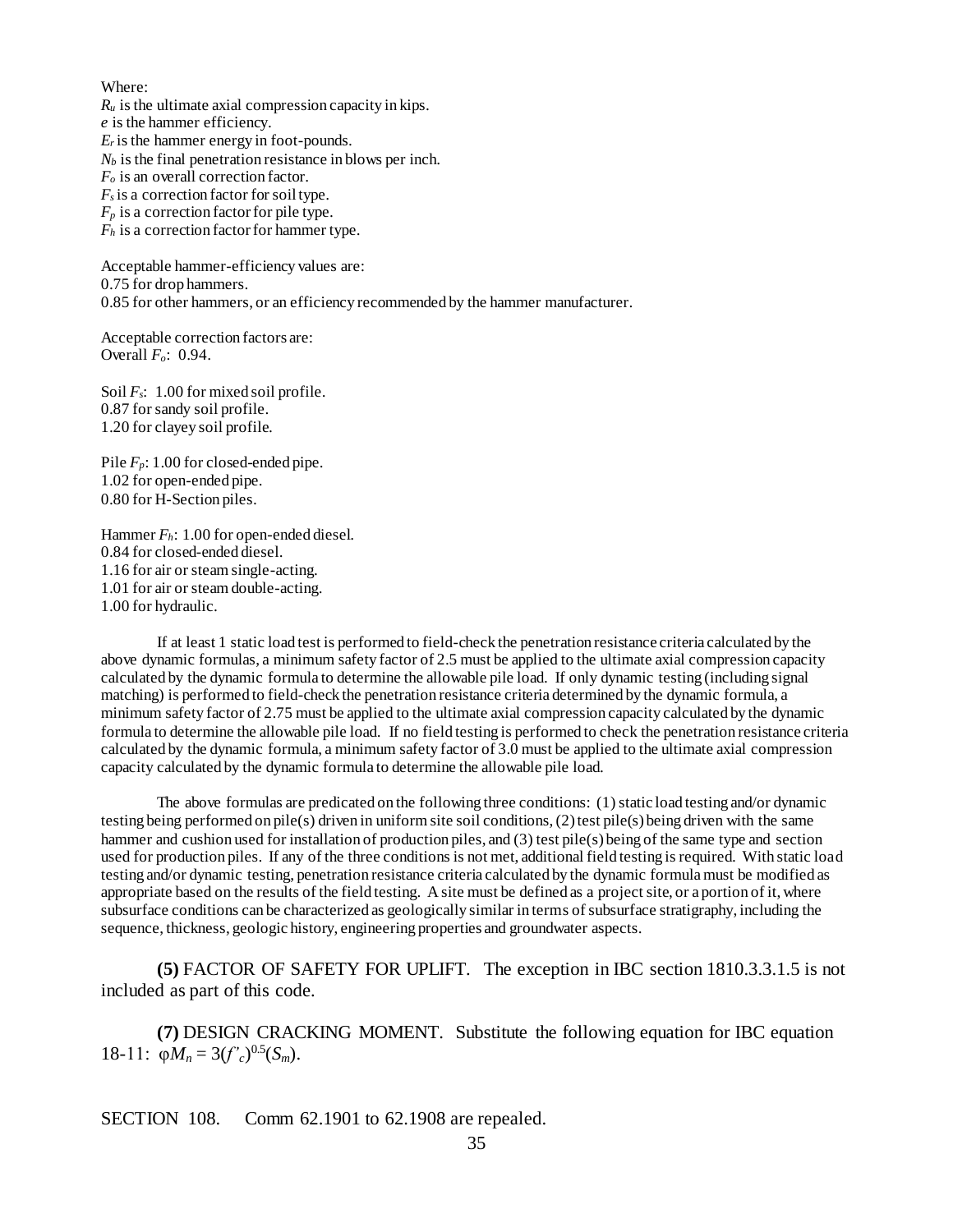Where:

 $R_u$  is the ultimate axial compression capacity in kips.

*e* is the hammer efficiency.  $E_r$  is the hammer energy in foot-pounds.

*N<sup>b</sup>* is the final penetration resistance in blows per inch.

*F<sup>o</sup>* is an overall correction factor.

 $F_s$  is a correction factor for soil type.

 $F_p$  is a correction factor for pile type.

*F<sup>h</sup>* is a correction factor for hammer type.

Acceptable hammer-efficiency values are: 0.75 for drop hammers. 0.85 for other hammers, or an efficiency recommended by the hammer manufacturer.

Acceptable correction factors are: Overall *Fo*: 0.94.

Soil *Fs*: 1.00 for mixed soil profile. 0.87 for sandy soil profile. 1.20 for clayey soil profile.

Pile  $F_p$ : 1.00 for closed-ended pipe. 1.02 for open-ended pipe. 0.80 for H-Section piles.

Hammer *Fh*: 1.00 for open-ended diesel. 0.84 for closed-ended diesel. 1.16 for air or steam single-acting. 1.01 for air or steam double-acting. 1.00 for hydraulic.

If at least 1 static load test is performed to field-check the penetration resistance criteria calculated by the above dynamic formulas, a minimum safety factor of 2.5 must be applied to the ultimate axial compression capacity calculated by the dynamic formula to determine the allowable pile load. If only dynamic testing (including signal matching) is performed to field-check the penetration resistance criteria determined by the dynamic formula, a minimum safety factor of 2.75 must be applied to the ultimate axial compression capacity calculated by the dynamic formula to determine the allowable pile load. If no field testing is performed to check the penetration resistance criteria calculated by the dynamic formula, a minimum safety factor of 3.0 must be applied to the ultimate axial compression capacity calculated by the dynamic formula to determine the allowable pile load.

The above formulas are predicated on the following three conditions: (1) static load testing and/or dynamic testing being performed on pile(s) driven in uniform site soil conditions, (2) test pile(s) being driven with the same hammer and cushion used for installation of production piles, and (3) test pile(s) being of the same type and section used for production piles. If any of the three conditions is not met, additional field testing is required. With static load testing and/or dynamic testing, penetration resistance criteria calculated by the dynamic formula must be modified as appropriate based on the results of the field testing. A site must be defined as a project site, or a portion of it, where subsurface conditions can be characterized as geologically similar in terms of subsurface stratigraphy, including the sequence, thickness, geologic history, engineering properties and groundwater aspects.

**(5)** FACTOR OF SAFETY FOR UPLIFT. The exception in IBC section 1810.3.3.1.5 is not included as part of this code.

**(7)** DESIGN CRACKING MOMENT. Substitute the following equation for IBC equation 18-11:  $\varphi M_n = 3(f'_c)^{0.5}(S_m)$ .

SECTION 108. Comm 62.1901 to 62.1908 are repealed.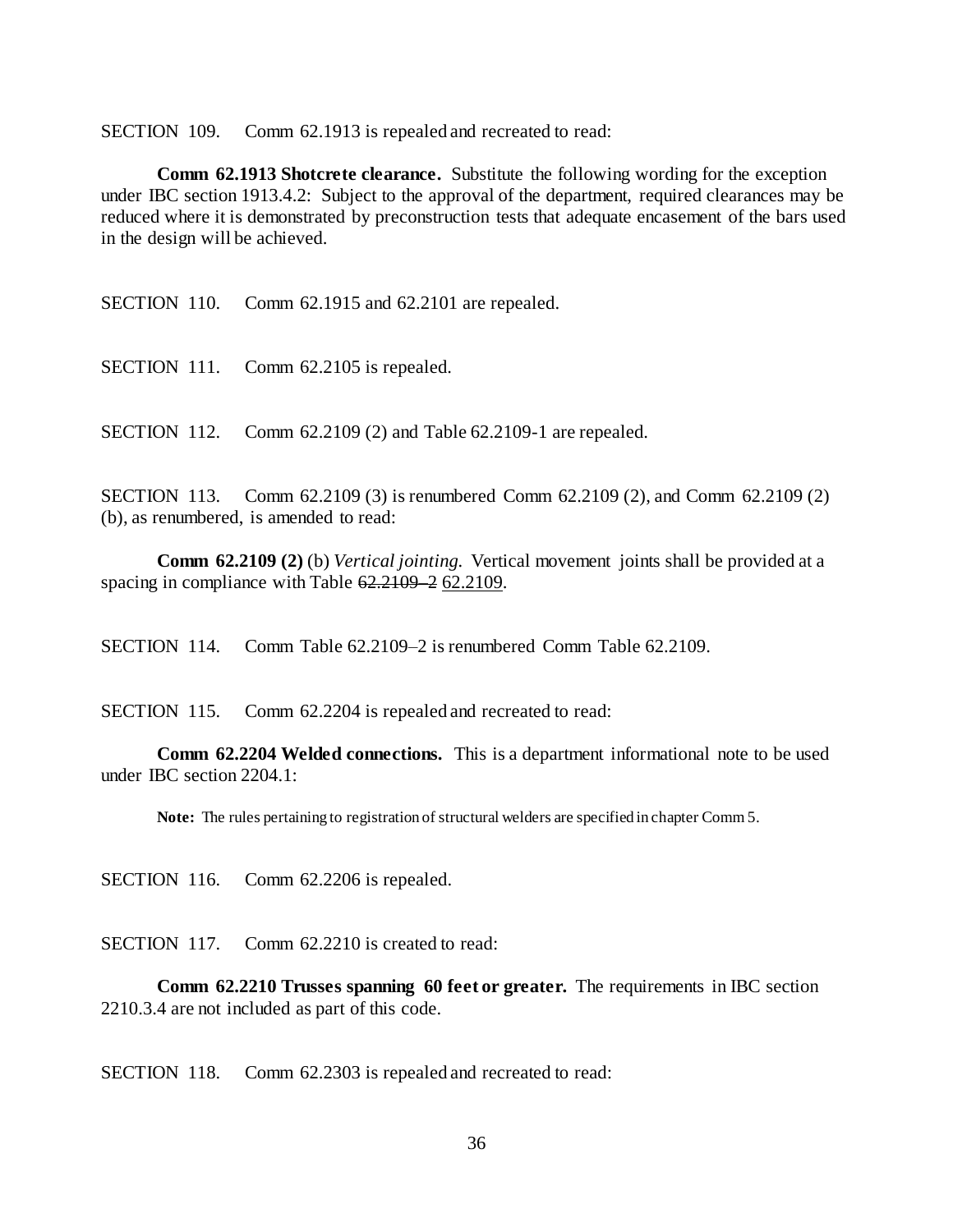SECTION 109. Comm 62.1913 is repealed and recreated to read:

**Comm 62.1913 Shotcrete clearance.** Substitute the following wording for the exception under IBC section 1913.4.2: Subject to the approval of the department, required clearances may be reduced where it is demonstrated by preconstruction tests that adequate encasement of the bars used in the design will be achieved.

SECTION 110. Comm 62.1915 and 62.2101 are repealed.

SECTION 111. Comm 62.2105 is repealed.

SECTION 112. Comm 62.2109 (2) and Table 62.2109-1 are repealed.

SECTION 113. Comm 62.2109 (3) is renumbered Comm 62.2109 (2), and Comm 62.2109 (2) (b), as renumbered, is amended to read:

**Comm 62.2109 (2)** (b) *Vertical jointing.* Vertical movement joints shall be provided at a spacing in compliance with Table  $62.2109 - 262.2109$ .

SECTION 114. Comm Table 62.2109–2 is renumbered Comm Table 62.2109.

SECTION 115. Comm 62.2204 is repealed and recreated to read:

**Comm 62.2204 Welded connections.** This is a department informational note to be used under IBC section 2204.1:

**Note:** The rules pertaining to registration of structural welders are specified in chapter Comm 5.

SECTION 116. Comm 62.2206 is repealed.

SECTION 117. Comm 62.2210 is created to read:

**Comm 62.2210 Trusses spanning 60 feet or greater.** The requirements in IBC section 2210.3.4 are not included as part of this code.

SECTION 118. Comm 62.2303 is repealed and recreated to read: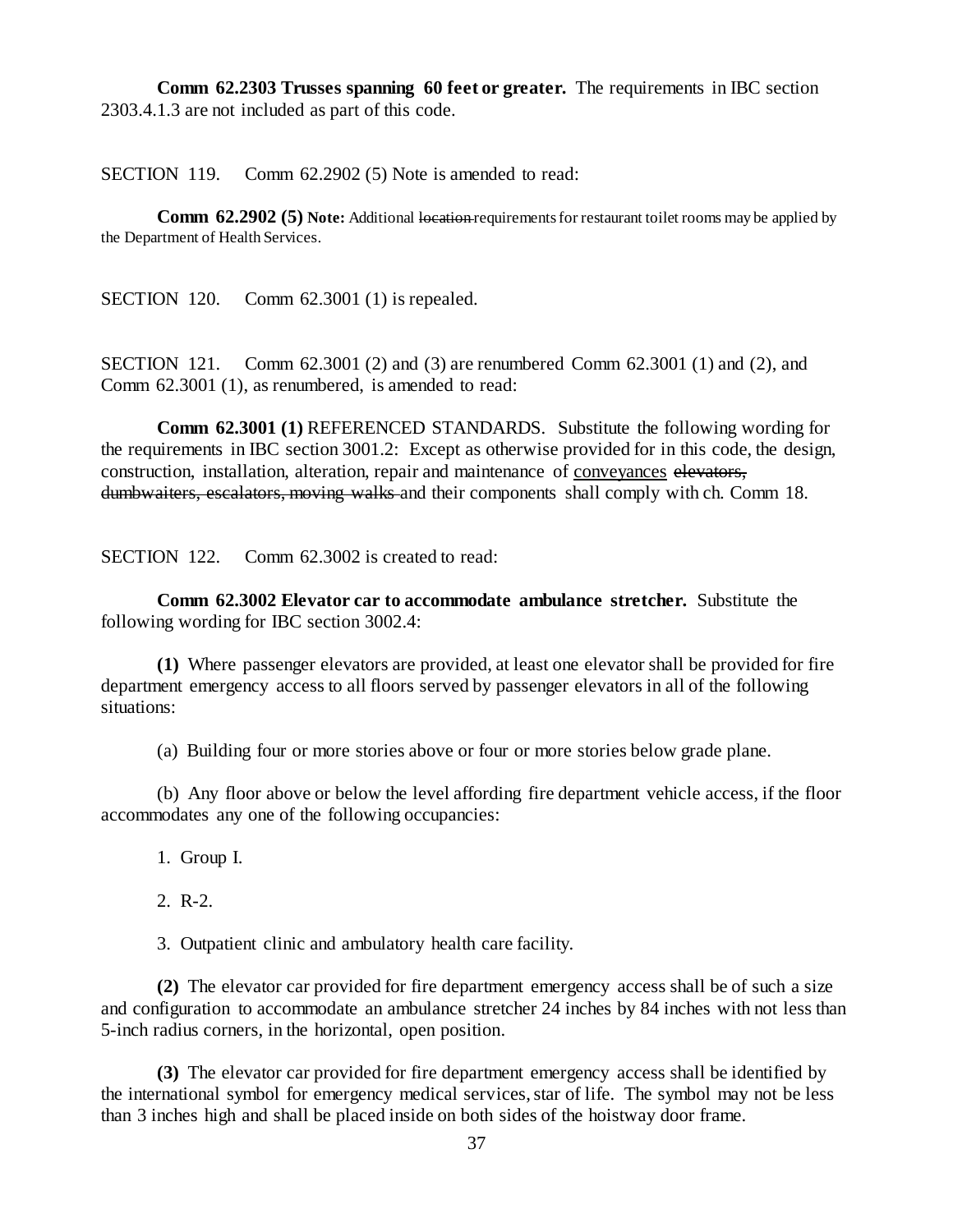**Comm 62.2303 Trusses spanning 60 feet or greater.** The requirements in IBC section 2303.4.1.3 are not included as part of this code.

SECTION 119. Comm 62.2902 (5) Note is amended to read:

**Comm 62.2902 (5) Note:** Additional location requirements for restaurant toilet rooms may be applied by the Department of Health Services.

SECTION 120. Comm 62.3001 (1) is repealed.

SECTION 121. Comm 62.3001 (2) and (3) are renumbered Comm 62.3001 (1) and (2), and Comm 62.3001 (1), as renumbered, is amended to read:

**Comm 62.3001 (1)** REFERENCED STANDARDS. Substitute the following wording for the requirements in IBC section 3001.2: Except as otherwise provided for in this code, the design, construction, installation, alteration, repair and maintenance of conveyances elevators, dumbwaiters, escalators, moving walks and their components shall comply with ch. Comm 18.

SECTION 122. Comm 62.3002 is created to read:

**Comm 62.3002 Elevator car to accommodate ambulance stretcher.** Substitute the following wording for IBC section 3002.4:

**(1)** Where passenger elevators are provided, at least one elevator shall be provided for fire department emergency access to all floors served by passenger elevators in all of the following situations:

(a) Building four or more stories above or four or more stories below grade plane.

(b) Any floor above or below the level affording fire department vehicle access, if the floor accommodates any one of the following occupancies:

1. Group I.

2. R-2.

3. Outpatient clinic and ambulatory health care facility.

**(2)** The elevator car provided for fire department emergency access shall be of such a size and configuration to accommodate an ambulance stretcher 24 inches by 84 inches with not less than 5-inch radius corners, in the horizontal, open position.

**(3)** The elevator car provided for fire department emergency access shall be identified by the international symbol for emergency medical services, star of life. The symbol may not be less than 3 inches high and shall be placed inside on both sides of the hoistway door frame.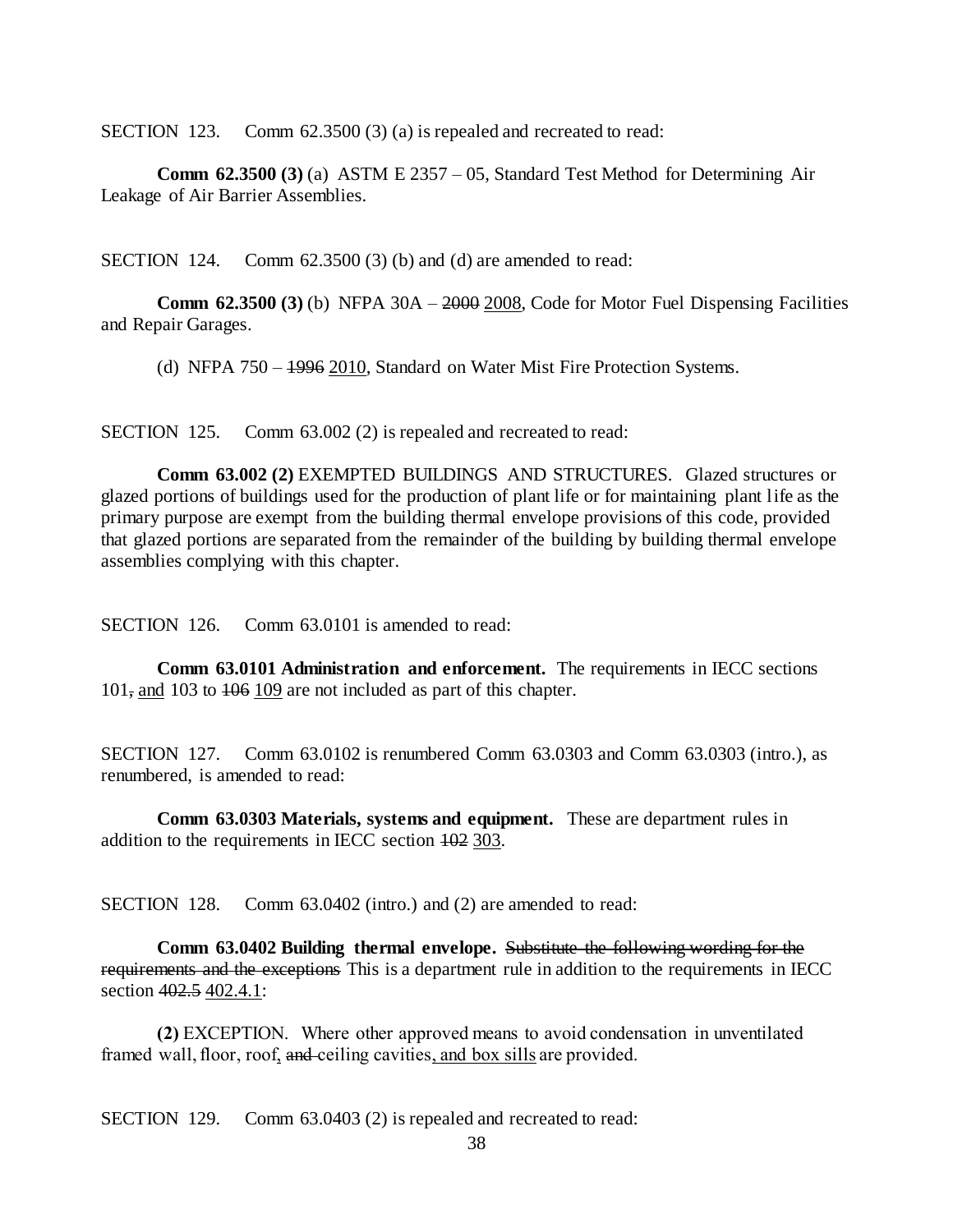SECTION 123. Comm 62.3500 (3) (a) is repealed and recreated to read:

**Comm 62.3500 (3)** (a) ASTM E 2357 – 05, Standard Test Method for Determining Air Leakage of Air Barrier Assemblies.

SECTION 124. Comm 62.3500 (3) (b) and (d) are amended to read:

**Comm 62.3500 (3)** (b) NFPA 30A – 2000 2008, Code for Motor Fuel Dispensing Facilities and Repair Garages.

(d) NFPA 750 – 1996 2010, Standard on Water Mist Fire Protection Systems.

SECTION 125. Comm 63.002 (2) is repealed and recreated to read:

**Comm 63.002 (2)** EXEMPTED BUILDINGS AND STRUCTURES. Glazed structures or glazed portions of buildings used for the production of plant life or for maintaining plant life as the primary purpose are exempt from the building thermal envelope provisions of this code, provided that glazed portions are separated from the remainder of the building by building thermal envelope assemblies complying with this chapter.

SECTION 126. Comm 63.0101 is amended to read:

**Comm 63.0101 Administration and enforcement.** The requirements in IECC sections 101, and 103 to 106 109 are not included as part of this chapter.

SECTION 127. Comm 63.0102 is renumbered Comm 63.0303 and Comm 63.0303 (intro.), as renumbered, is amended to read:

**Comm 63.0303 Materials, systems and equipment.** These are department rules in addition to the requirements in IECC section 102 303.

SECTION 128. Comm 63.0402 (intro.) and (2) are amended to read:

**Comm 63.0402 Building thermal envelope.** Substitute the following wording for the requirements and the exceptions This is a department rule in addition to the requirements in IECC section 402.5 402.4.1:

**(2)** EXCEPTION. Where other approved means to avoid condensation in unventilated framed wall, floor, roof, and ceiling cavities, and box sills are provided.

SECTION 129. Comm 63.0403 (2) is repealed and recreated to read: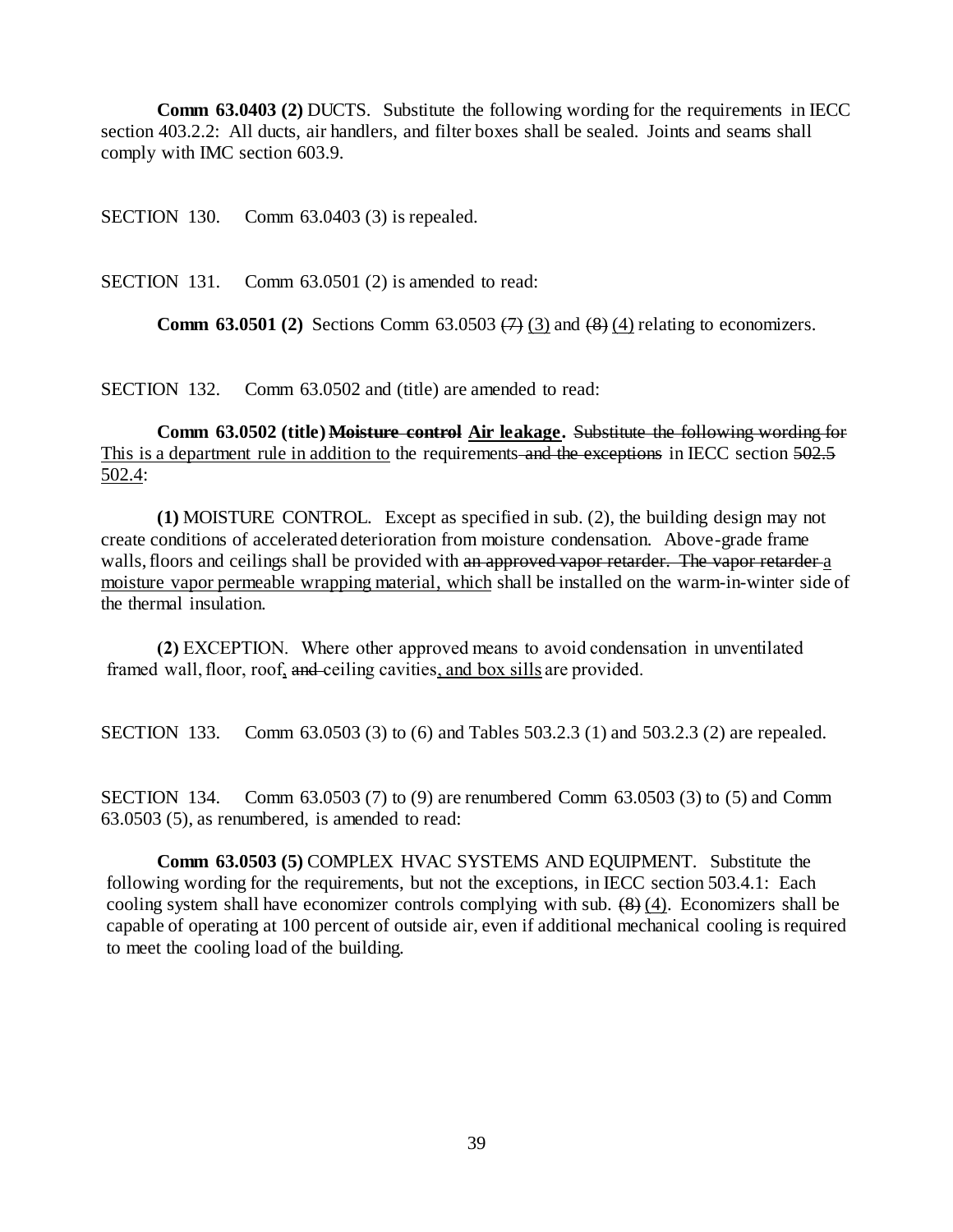**Comm 63.0403 (2) DUCTS.** Substitute the following wording for the requirements in IECC section 403.2.2: All ducts, air handlers, and filter boxes shall be sealed. Joints and seams shall comply with IMC section 603.9.

SECTION 130. Comm 63.0403 (3) is repealed.

SECTION 131. Comm 63.0501 (2) is amended to read:

**Comm 63.0501 (2)** Sections Comm 63.0503  $(7)$  (3) and  $(8)$  (4) relating to economizers.

SECTION 132. Comm 63.0502 and (title) are amended to read:

**Comm 63.0502 (title) Moisture control Air leakage.** Substitute the following wording for This is a department rule in addition to the requirements and the exceptions in IECC section 502.5 502.4:

**(1)** MOISTURE CONTROL. Except as specified in sub. (2), the building design may not create conditions of accelerated deterioration from moisture condensation. Above-grade frame walls, floors and ceilings shall be provided with an approved vapor retarder. The vapor retarder a moisture vapor permeable wrapping material, which shall be installed on the warm-in-winter side of the thermal insulation.

**(2)** EXCEPTION. Where other approved means to avoid condensation in unventilated framed wall, floor, roof, and ceiling cavities, and box sills are provided.

SECTION 133. Comm 63.0503 (3) to (6) and Tables 503.2.3 (1) and 503.2.3 (2) are repealed.

SECTION 134. Comm 63.0503 (7) to (9) are renumbered Comm 63.0503 (3) to (5) and Comm 63.0503 (5), as renumbered, is amended to read:

**Comm 63.0503 (5)** COMPLEX HVAC SYSTEMS AND EQUIPMENT. Substitute the following wording for the requirements, but not the exceptions, in IECC section 503.4.1: Each cooling system shall have economizer controls complying with sub.  $(8)$  (4). Economizers shall be capable of operating at 100 percent of outside air, even if additional mechanical cooling is required to meet the cooling load of the building.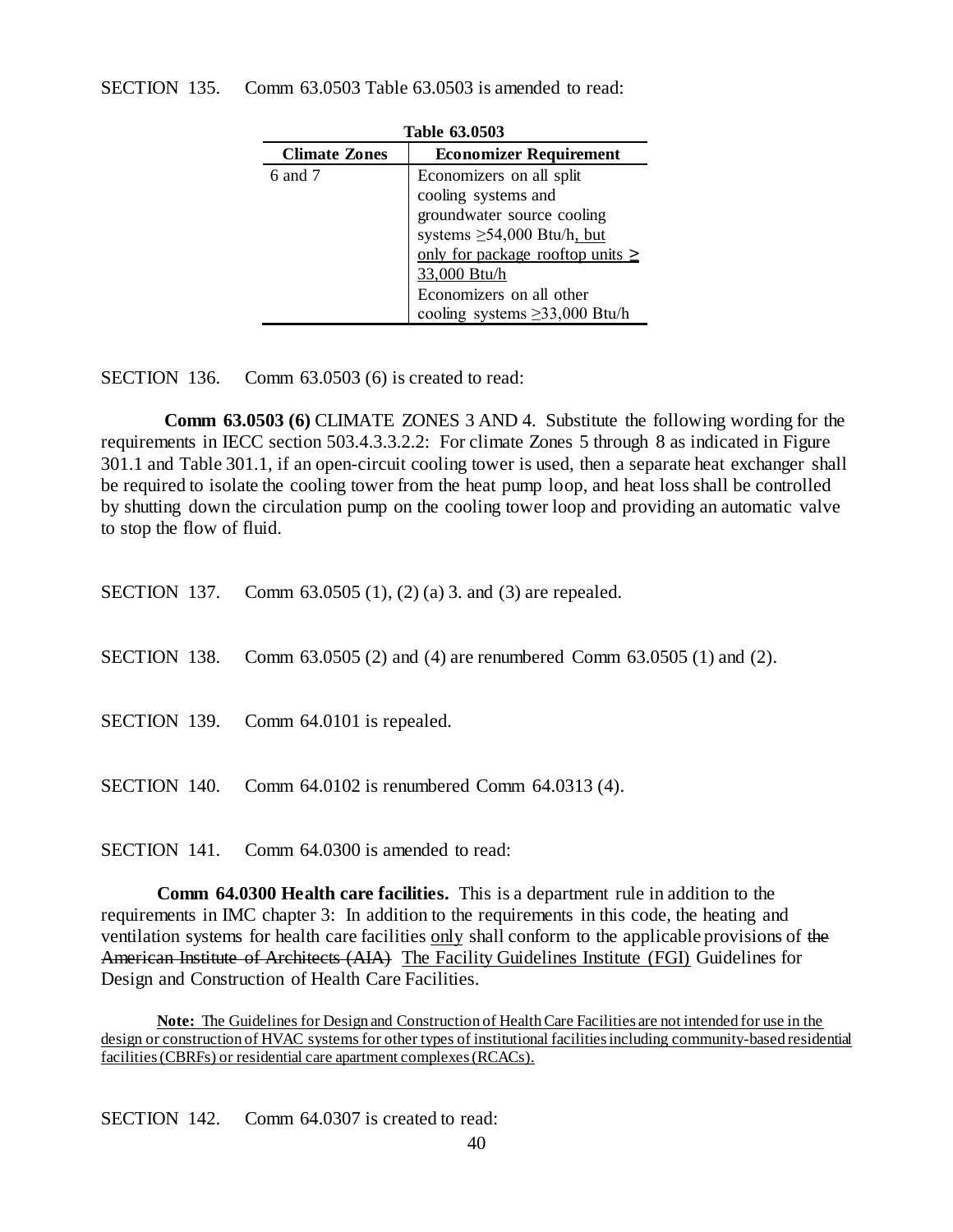| TANIL VJIVJVJ        |                                                                                                                                                                                                                                               |  |
|----------------------|-----------------------------------------------------------------------------------------------------------------------------------------------------------------------------------------------------------------------------------------------|--|
| <b>Climate Zones</b> | <b>Economizer Requirement</b>                                                                                                                                                                                                                 |  |
| $6$ and $7$          | Economizers on all split<br>cooling systems and<br>groundwater source cooling<br>systems $\geq 54,000$ Btu/h, but<br>only for package rooftop units $\geq$<br>33,000 Btu/h<br>Economizers on all other<br>cooling systems $\geq$ 33,000 Btu/h |  |

**Table 63.0503**

SECTION 136. Comm 63.0503 (6) is created to read:

**Comm 63.0503 (6)** CLIMATE ZONES 3 AND 4. Substitute the following wording for the requirements in IECC section 503.4.3.3.2.2: For climate Zones 5 through 8 as indicated in Figure 301.1 and Table 301.1, if an open-circuit cooling tower is used, then a separate heat exchanger shall be required to isolate the cooling tower from the heat pump loop, and heat loss shall be controlled by shutting down the circulation pump on the cooling tower loop and providing an automatic valve to stop the flow of fluid.

|  | SECTION 137. Comm 63.0505 (1), (2) (a) 3. and (3) are repealed.                       |
|--|---------------------------------------------------------------------------------------|
|  | <b>SECTION</b> 138. Comm 63.0505 (2) and (4) are renumbered Comm 63.0505 (1) and (2). |
|  | SECTION 139. Comm 64.0101 is repealed.                                                |
|  | <b>SECTION</b> 140. Comm $64.0102$ is renumbered Comm $64.0313$ (4).                  |

SECTION 141. Comm 64.0300 is amended to read:

**Comm 64.0300 Health care facilities.** This is a department rule in addition to the requirements in IMC chapter 3: In addition to the requirements in this code, the heating and ventilation systems for health care facilities only shall conform to the applicable provisions of the American Institute of Architects (AIA) The Facility Guidelines Institute (FGI) Guidelines for Design and Construction of Health Care Facilities.

**Note:** The Guidelines for Design and Construction of Health Care Facilities are not intended for use in the design or construction of HVAC systems for other types of institutional facilities including community-based residential facilities (CBRFs) or residential care apartment complexes (RCACs).

SECTION 142. Comm 64.0307 is created to read: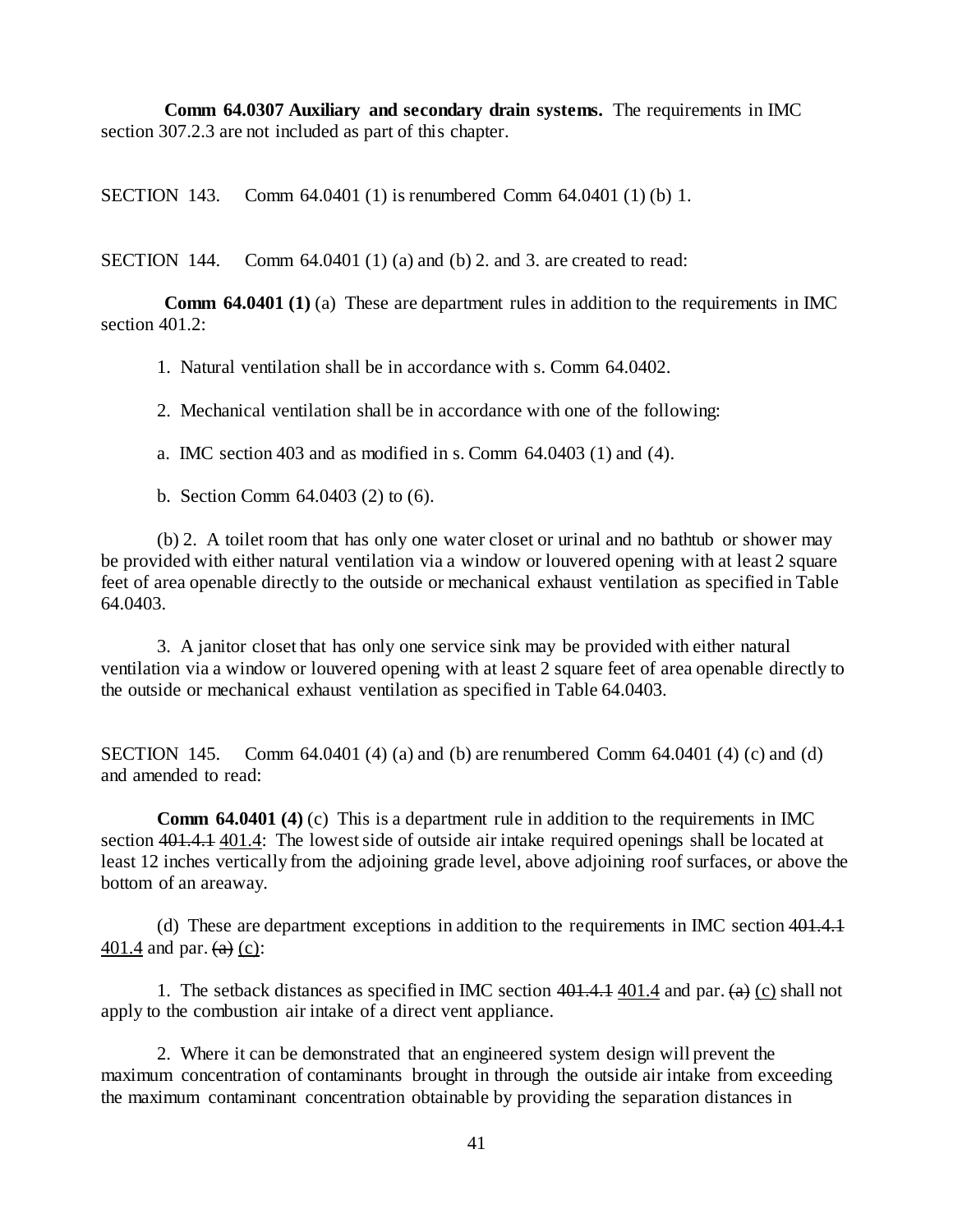**Comm 64.0307 Auxiliary and secondary drain systems.** The requirements in IMC section 307.2.3 are not included as part of this chapter.

SECTION 143. Comm 64.0401 (1) is renumbered Comm 64.0401 (1) (b) 1.

SECTION 144. Comm  $64.0401(1)$  (a) and (b) 2. and 3. are created to read:

**Comm 64.0401 (1)** (a) These are department rules in addition to the requirements in IMC section 401.2:

1. Natural ventilation shall be in accordance with s. Comm 64.0402.

2. Mechanical ventilation shall be in accordance with one of the following:

a. IMC section 403 and as modified in s. Comm 64.0403 (1) and (4).

b. Section Comm 64.0403 (2) to (6).

(b) 2. A toilet room that has only one water closet or urinal and no bathtub or shower may be provided with either natural ventilation via a window or louvered opening with at least 2 square feet of area openable directly to the outside or mechanical exhaust ventilation as specified in Table 64.0403.

3. A janitor closet that has only one service sink may be provided with either natural ventilation via a window or louvered opening with at least 2 square feet of area openable directly to the outside or mechanical exhaust ventilation as specified in Table 64.0403.

**SECTION** 145. Comm 64.0401 (4) (a) and (b) are renumbered Comm 64.0401 (4) (c) and (d) and amended to read:

**Comm 64.0401 (4)** (c) This is a department rule in addition to the requirements in IMC section 401.4.1 401.4: The lowest side of outside air intake required openings shall be located at least 12 inches vertically from the adjoining grade level, above adjoining roof surfaces, or above the bottom of an areaway.

(d) These are department exceptions in addition to the requirements in IMC section 401.4.1 401.4 and par.  $(a)$  (c):

1. The setback distances as specified in IMC section  $401.4.1$  401.4 and par.  $(a)$  (c) shall not apply to the combustion air intake of a direct vent appliance.

2. Where it can be demonstrated that an engineered system design will prevent the maximum concentration of contaminants brought in through the outside air intake from exceeding the maximum contaminant concentration obtainable by providing the separation distances in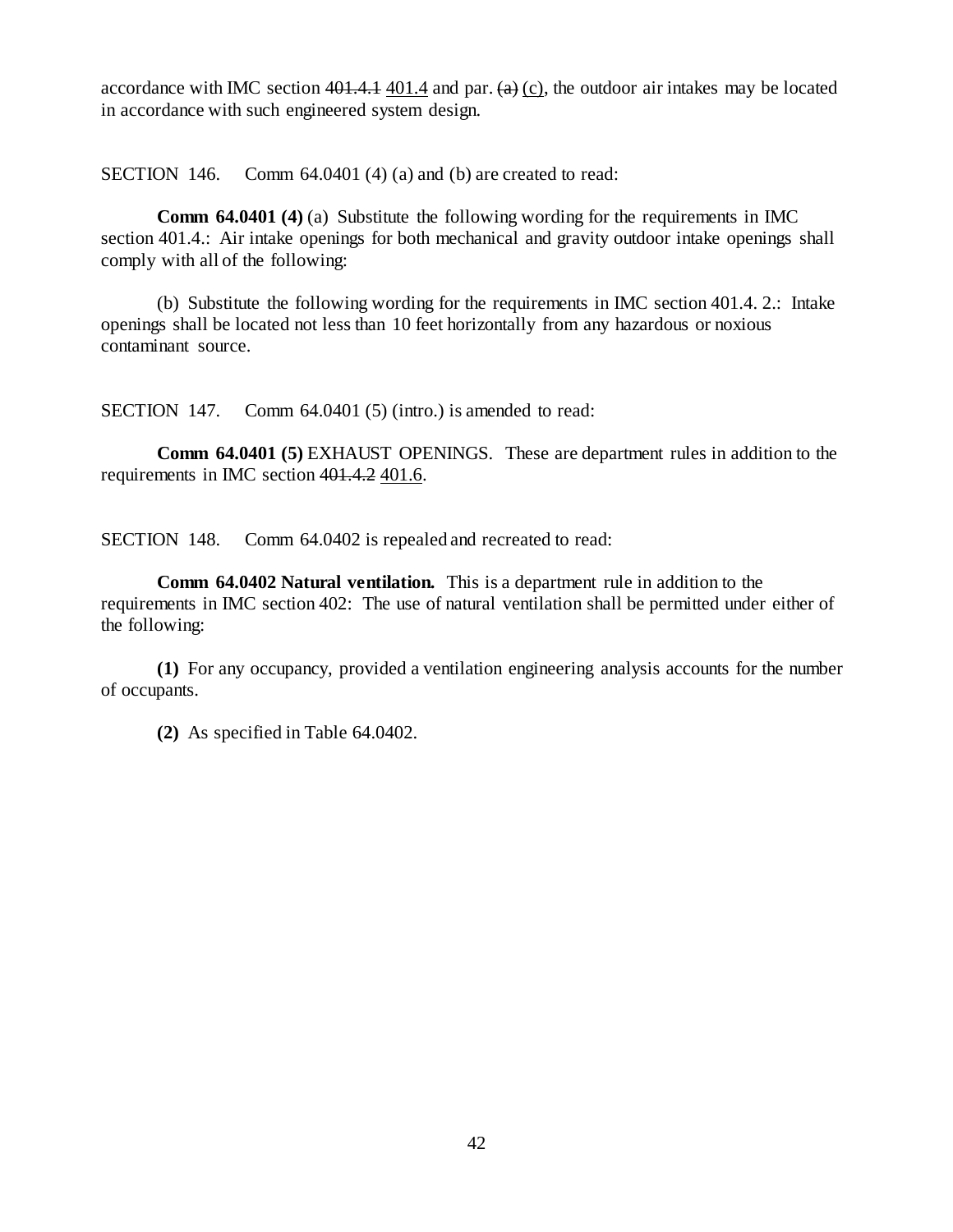accordance with IMC section  $401.4.1$  401.4 and par.  $(a)$  (c), the outdoor air intakes may be located in accordance with such engineered system design.

SECTION 146. Comm 64.0401 (4) (a) and (b) are created to read:

**Comm 64.0401 (4)** (a) Substitute the following wording for the requirements in IMC section 401.4.: Air intake openings for both mechanical and gravity outdoor intake openings shall comply with all of the following:

(b) Substitute the following wording for the requirements in IMC section 401.4. 2.: Intake openings shall be located not less than 10 feet horizontally from any hazardous or noxious contaminant source.

SECTION 147. Comm 64.0401 (5) (intro.) is amended to read:

**Comm 64.0401 (5)** EXHAUST OPENINGS. These are department rules in addition to the requirements in IMC section 401.4.2 401.6.

SECTION 148. Comm 64.0402 is repealed and recreated to read:

**Comm 64.0402 Natural ventilation.** This is a department rule in addition to the requirements in IMC section 402: The use of natural ventilation shall be permitted under either of the following:

**(1)** For any occupancy, provided a ventilation engineering analysis accounts for the number of occupants.

**(2)** As specified in Table 64.0402.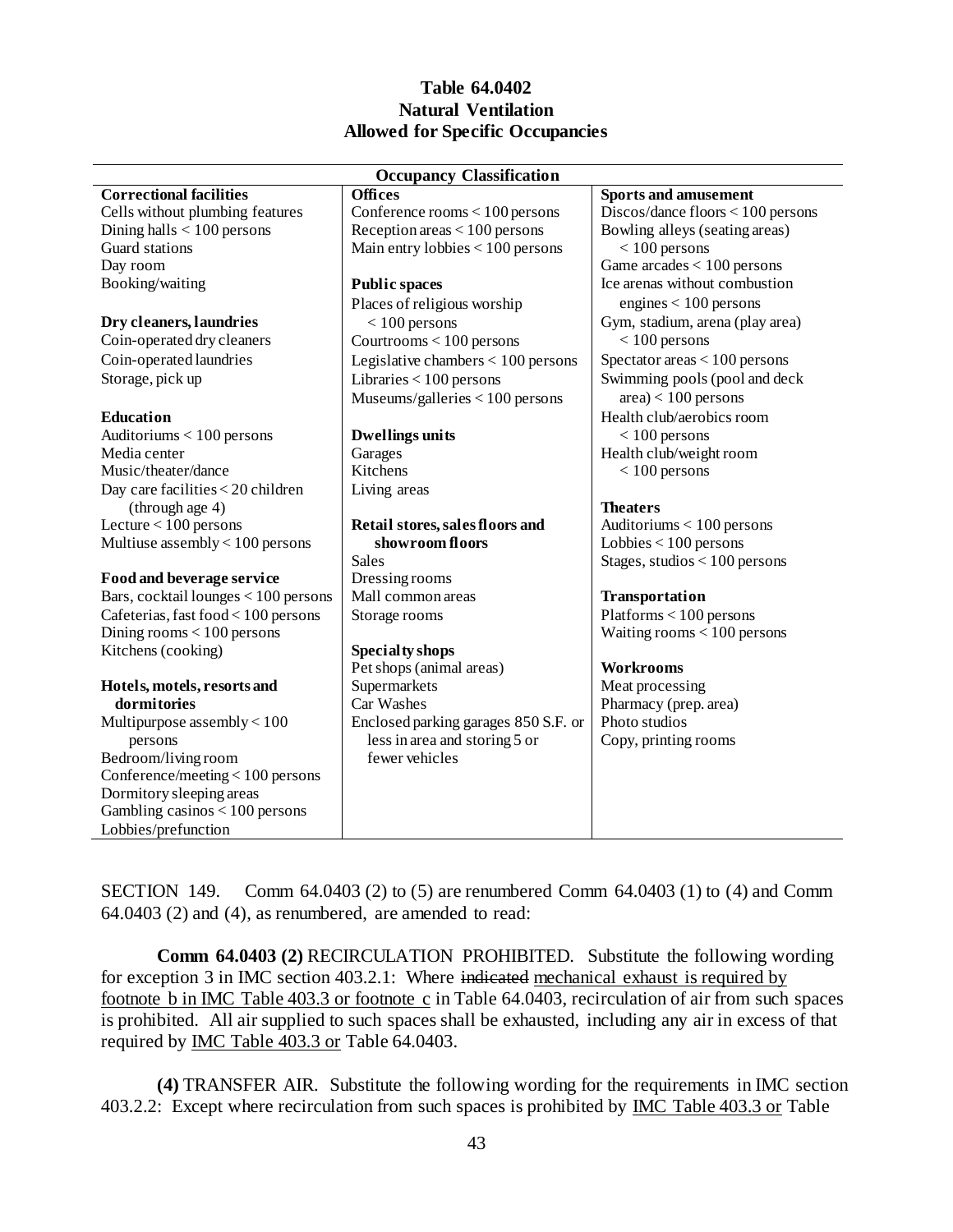## **Table 64.0402 Natural Ventilation Allowed for Specific Occupancies**

| <b>Occupancy Classification</b>      |                                      |                                     |  |
|--------------------------------------|--------------------------------------|-------------------------------------|--|
| <b>Correctional facilities</b>       | <b>Offices</b>                       | <b>Sports and amusement</b>         |  |
| Cells without plumbing features      | Conference rooms $< 100$ persons     | $Discos/dance$ floors < 100 persons |  |
| Dining halls $< 100$ persons         | Reception areas $< 100$ persons      | Bowling alleys (seating areas)      |  |
| Guard stations                       | Main entry lobbies $< 100$ persons   | $< 100$ persons                     |  |
| Day room                             |                                      | Game $arcades < 100$ persons        |  |
| Booking/waiting                      | <b>Public spaces</b>                 | Ice arenas without combustion       |  |
|                                      | Places of religious worship          | engines $< 100$ persons             |  |
| Dry cleaners, laundries              | $< 100$ persons                      | Gym, stadium, arena (play area)     |  |
| Coin-operated dry cleaners           | Courtrooms $< 100$ persons           | $< 100$ persons                     |  |
| Coin-operated laundries              | Legislative chambers $< 100$ persons | Spectator areas $< 100$ persons     |  |
| Storage, pick up                     | Libraries $< 100$ persons            | Swimming pools (pool and deck       |  |
|                                      | Museums/galleries < 100 persons      | $area$ < 100 persons                |  |
| <b>Education</b>                     |                                      | Health club/aerobics room           |  |
| Auditoriums $< 100$ persons          | <b>Dwellings units</b>               | $< 100$ persons                     |  |
| Media center                         | Garages                              | Health club/weight room             |  |
| Music/theater/dance                  | Kitchens                             | $< 100$ persons                     |  |
| Day care facilities < 20 children    | Living areas                         |                                     |  |
| (through age 4)                      |                                      | <b>Theaters</b>                     |  |
| Lecture $< 100$ persons              | Retail stores, sales floors and      | Auditoriums $< 100$ persons         |  |
| Multiuse assembly $< 100$ persons    | showroom floors                      | Lobbies $< 100$ persons             |  |
|                                      | <b>Sales</b>                         | Stages, studios < $100$ persons     |  |
| Food and beverage service            | Dressing rooms                       |                                     |  |
| Bars, cocktail lounges < 100 persons | Mall common areas                    | Transportation                      |  |
| Cafeterias, fast food < 100 persons  | Storage rooms                        | $Platforms < 100$ persons           |  |
| Dining rooms $< 100$ persons         |                                      | Waiting rooms $< 100$ persons       |  |
| Kitchens (cooking)                   | <b>Specialty shops</b>               |                                     |  |
|                                      | Pet shops (animal areas)             | Workrooms                           |  |
| Hotels, motels, resorts and          | Supermarkets                         | Meat processing                     |  |
| dormitories                          | Car Washes                           | Pharmacy (prep. area)               |  |
| Multipurpose assembly $< 100$        | Enclosed parking garages 850 S.F. or | Photo studios                       |  |
| persons                              | less in area and storing 5 or        | Copy, printing rooms                |  |
| Bedroom/living room                  | fewer vehicles                       |                                     |  |
| Conference/meeting $< 100$ persons   |                                      |                                     |  |
| Dormitory sleeping areas             |                                      |                                     |  |
| Gambling casinos $< 100$ persons     |                                      |                                     |  |
| Lobbies/prefunction                  |                                      |                                     |  |

SECTION 149. Comm 64.0403 (2) to (5) are renumbered Comm 64.0403 (1) to (4) and Comm 64.0403 (2) and (4), as renumbered, are amended to read:

**Comm 64.0403 (2)** RECIRCULATION PROHIBITED. Substitute the following wording for exception 3 in IMC section 403.2.1: Where indicated mechanical exhaust is required by footnote b in IMC Table 403.3 or footnote c in Table 64.0403, recirculation of air from such spaces is prohibited. All air supplied to such spaces shall be exhausted, including any air in excess of that required by IMC Table 403.3 or Table 64.0403.

**(4)** TRANSFER AIR. Substitute the following wording for the requirements in IMC section 403.2.2: Except where recirculation from such spaces is prohibited by IMC Table 403.3 or Table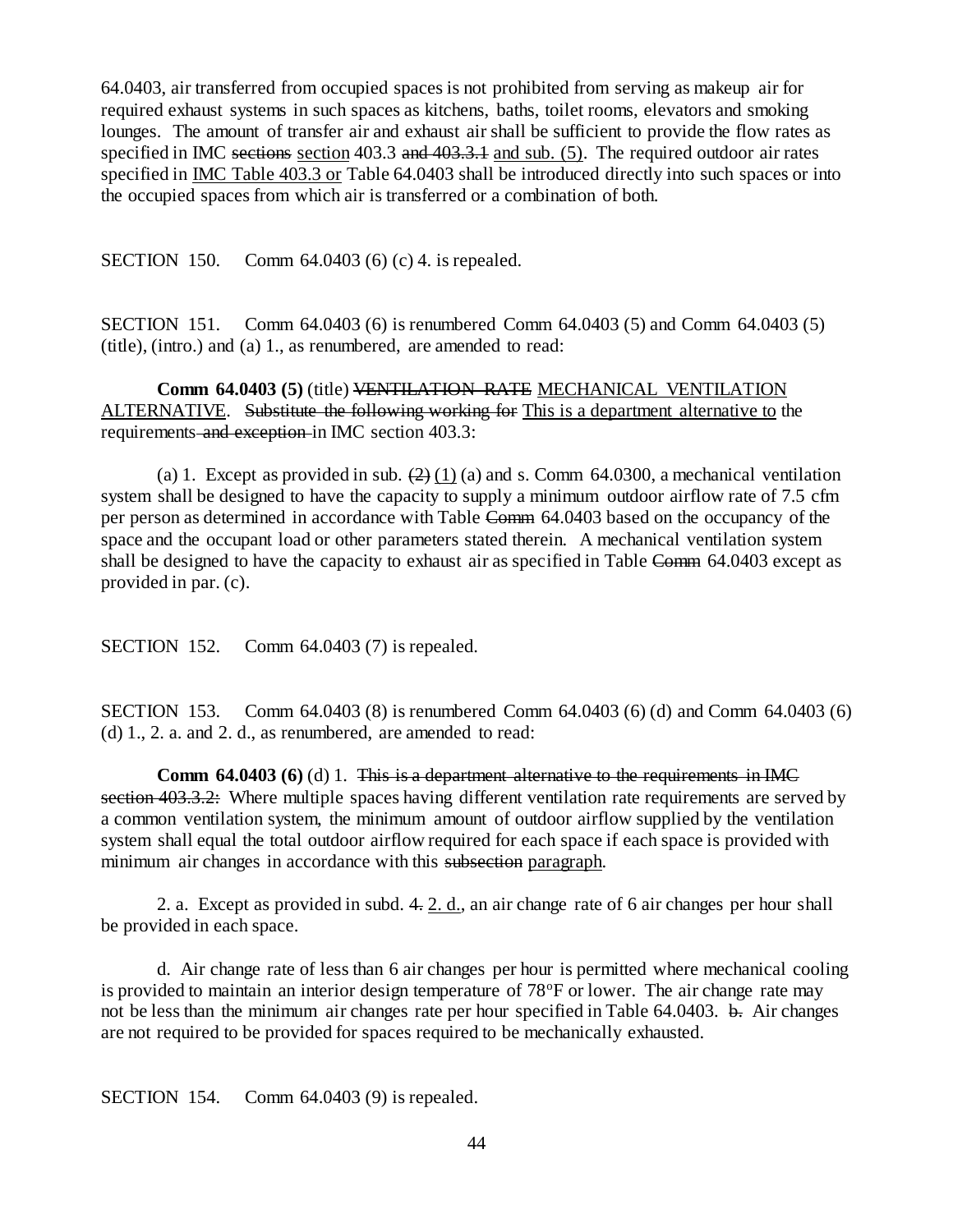64.0403, air transferred from occupied spaces is not prohibited from serving as makeup air for required exhaust systems in such spaces as kitchens, baths, toilet rooms, elevators and smoking lounges. The amount of transfer air and exhaust air shall be sufficient to provide the flow rates as specified in IMC sections section 403.3 and 403.3.1 and sub. (5). The required outdoor air rates specified in IMC Table 403.3 or Table 64.0403 shall be introduced directly into such spaces or into the occupied spaces from which air is transferred or a combination of both.

SECTION 150. Comm 64.0403 (6) (c) 4. is repealed.

SECTION 151. Comm 64.0403 (6) is renumbered Comm 64.0403 (5) and Comm 64.0403 (5) (title), (intro.) and (a) 1., as renumbered, are amended to read:

**Comm 64.0403 (5)** (title) VENTILATION RATE MECHANICAL VENTILATION ALTERNATIVE. Substitute the following working for This is a department alternative to the requirements and exception in IMC section 403.3:

(a) 1. Except as provided in sub.  $(2)$  (1) (a) and s. Comm 64.0300, a mechanical ventilation system shall be designed to have the capacity to supply a minimum outdoor airflow rate of 7.5 cfm per person as determined in accordance with Table Comm 64.0403 based on the occupancy of the space and the occupant load or other parameters stated therein. A mechanical ventilation system shall be designed to have the capacity to exhaust air as specified in Table Comm 64.0403 except as provided in par. (c).

SECTION 152. Comm 64.0403 (7) is repealed.

SECTION 153. Comm 64.0403 (8) is renumbered Comm 64.0403 (6) (d) and Comm 64.0403 (6) (d) 1., 2. a. and 2. d., as renumbered, are amended to read:

**Comm 64.0403 (6)** (d) 1. This is a department alternative to the requirements in IMC section 403.3.2: Where multiple spaces having different ventilation rate requirements are served by a common ventilation system, the minimum amount of outdoor airflow supplied by the ventilation system shall equal the total outdoor airflow required for each space if each space is provided with minimum air changes in accordance with this subsection paragraph.

2. a. Except as provided in subd. 4. 2. d., an air change rate of 6 air changes per hour shall be provided in each space.

d. Air change rate of less than 6 air changes per hour is permitted where mechanical cooling is provided to maintain an interior design temperature of  $78^{\circ}$ F or lower. The air change rate may not be less than the minimum air changes rate per hour specified in Table 64.0403. b. Air changes are not required to be provided for spaces required to be mechanically exhausted.

SECTION 154. Comm 64.0403 (9) is repealed.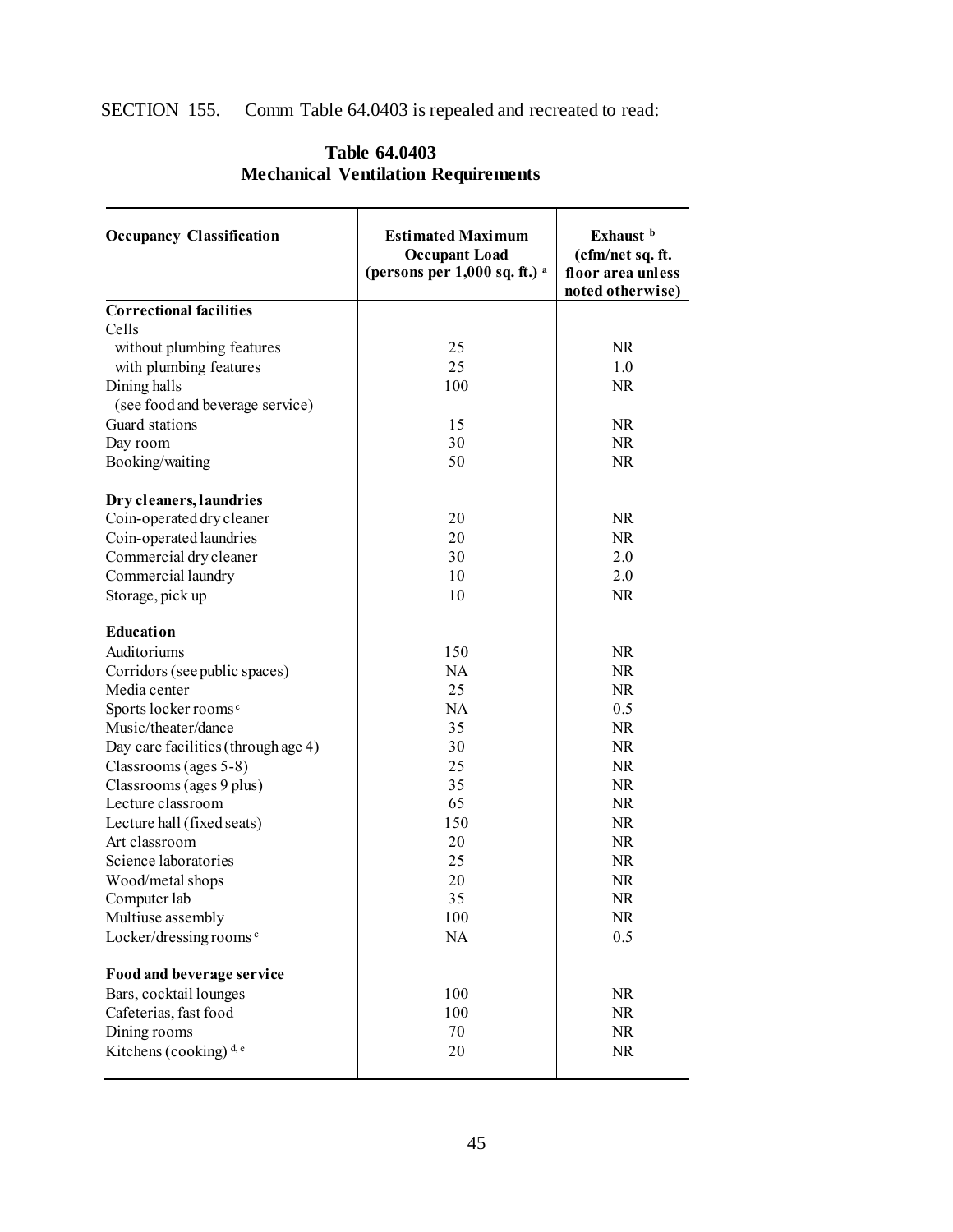## SECTION 155. Comm Table 64.0403 is repealed and recreated to read:

| <b>Occupancy Classification</b>     | <b>Estimated Maximum</b><br><b>Occupant Load</b><br>(persons per $1,000$ sq. ft.) $^{\rm a}$ | Exhaust b<br>(cfm/net sq. ft.<br>floor area unless<br>noted otherwise) |  |
|-------------------------------------|----------------------------------------------------------------------------------------------|------------------------------------------------------------------------|--|
| <b>Correctional facilities</b>      |                                                                                              |                                                                        |  |
| Cells                               |                                                                                              |                                                                        |  |
| without plumbing features           | 25                                                                                           | <b>NR</b>                                                              |  |
| with plumbing features              | 25                                                                                           | 1.0                                                                    |  |
| Dining halls                        | 100                                                                                          | NR                                                                     |  |
| (see food and beverage service)     |                                                                                              |                                                                        |  |
| Guard stations                      | 15                                                                                           | NR.                                                                    |  |
| Day room                            | 30                                                                                           | NR                                                                     |  |
| Booking/waiting                     | 50                                                                                           | NR                                                                     |  |
|                                     |                                                                                              |                                                                        |  |
| Dry cleaners, laundries             |                                                                                              |                                                                        |  |
| Coin-operated dry cleaner           | 20                                                                                           | <b>NR</b>                                                              |  |
| Coin-operated laundries             | 20                                                                                           | <b>NR</b>                                                              |  |
| Commercial dry cleaner              | 30                                                                                           | 2.0                                                                    |  |
| Commercial laundry                  | 10                                                                                           | 2.0                                                                    |  |
| Storage, pick up                    | 10                                                                                           | NR                                                                     |  |
| Education                           |                                                                                              |                                                                        |  |
| Auditoriums                         | 150                                                                                          | NR.                                                                    |  |
| Corridors (see public spaces)       | NA                                                                                           | <b>NR</b>                                                              |  |
| Media center                        | 25                                                                                           | <b>NR</b>                                                              |  |
| Sports locker rooms <sup>c</sup>    | <b>NA</b>                                                                                    | 0.5                                                                    |  |
| Music/theater/dance                 | 35                                                                                           | NR.                                                                    |  |
| Day care facilities (through age 4) | 30                                                                                           | <b>NR</b>                                                              |  |
| Classrooms (ages 5-8)               | 25                                                                                           | NR                                                                     |  |
| Classrooms (ages 9 plus)            | 35                                                                                           | <b>NR</b>                                                              |  |
| Lecture classroom                   | 65                                                                                           | <b>NR</b>                                                              |  |
| Lecture hall (fixed seats)          | 150                                                                                          | <b>NR</b>                                                              |  |
| Art classroom                       | 20                                                                                           | <b>NR</b>                                                              |  |
| Science laboratories                | 25                                                                                           | NR                                                                     |  |
| Wood/metal shops                    | 20                                                                                           | <b>NR</b>                                                              |  |
| Computer lab                        | 35                                                                                           | NR                                                                     |  |
| Multiuse assembly                   | 100                                                                                          | NR.                                                                    |  |
| Locker/dressing rooms <sup>c</sup>  | NA                                                                                           | 0.5                                                                    |  |
|                                     |                                                                                              |                                                                        |  |
| Food and beverage service           |                                                                                              |                                                                        |  |
| Bars, cocktail lounges              | 100                                                                                          | <b>NR</b>                                                              |  |
| Cafeterias, fast food               | 100                                                                                          | NR                                                                     |  |
| Dining rooms                        | 70                                                                                           | NR                                                                     |  |
| Kitchens (cooking) <sup>d, e</sup>  | 20                                                                                           | NR                                                                     |  |
|                                     |                                                                                              |                                                                        |  |

## **Table 64.0403 Mechanical Ventilation Requirements**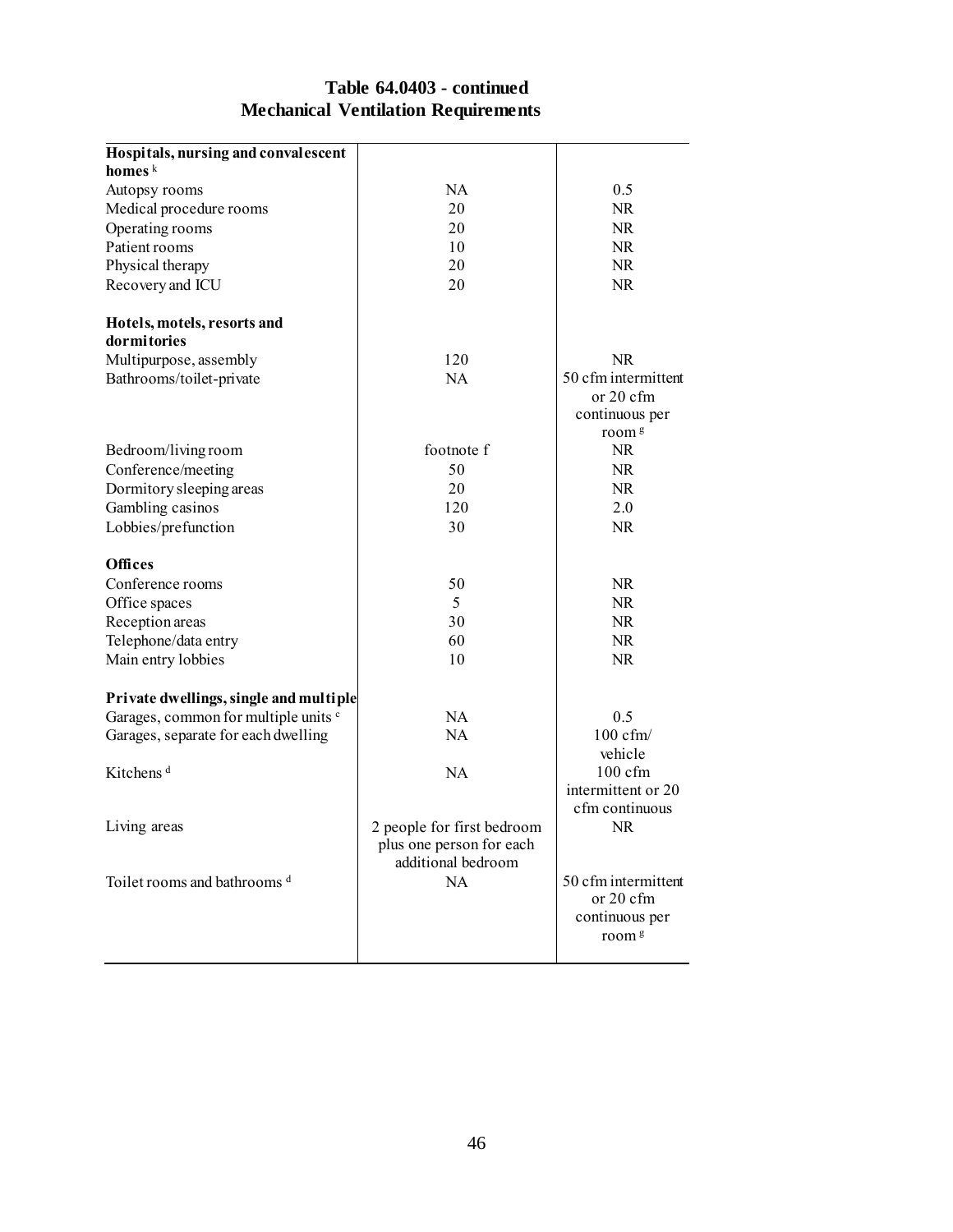## **Table 64.0403 - continued Mechanical Ventilation Requirements**

| Hospitals, nursing and convalescent     |                            |                                     |
|-----------------------------------------|----------------------------|-------------------------------------|
| homes $k$                               |                            |                                     |
| Autopsy rooms                           | NA                         | 0.5                                 |
| Medical procedure rooms                 | 20                         | <b>NR</b>                           |
| Operating rooms                         | 20                         | NR.                                 |
| Patient rooms                           | 10                         | <b>NR</b>                           |
| Physical therapy                        | 20                         | NR.                                 |
| Recovery and ICU                        | 20                         | <b>NR</b>                           |
| Hotels, motels, resorts and             |                            |                                     |
| dormitories                             |                            |                                     |
| Multipurpose, assembly                  | 120                        | <b>NR</b>                           |
| Bathrooms/toilet-private                | <b>NA</b>                  | 50 cfm intermittent                 |
|                                         |                            | or 20 cfm                           |
|                                         |                            | continuous per                      |
|                                         |                            | room <sup>g</sup>                   |
| Bedroom/living room                     | footnote f                 | <b>NR</b>                           |
| Conference/meeting                      | 50                         | <b>NR</b>                           |
| Dormitory sleeping areas                | 20                         | <b>NR</b>                           |
| Gambling casinos                        | 120                        | 2.0                                 |
| Lobbies/prefunction                     | 30                         | NR.                                 |
| <b>Offices</b>                          |                            |                                     |
| Conference rooms                        | 50                         | <b>NR</b>                           |
| Office spaces                           | 5                          | <b>NR</b>                           |
| Reception areas                         | 30                         | <b>NR</b>                           |
| Telephone/data entry                    | 60                         | <b>NR</b>                           |
| Main entry lobbies                      | 10                         | <b>NR</b>                           |
| Private dwellings, single and multiple  |                            |                                     |
| Garages, common for multiple units c    | <b>NA</b>                  | 0.5                                 |
| Garages, separate for each dwelling     | <b>NA</b>                  | $100 \text{ cfm}$                   |
|                                         |                            | vehicle                             |
| Kitchens <sup>d</sup>                   | <b>NA</b>                  | $100 \text{ cfm}$                   |
|                                         |                            | intermittent or 20                  |
|                                         |                            | cfm continuous                      |
| Living areas                            | 2 people for first bedroom | NR.                                 |
|                                         | plus one person for each   |                                     |
|                                         | additional bedroom         |                                     |
| Toilet rooms and bathrooms <sup>d</sup> | NA                         | 50 cfm intermittent                 |
|                                         |                            | or 20 cfm                           |
|                                         |                            | continuous per<br>room <sup>g</sup> |
|                                         |                            |                                     |
|                                         |                            |                                     |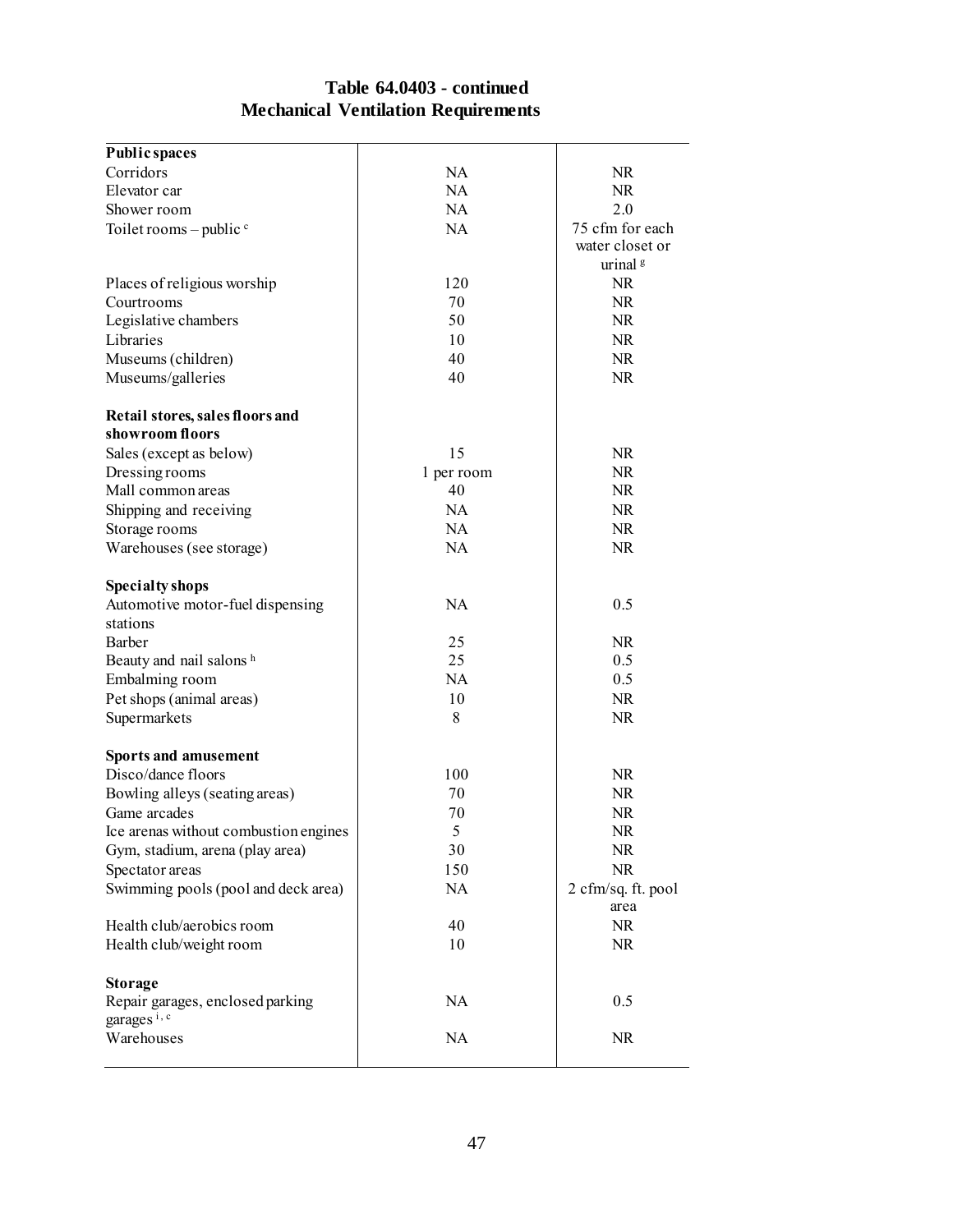## **Table 64.0403 - continued Mechanical Ventilation Requirements**

| <b>Public spaces</b>                                        |            |                     |
|-------------------------------------------------------------|------------|---------------------|
| Corridors                                                   | <b>NA</b>  | NR                  |
| Elevator car                                                | NA         | NR                  |
| Shower room                                                 | NA         | 2.0                 |
| Toilet rooms – public $\circ$                               | NA         | 75 cfm for each     |
|                                                             |            | water closet or     |
|                                                             |            | urinal <sup>g</sup> |
| Places of religious worship                                 | 120        | <b>NR</b>           |
| Courtrooms                                                  | 70         | <b>NR</b>           |
| Legislative chambers                                        | 50         | <b>NR</b>           |
| Libraries                                                   | 10         | NR                  |
| Museums (children)                                          | 40         | NR                  |
| Museums/galleries                                           | 40         | NR                  |
| Retail stores, sales floors and                             |            |                     |
| showroom floors                                             |            |                     |
| Sales (except as below)                                     | 15         | <b>NR</b>           |
| Dressing rooms                                              | 1 per room | <b>NR</b>           |
| Mall common areas                                           | 40         | NR                  |
| Shipping and receiving                                      | <b>NA</b>  | NR                  |
| Storage rooms                                               | <b>NA</b>  | NR                  |
| Warehouses (see storage)                                    | NA         | NR                  |
| <b>Specialty shops</b>                                      |            |                     |
| Automotive motor-fuel dispensing                            | NA         | 0.5                 |
| stations                                                    |            |                     |
| Barber                                                      | 25         | <b>NR</b>           |
| Beauty and nail salons h                                    | 25         | 0.5                 |
| Embalming room                                              | <b>NA</b>  | 0.5                 |
| Pet shops (animal areas)                                    | 10         | NR                  |
| Supermarkets                                                | 8          | NR                  |
| <b>Sports and amusement</b>                                 |            |                     |
| Disco/dance floors                                          | 100        | NR                  |
| Bowling alleys (seating areas)                              | 70         | NR                  |
| Game arcades                                                | 70         | NR                  |
| Ice arenas without combustion engines                       | 5          | NR.                 |
| Gym, stadium, arena (play area)                             | 30         | NR                  |
| Spectator areas                                             | 150        | NR                  |
| Swimming pools (pool and deck area)                         | NA         | 2 cfm/sq. ft. pool  |
|                                                             |            | area                |
| Health club/aerobics room                                   | 40         | NR                  |
| Health club/weight room                                     | 10         | NR                  |
| <b>Storage</b>                                              |            |                     |
| Repair garages, enclosed parking<br>garages <sup>i, c</sup> | NA         | 0.5                 |
| Warehouses                                                  | NA         | NR                  |
|                                                             |            |                     |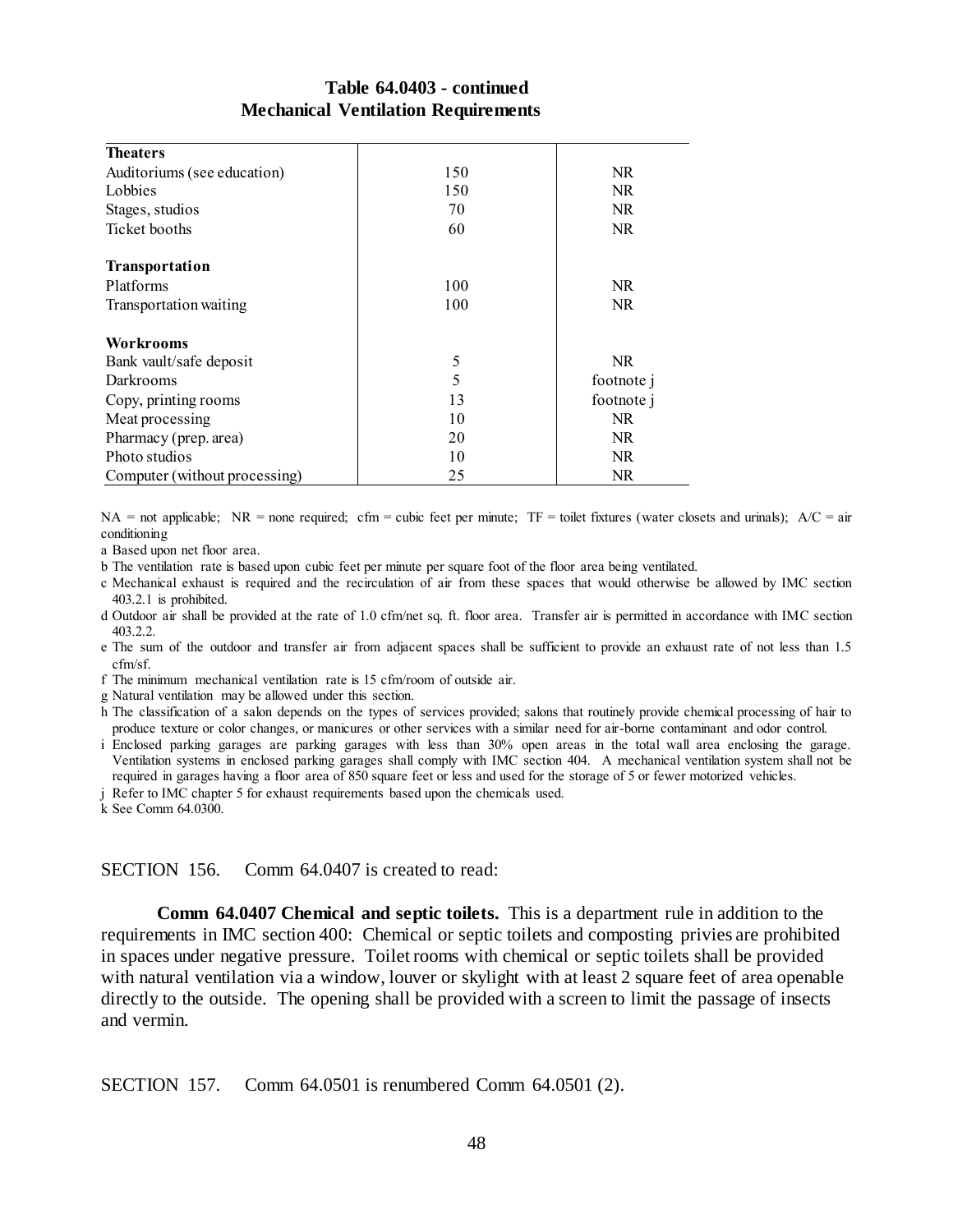## **Table 64.0403 - continued Mechanical Ventilation Requirements**

| <b>Theaters</b>               |     |            |
|-------------------------------|-----|------------|
| Auditoriums (see education)   | 150 | NR.        |
| Lobbies                       | 150 | NR.        |
| Stages, studios               | 70  | NR.        |
| Ticket booths                 | 60  | NR.        |
| Transportation                |     |            |
| Platforms                     | 100 | NR.        |
| Transportation waiting        | 100 | <b>NR</b>  |
| <b>Workrooms</b>              |     |            |
| Bank vault/safe deposit       | 5   | NR.        |
| Darkrooms                     | 5   | footnote j |
| Copy, printing rooms          | 13  | footnote j |
| Meat processing               | 10  | NR.        |
| Pharmacy (prep. area)         | 20  | NR.        |
| Photo studios                 | 10  | NR.        |
| Computer (without processing) | 25  | NR.        |

NA = not applicable; NR = none required; cfm = cubic feet per minute; TF = toilet fixtures (water closets and urinals);  $A/C = air$ conditioning

a Based upon net floor area.

b The ventilation rate is based upon cubic feet per minute per square foot of the floor area being ventilated.

- c Mechanical exhaust is required and the recirculation of air from these spaces that would otherwise be allowed by IMC section 403.2.1 is prohibited.
- d Outdoor air shall be provided at the rate of 1.0 cfm/net sq. ft. floor area. Transfer air is permitted in accordance with IMC section 403.2.2.
- e The sum of the outdoor and transfer air from adjacent spaces shall be sufficient to provide an exhaust rate of not less than 1.5 cfm/sf.

f The minimum mechanical ventilation rate is 15 cfm/room of outside air.

g Natural ventilation may be allowed under this section.

- h The classification of a salon depends on the types of services provided; salons that routinely provide chemical processing of hair to produce texture or color changes, or manicures or other services with a similar need for air-borne contaminant and odor control.
- i Enclosed parking garages are parking garages with less than 30% open areas in the total wall area enclosing the garage. Ventilation systems in enclosed parking garages shall comply with IMC section 404. A mechanical ventilation system shall not be required in garages having a floor area of 850 square feet or less and used for the storage of 5 or fewer motorized vehicles.
- j Refer to IMC chapter 5 for exhaust requirements based upon the chemicals used.

k See Comm 64.0300.

#### SECTION 156. Comm 64.0407 is created to read:

**Comm 64.0407 Chemical and septic toilets.** This is a department rule in addition to the requirements in IMC section 400: Chemical or septic toilets and composting privies are prohibited in spaces under negative pressure. Toilet rooms with chemical or septic toilets shall be provided with natural ventilation via a window, louver or skylight with at least 2 square feet of area openable directly to the outside. The opening shall be provided with a screen to limit the passage of insects and vermin.

SECTION 157. Comm 64.0501 is renumbered Comm 64.0501 (2).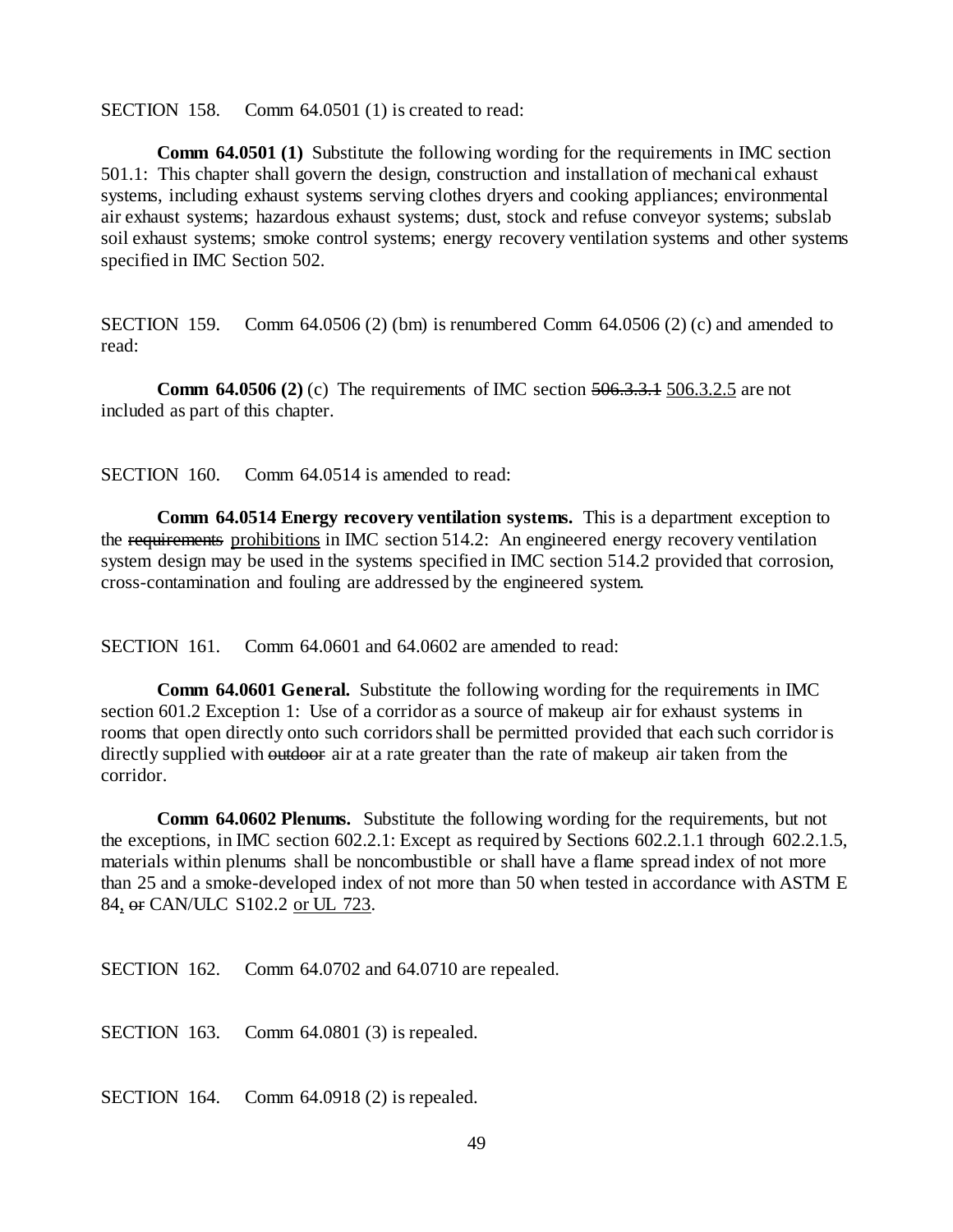SECTION 158. Comm 64.0501 (1) is created to read:

**Comm 64.0501 (1)** Substitute the following wording for the requirements in IMC section 501.1: This chapter shall govern the design, construction and installation of mechanical exhaust systems, including exhaust systems serving clothes dryers and cooking appliances; environmental air exhaust systems; hazardous exhaust systems; dust, stock and refuse conveyor systems; subslab soil exhaust systems; smoke control systems; energy recovery ventilation systems and other systems specified in IMC Section 502.

SECTION 159. Comm 64.0506 (2) (bm) is renumbered Comm 64.0506 (2) (c) and amended to read:

**Comm 64.0506 (2)** (c) The requirements of IMC section 506.3.3.1 506.3.2.5 are not included as part of this chapter.

SECTION 160. Comm 64.0514 is amended to read:

**Comm 64.0514 Energy recovery ventilation systems.** This is a department exception to the requirements prohibitions in IMC section 514.2: An engineered energy recovery ventilation system design may be used in the systems specified in IMC section 514.2 provided that corrosion, cross-contamination and fouling are addressed by the engineered system.

SECTION 161. Comm 64.0601 and 64.0602 are amended to read:

**Comm 64.0601 General.** Substitute the following wording for the requirements in IMC section 601.2 Exception 1: Use of a corridor as a source of makeup air for exhaust systems in rooms that open directly onto such corridors shall be permitted provided that each such corridor is directly supplied with outdoor air at a rate greater than the rate of makeup air taken from the corridor.

**Comm 64.0602 Plenums.** Substitute the following wording for the requirements, but not the exceptions, in IMC section 602.2.1: Except as required by Sections 602.2.1.1 through 602.2.1.5, materials within plenums shall be noncombustible or shall have a flame spread index of not more than 25 and a smoke-developed index of not more than 50 when tested in accordance with ASTM E 84, or CAN/ULC S102.2 or UL 723.

SECTION 162. Comm 64.0702 and 64.0710 are repealed.

SECTION 163. Comm 64.0801 (3) is repealed.

SECTION 164. Comm 64.0918 (2) is repealed.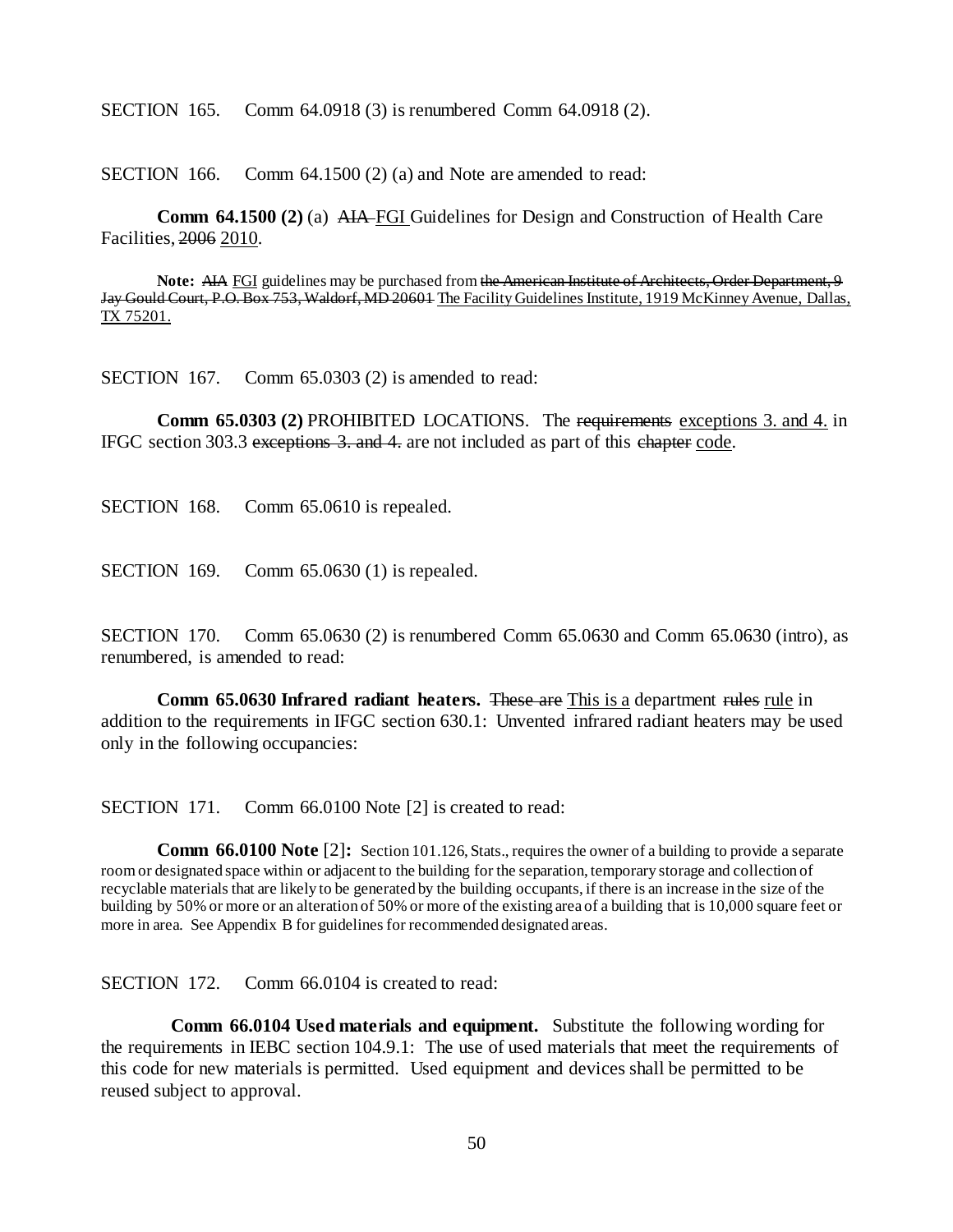SECTION 165. Comm 64.0918 (3) is renumbered Comm 64.0918 (2).

SECTION 166. Comm 64.1500 (2) (a) and Note are amended to read:

**Comm 64.1500 (2)** (a) AIA FGI Guidelines for Design and Construction of Health Care Facilities, 2006 2010.

**Note:** AIA FGI guidelines may be purchased from the American Institute of Architects, Order Department, 9 Jay Gould Court, P.O. Box 753, Waldorf, MD 20601 The Facility Guidelines Institute, 1919 McKinney Avenue, Dallas, TX 75201.

SECTION 167. Comm 65.0303 (2) is amended to read:

**Comm 65.0303 (2)** PROHIBITED LOCATIONS. The requirements exceptions 3. and 4. in IFGC section 303.3 exceptions 3. and 4. are not included as part of this chapter code.

SECTION 168. Comm 65.0610 is repealed.

SECTION 169. Comm 65.0630 (1) is repealed.

SECTION 170. Comm 65.0630 (2) is renumbered Comm 65.0630 and Comm 65.0630 (intro), as renumbered, is amended to read:

**Comm 65.0630 Infrared radiant heaters.** These are This is a department rules rule in addition to the requirements in IFGC section 630.1: Unvented infrared radiant heaters may be used only in the following occupancies:

SECTION 171. Comm 66.0100 Note [2] is created to read:

**Comm 66.0100 Note** [2]: Section 101.126, Stats., requires the owner of a building to provide a separate room or designated space within or adjacent to the building for the separation, temporary storage and collection of recyclable materials that are likely to be generated by the building occupants, if there is an increase in the size of the building by 50% or more or an alteration of 50% or more of the existing area of a building that is 10,000 square feet or more in area. See Appendix B for guidelines for recommended designated areas.

SECTION 172. Comm 66.0104 is created to read:

**Comm 66.0104 Used materials and equipment.** Substitute the following wording for the requirements in IEBC section 104.9.1: The use of used materials that meet the requirements of this code for new materials is permitted. Used equipment and devices shall be permitted to be reused subject to approval.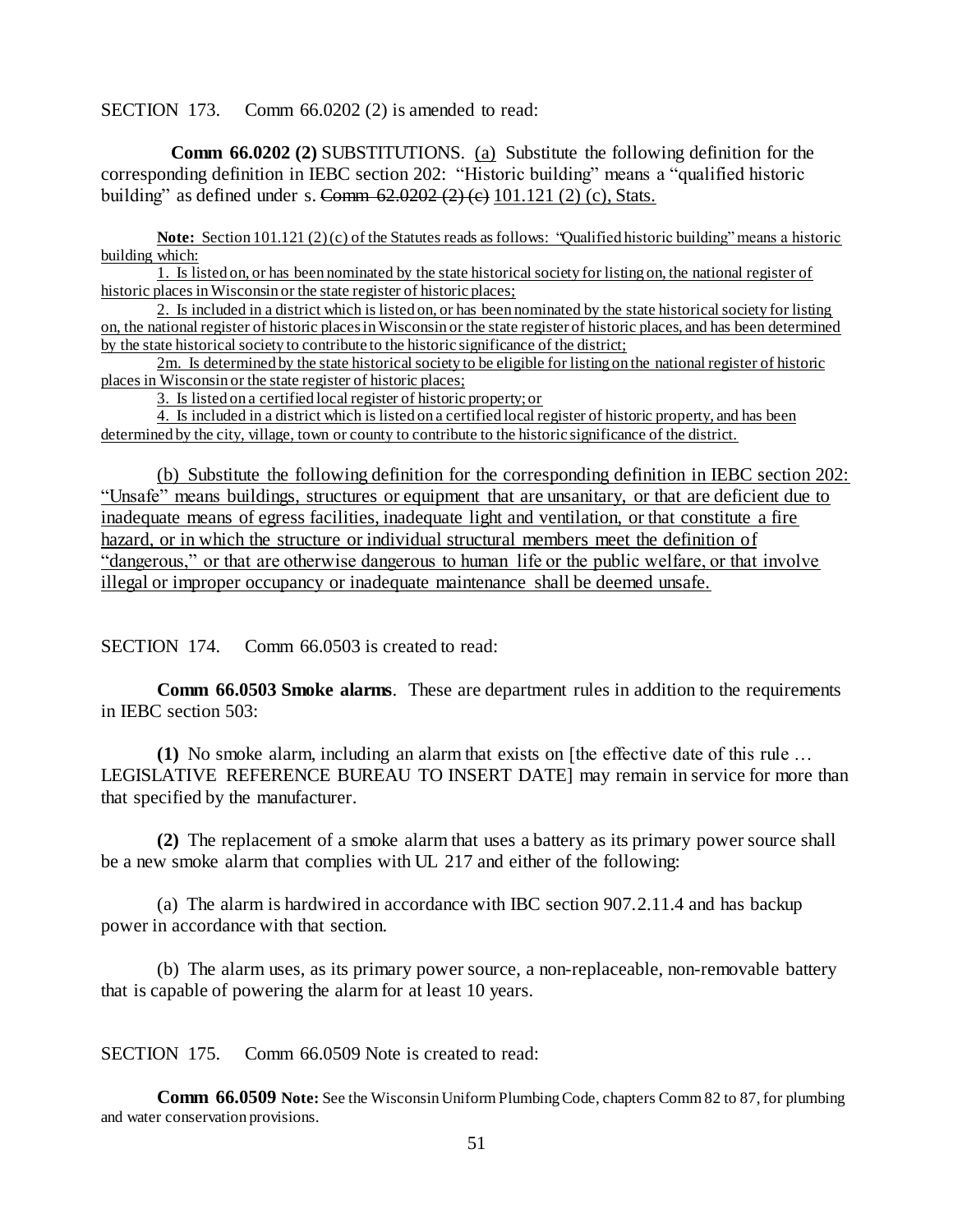SECTION 173. Comm 66.0202 (2) is amended to read:

**Comm 66.0202 (2)** SUBSTITUTIONS. (a) Substitute the following definition for the corresponding definition in IEBC section 202: "Historic building" means a "qualified historic building" as defined under s. Comm  $62.0202 (2) (e) 101.121 (2) (c)$ , Stats.

**Note:** Section 101.121 (2) (c) of the Statutes reads as follows: "Qualified historic building" means a historic building which:

1. Is listed on, or has been nominated by the state historical society for listing on, the national register of historic places in Wisconsin or the state register of historic places;

2. Is included in a district which is listed on, or has been nominated by the state historical society for listing on, the national register of historic places in Wisconsin or the state register of historic places, and has been determined by the state historical society to contribute to the historic significance of the district;

2m. Is determined by the state historical society to be eligible for listing on the national register of historic places in Wisconsin or the state register of historic places;

3. Is listed on a certified local register of historic property; or

4. Is included in a district which is listed on a certified local register of historic property, and has been determined by the city, village, town or county to contribute to the historic significance of the district.

(b) Substitute the following definition for the corresponding definition in IEBC section 202: "Unsafe" means buildings, structures or equipment that are unsanitary, or that are deficient due to inadequate means of egress facilities, inadequate light and ventilation, or that constitute a fire hazard, or in which the structure or individual structural members meet the definition of "dangerous," or that are otherwise dangerous to human life or the public welfare, or that involve illegal or improper occupancy or inadequate maintenance shall be deemed unsafe.

SECTION 174. Comm 66.0503 is created to read:

**Comm 66.0503 Smoke alarms**. These are department rules in addition to the requirements in IEBC section 503:

**(1)** No smoke alarm, including an alarm that exists on [the effective date of this rule … LEGISLATIVE REFERENCE BUREAU TO INSERT DATE] may remain in service for more than that specified by the manufacturer.

**(2)** The replacement of a smoke alarm that uses a battery as its primary power source shall be a new smoke alarm that complies with UL 217 and either of the following:

(a) The alarm is hardwired in accordance with IBC section 907.2.11.4 and has backup power in accordance with that section.

(b) The alarm uses, as its primary power source, a non-replaceable, non-removable battery that is capable of powering the alarm for at least 10 years.

SECTION 175. Comm 66.0509 Note is created to read:

**Comm 66.0509 Note:** See the Wisconsin Uniform Plumbing Code, chapters Comm 82 to 87, for plumbing and water conservation provisions.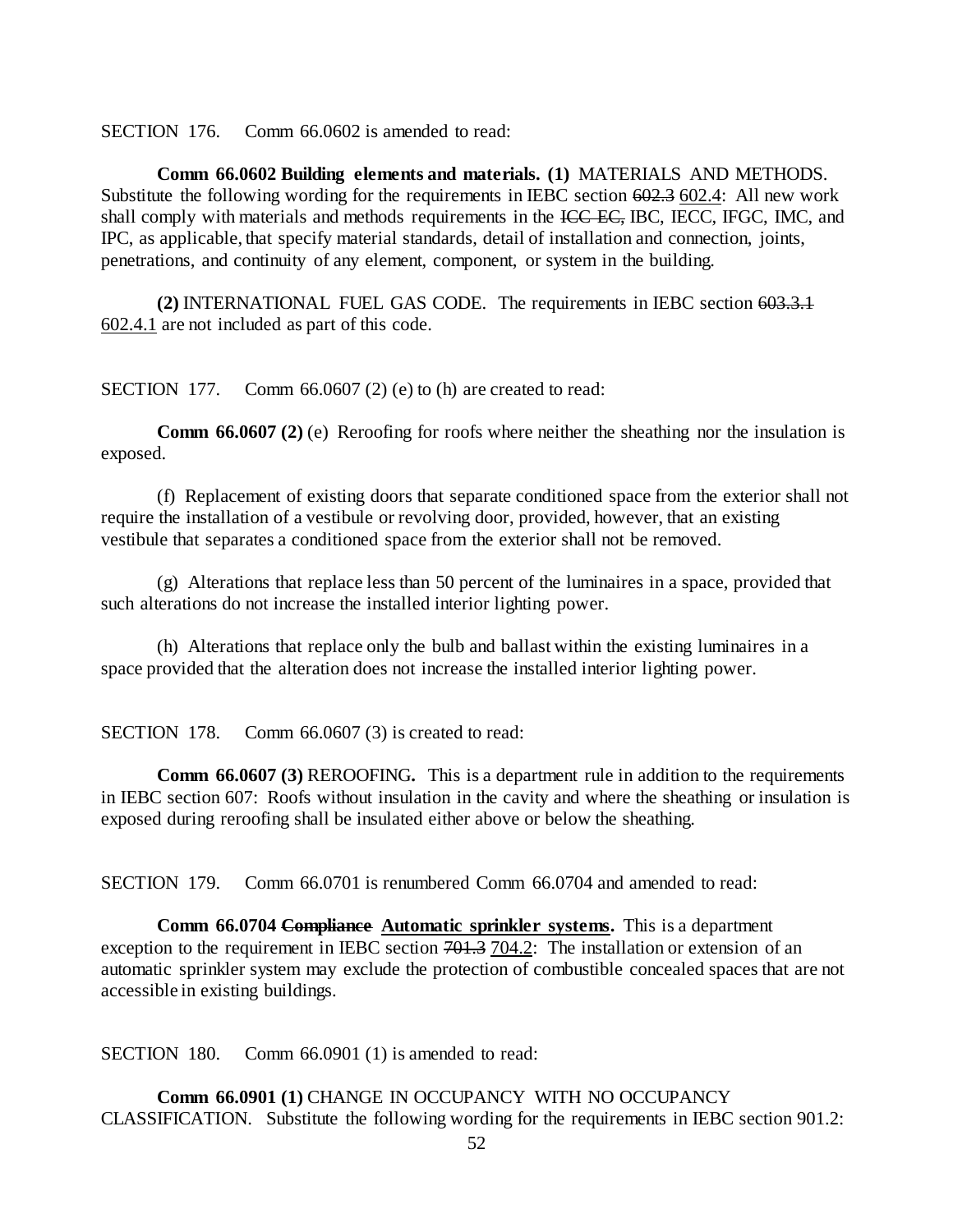SECTION 176. Comm 66.0602 is amended to read:

**Comm 66.0602 Building elements and materials. (1)** MATERIALS AND METHODS. Substitute the following wording for the requirements in IEBC section 602.3 602.4: All new work shall comply with materials and methods requirements in the ICC EC, IBC, IECC, IFGC, IMC, and IPC, as applicable, that specify material standards, detail of installation and connection, joints, penetrations, and continuity of any element, component, or system in the building.

**(2)** INTERNATIONAL FUEL GAS CODE. The requirements in IEBC section 603.3.1 602.4.1 are not included as part of this code.

SECTION 177. Comm 66.0607 (2) (e) to (h) are created to read:

**Comm 66.0607 (2)** (e) Reroofing for roofs where neither the sheathing nor the insulation is exposed.

(f) Replacement of existing doors that separate conditioned space from the exterior shall not require the installation of a vestibule or revolving door, provided, however, that an existing vestibule that separates a conditioned space from the exterior shall not be removed.

(g) Alterations that replace less than 50 percent of the luminaires in a space, provided that such alterations do not increase the installed interior lighting power.

(h) Alterations that replace only the bulb and ballast within the existing luminaires in a space provided that the alteration does not increase the installed interior lighting power.

SECTION 178. Comm 66.0607 (3) is created to read:

**Comm 66.0607 (3)** REROOFING**.** This is a department rule in addition to the requirements in IEBC section 607: Roofs without insulation in the cavity and where the sheathing or insulation is exposed during reroofing shall be insulated either above or below the sheathing.

SECTION 179. Comm 66.0701 is renumbered Comm 66.0704 and amended to read:

**Comm 66.0704 Compliance Automatic sprinkler systems.** This is a department exception to the requirement in IEBC section  $701.3$  704.2: The installation or extension of an automatic sprinkler system may exclude the protection of combustible concealed spaces that are not accessible in existing buildings.

SECTION 180. Comm 66.0901 (1) is amended to read:

**Comm 66.0901 (1)** CHANGE IN OCCUPANCY WITH NO OCCUPANCY CLASSIFICATION. Substitute the following wording for the requirements in IEBC section 901.2: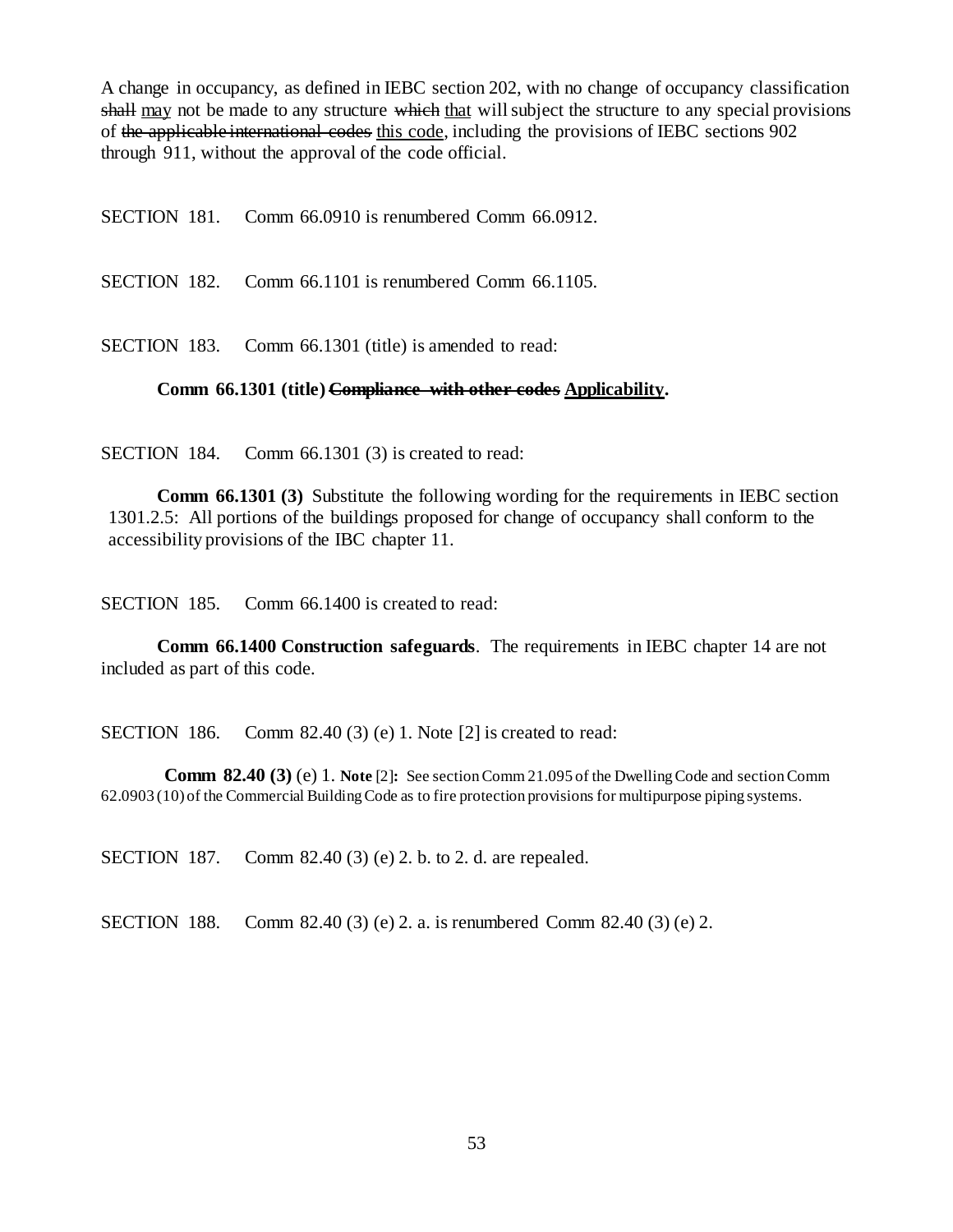A change in occupancy, as defined in IEBC section 202, with no change of occupancy classification shall may not be made to any structure which that will subject the structure to any special provisions of the applicable international codes this code, including the provisions of IEBC sections 902 through 911, without the approval of the code official.

SECTION 181. Comm 66.0910 is renumbered Comm 66.0912.

SECTION 182. Comm 66.1101 is renumbered Comm 66.1105.

SECTION 183. Comm 66.1301 (title) is amended to read:

#### **Comm 66.1301 (title) Compliance with other codes Applicability.**

SECTION 184. Comm 66.1301 (3) is created to read:

**Comm 66.1301 (3)** Substitute the following wording for the requirements in IEBC section 1301.2.5: All portions of the buildings proposed for change of occupancy shall conform to the accessibility provisions of the IBC chapter 11.

SECTION 185. Comm 66.1400 is created to read:

**Comm 66.1400 Construction safeguards**. The requirements in IEBC chapter 14 are not included as part of this code.

SECTION 186. Comm 82.40 (3) (e) 1. Note [2] is created to read:

**Comm 82.40 (3)** (e) 1. **Note** [2]**:** See section Comm 21.095 of the Dwelling Code and section Comm 62.0903 (10) of the Commercial Building Code as to fire protection provisions for multipurpose piping systems.

SECTION 187. Comm 82.40 (3) (e) 2. b. to 2. d. are repealed.

SECTION 188. Comm 82.40 (3) (e) 2. a. is renumbered Comm 82.40 (3) (e) 2.